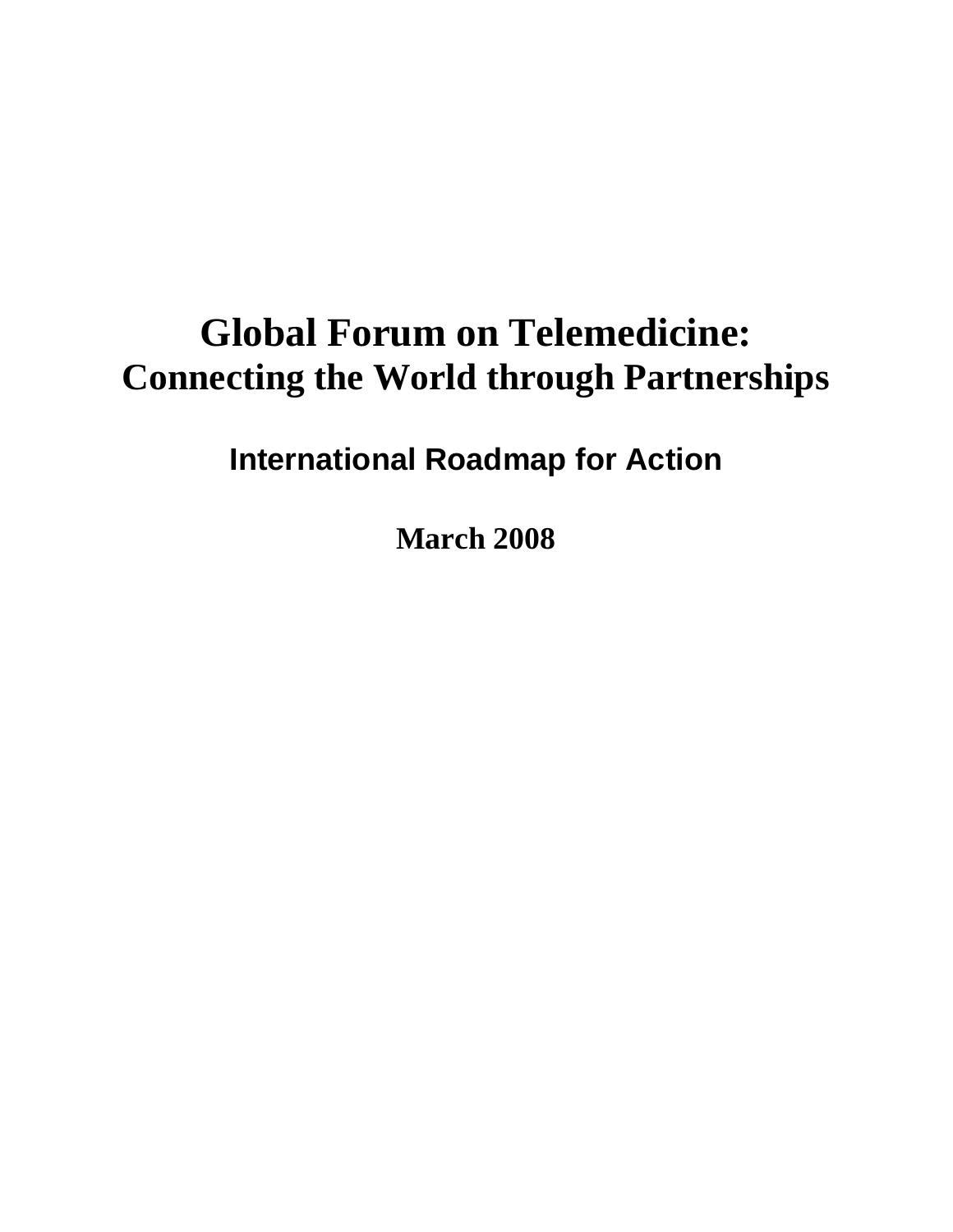# **Global Forum on Telemedicine: Connecting the World through Partnerships**

# **International Roadmap for Action**

**March 2008**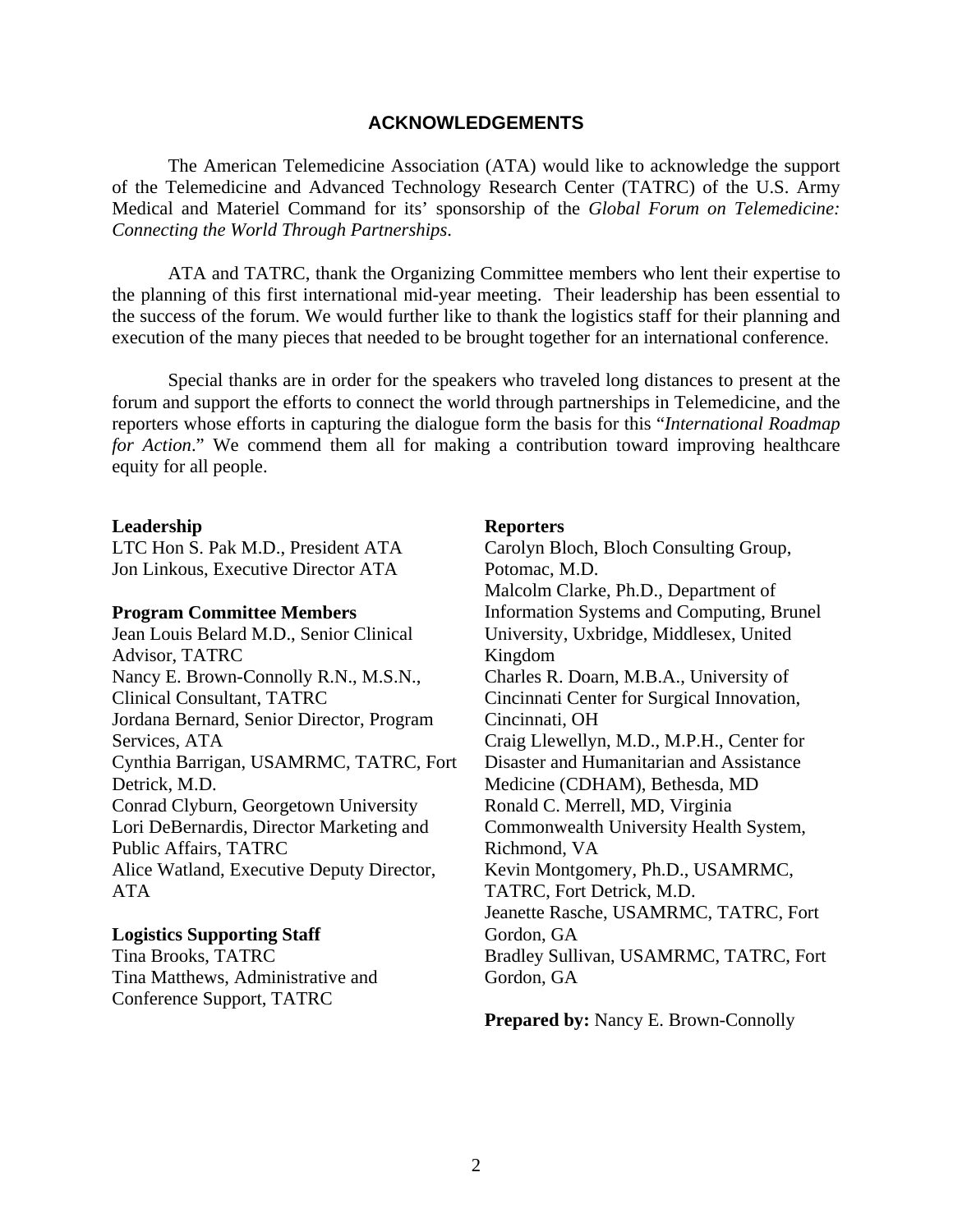#### **ACKNOWLEDGEMENTS**

The American Telemedicine Association (ATA) would like to acknowledge the support of the Telemedicine and Advanced Technology Research Center (TATRC) of the U.S. Army Medical and Materiel Command for its' sponsorship of the *Global Forum on Telemedicine: Connecting the World Through Partnerships*.

ATA and TATRC, thank the Organizing Committee members who lent their expertise to the planning of this first international mid-year meeting. Their leadership has been essential to the success of the forum. We would further like to thank the logistics staff for their planning and execution of the many pieces that needed to be brought together for an international conference.

Special thanks are in order for the speakers who traveled long distances to present at the forum and support the efforts to connect the world through partnerships in Telemedicine, and the reporters whose efforts in capturing the dialogue form the basis for this "*International Roadmap for Action*." We commend them all for making a contribution toward improving healthcare equity for all people.

#### **Leadership**

LTC Hon S. Pak M.D., President ATA Jon Linkous, Executive Director ATA

#### **Program Committee Members**

Jean Louis Belard M.D., Senior Clinical Advisor, TATRC Nancy E. Brown-Connolly R.N., M.S.N., Clinical Consultant, TATRC Jordana Bernard, Senior Director, Program Services, ATA Cynthia Barrigan, USAMRMC, TATRC, Fort Detrick, M.D. Conrad Clyburn, Georgetown University Lori DeBernardis, Director Marketing and Public Affairs, TATRC Alice Watland, Executive Deputy Director, ATA

#### **Logistics Supporting Staff**

Tina Brooks, TATRC Tina Matthews, Administrative and Conference Support, TATRC

#### **Reporters**

Carolyn Bloch, Bloch Consulting Group, Potomac, M.D. Malcolm Clarke, Ph.D., Department of Information Systems and Computing, Brunel University, Uxbridge, Middlesex, United Kingdom Charles R. Doarn, M.B.A., University of Cincinnati Center for Surgical Innovation, Cincinnati, OH Craig Llewellyn, M.D., M.P.H., Center for Disaster and Humanitarian and Assistance Medicine (CDHAM), Bethesda, MD Ronald C. Merrell, MD, Virginia Commonwealth University Health System, Richmond, VA Kevin Montgomery, Ph.D., USAMRMC, TATRC, Fort Detrick, M.D. Jeanette Rasche, USAMRMC, TATRC, Fort Gordon, GA Bradley Sullivan, USAMRMC, TATRC, Fort Gordon, GA

**Prepared by:** Nancy E. Brown-Connolly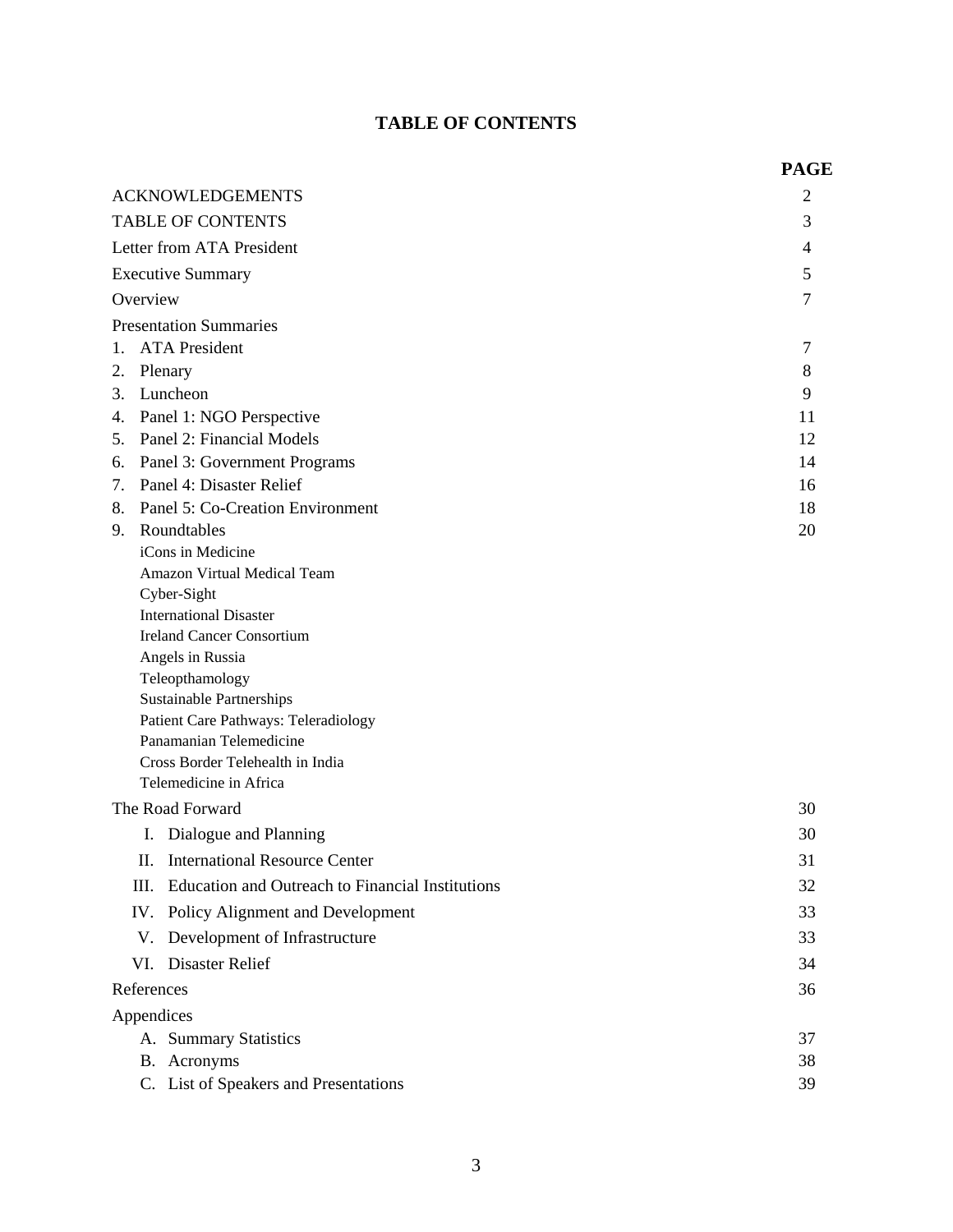## **TABLE OF CONTENTS**

|                                  |                                                                 | <b>PAGE</b> |  |
|----------------------------------|-----------------------------------------------------------------|-------------|--|
|                                  | <b>ACKNOWLEDGEMENTS</b>                                         | 2           |  |
| <b>TABLE OF CONTENTS</b>         |                                                                 |             |  |
| Letter from ATA President        |                                                                 |             |  |
| <b>Executive Summary</b>         |                                                                 |             |  |
| Overview                         |                                                                 |             |  |
|                                  | <b>Presentation Summaries</b>                                   | 7           |  |
|                                  | 1. ATA President                                                | 7           |  |
| Plenary<br>2.                    |                                                                 | 8           |  |
| 3.                               | Luncheon                                                        | 9           |  |
|                                  | 4. Panel 1: NGO Perspective                                     | 11          |  |
|                                  | 5. Panel 2: Financial Models                                    | 12          |  |
| 6.                               | Panel 3: Government Programs                                    | 14          |  |
|                                  | 7. Panel 4: Disaster Relief                                     | 16          |  |
| 8.                               | Panel 5: Co-Creation Environment                                | 18          |  |
| 9.                               | Roundtables                                                     | 20          |  |
|                                  | iCons in Medicine                                               |             |  |
| Amazon Virtual Medical Team      |                                                                 |             |  |
| Cyber-Sight                      |                                                                 |             |  |
| <b>International Disaster</b>    |                                                                 |             |  |
| <b>Ireland Cancer Consortium</b> |                                                                 |             |  |
|                                  | Angels in Russia                                                |             |  |
| Teleopthamology                  |                                                                 |             |  |
|                                  | Sustainable Partnerships                                        |             |  |
|                                  | Patient Care Pathways: Teleradiology<br>Panamanian Telemedicine |             |  |
|                                  | Cross Border Telehealth in India                                |             |  |
|                                  | Telemedicine in Africa                                          |             |  |
|                                  | The Road Forward                                                | 30          |  |
|                                  | I. Dialogue and Planning                                        | 30          |  |
| П.                               | <b>International Resource Center</b>                            | 31          |  |
|                                  |                                                                 |             |  |
| Ш.                               | Education and Outreach to Financial Institutions                | 32          |  |
| IV.                              | Policy Alignment and Development                                | 33          |  |
| V.                               | Development of Infrastructure                                   | 33          |  |
| VI.                              | <b>Disaster Relief</b>                                          | 34          |  |
| References                       |                                                                 | 36          |  |
| Appendices                       |                                                                 |             |  |
|                                  | A. Summary Statistics                                           | 37          |  |
|                                  | B. Acronyms                                                     | 38          |  |
|                                  | C. List of Speakers and Presentations                           | 39          |  |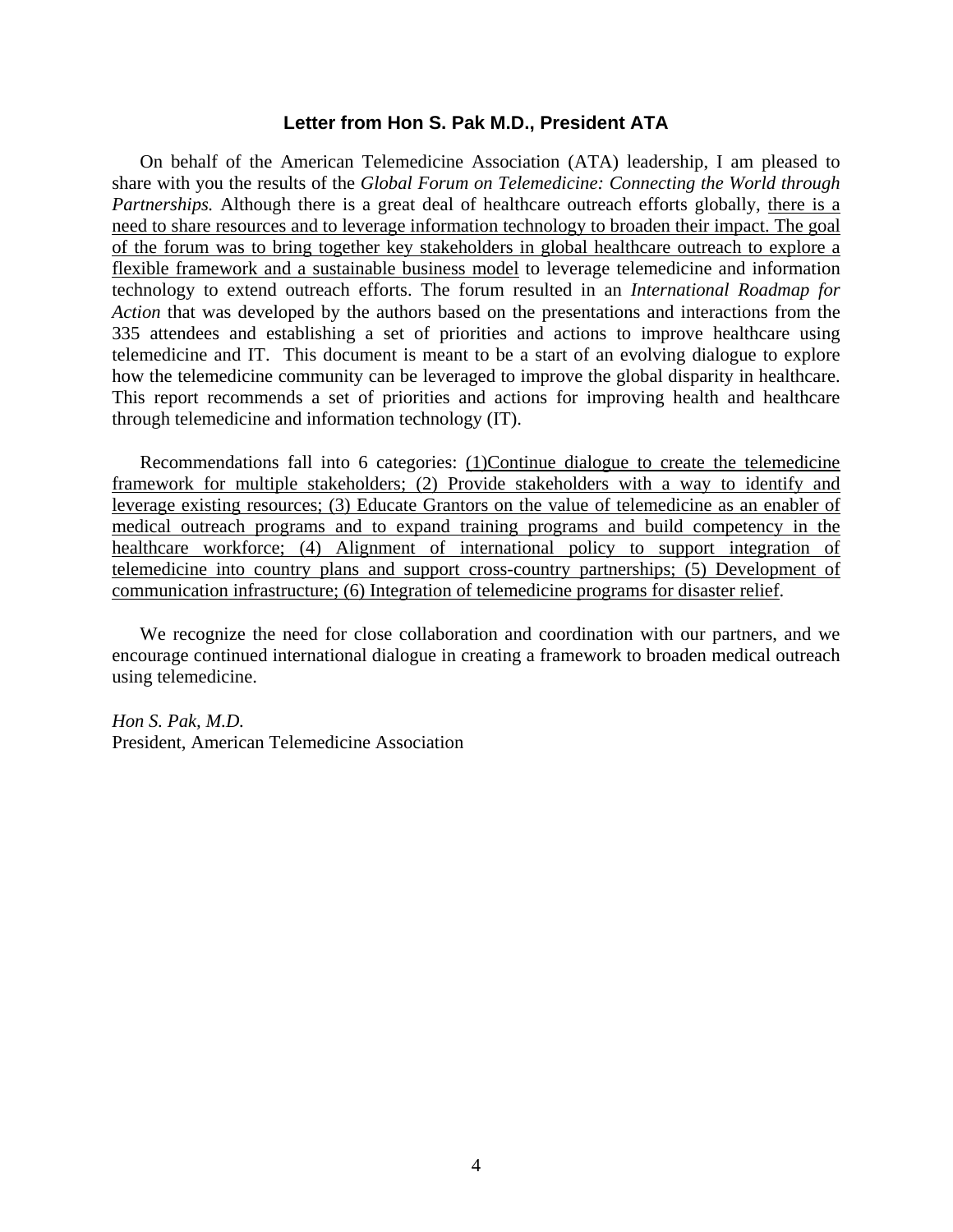#### **Letter from Hon S. Pak M.D., President ATA**

On behalf of the American Telemedicine Association (ATA) leadership, I am pleased to share with you the results of the *Global Forum on Telemedicine: Connecting the World through Partnerships.* Although there is a great deal of healthcare outreach efforts globally, there is a need to share resources and to leverage information technology to broaden their impact. The goal of the forum was to bring together key stakeholders in global healthcare outreach to explore a flexible framework and a sustainable business model to leverage telemedicine and information technology to extend outreach efforts. The forum resulted in an *International Roadmap for Action* that was developed by the authors based on the presentations and interactions from the 335 attendees and establishing a set of priorities and actions to improve healthcare using telemedicine and IT. This document is meant to be a start of an evolving dialogue to explore how the telemedicine community can be leveraged to improve the global disparity in healthcare. This report recommends a set of priorities and actions for improving health and healthcare through telemedicine and information technology (IT).

Recommendations fall into 6 categories: (1)Continue dialogue to create the telemedicine framework for multiple stakeholders; (2) Provide stakeholders with a way to identify and leverage existing resources; (3) Educate Grantors on the value of telemedicine as an enabler of medical outreach programs and to expand training programs and build competency in the healthcare workforce; (4) Alignment of international policy to support integration of telemedicine into country plans and support cross-country partnerships; (5) Development of communication infrastructure; (6) Integration of telemedicine programs for disaster relief.

We recognize the need for close collaboration and coordination with our partners, and we encourage continued international dialogue in creating a framework to broaden medical outreach using telemedicine.

*Hon S. Pak, M.D.*  President, American Telemedicine Association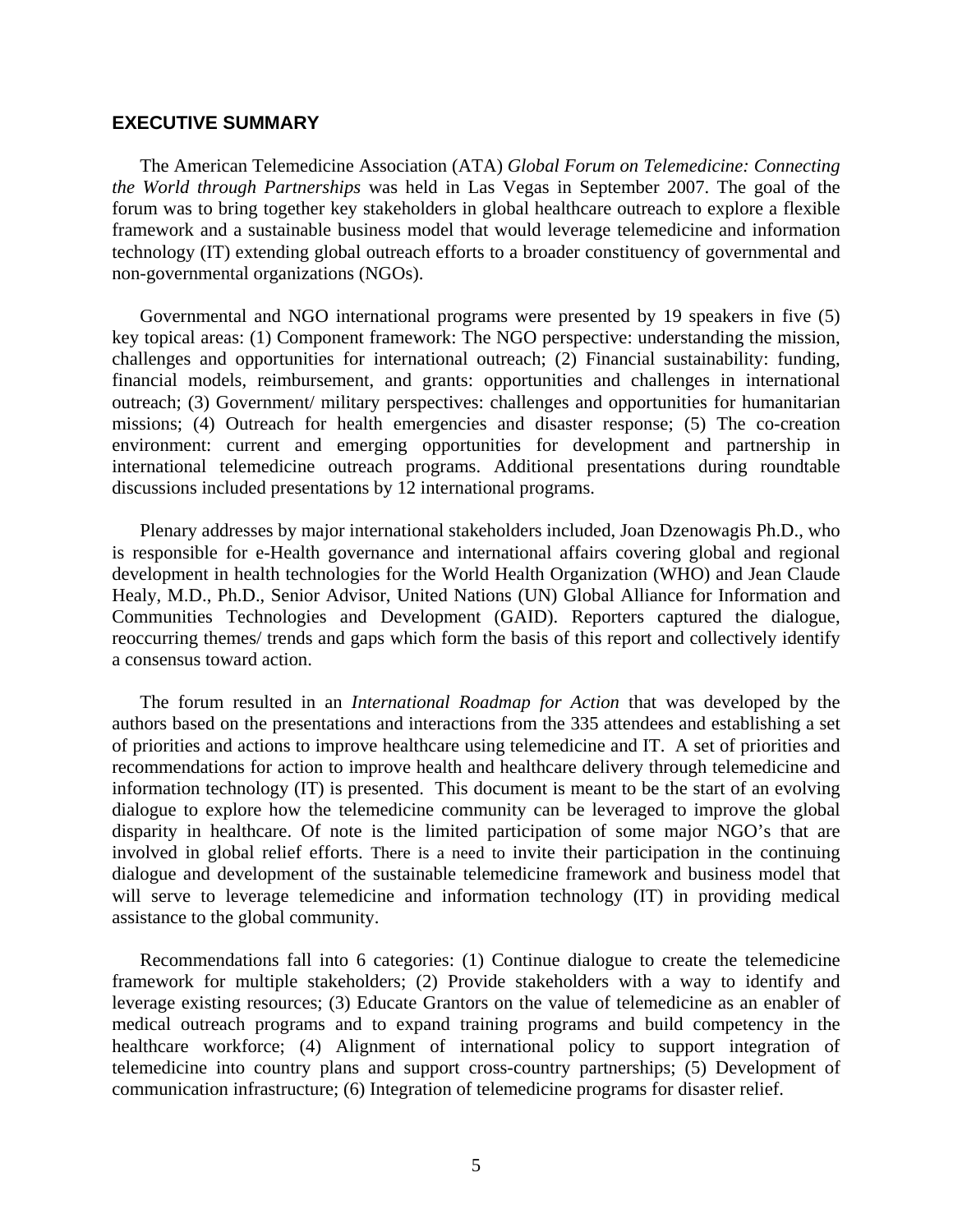#### **EXECUTIVE SUMMARY**

The American Telemedicine Association (ATA) *Global Forum on Telemedicine: Connecting the World through Partnerships* was held in Las Vegas in September 2007. The goal of the forum was to bring together key stakeholders in global healthcare outreach to explore a flexible framework and a sustainable business model that would leverage telemedicine and information technology (IT) extending global outreach efforts to a broader constituency of governmental and non-governmental organizations (NGOs).

Governmental and NGO international programs were presented by 19 speakers in five (5) key topical areas: (1) Component framework: The NGO perspective: understanding the mission, challenges and opportunities for international outreach; (2) Financial sustainability: funding, financial models, reimbursement, and grants: opportunities and challenges in international outreach; (3) Government/ military perspectives: challenges and opportunities for humanitarian missions; (4) Outreach for health emergencies and disaster response; (5) The co-creation environment: current and emerging opportunities for development and partnership in international telemedicine outreach programs. Additional presentations during roundtable discussions included presentations by 12 international programs.

Plenary addresses by major international stakeholders included, Joan Dzenowagis Ph.D., who is responsible for e-Health governance and international affairs covering global and regional development in health technologies for the World Health Organization (WHO) and Jean Claude Healy, M.D., Ph.D., Senior Advisor, United Nations (UN) Global Alliance for Information and Communities Technologies and Development (GAID). Reporters captured the dialogue, reoccurring themes/ trends and gaps which form the basis of this report and collectively identify a consensus toward action.

The forum resulted in an *International Roadmap for Action* that was developed by the authors based on the presentations and interactions from the 335 attendees and establishing a set of priorities and actions to improve healthcare using telemedicine and IT. A set of priorities and recommendations for action to improve health and healthcare delivery through telemedicine and information technology (IT) is presented. This document is meant to be the start of an evolving dialogue to explore how the telemedicine community can be leveraged to improve the global disparity in healthcare. Of note is the limited participation of some major NGO's that are involved in global relief efforts. There is a need to invite their participation in the continuing dialogue and development of the sustainable telemedicine framework and business model that will serve to leverage telemedicine and information technology (IT) in providing medical assistance to the global community.

Recommendations fall into 6 categories: (1) Continue dialogue to create the telemedicine framework for multiple stakeholders; (2) Provide stakeholders with a way to identify and leverage existing resources; (3) Educate Grantors on the value of telemedicine as an enabler of medical outreach programs and to expand training programs and build competency in the healthcare workforce; (4) Alignment of international policy to support integration of telemedicine into country plans and support cross-country partnerships; (5) Development of communication infrastructure; (6) Integration of telemedicine programs for disaster relief.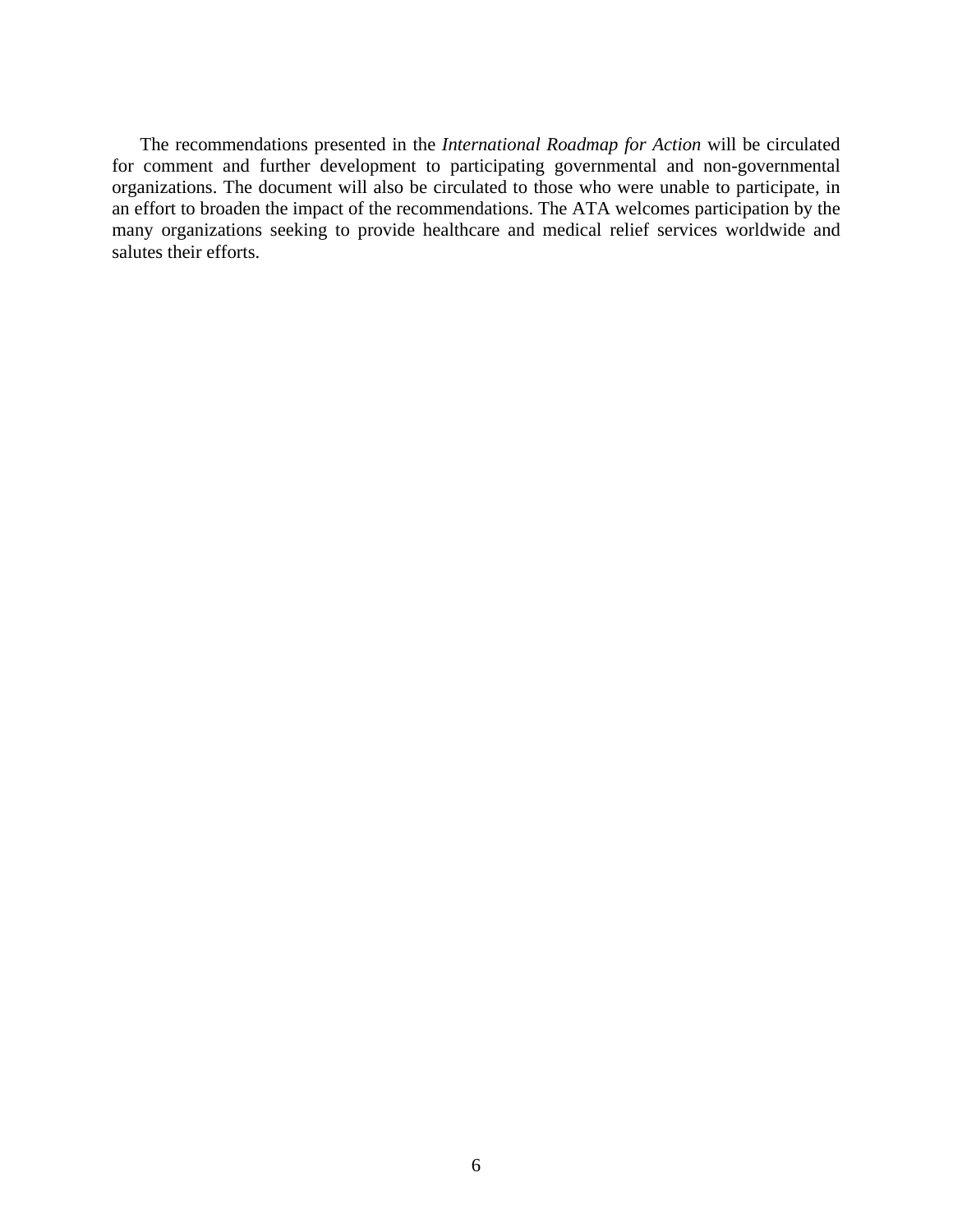The recommendations presented in the *International Roadmap for Action* will be circulated for comment and further development to participating governmental and non-governmental organizations. The document will also be circulated to those who were unable to participate, in an effort to broaden the impact of the recommendations. The ATA welcomes participation by the many organizations seeking to provide healthcare and medical relief services worldwide and salutes their efforts.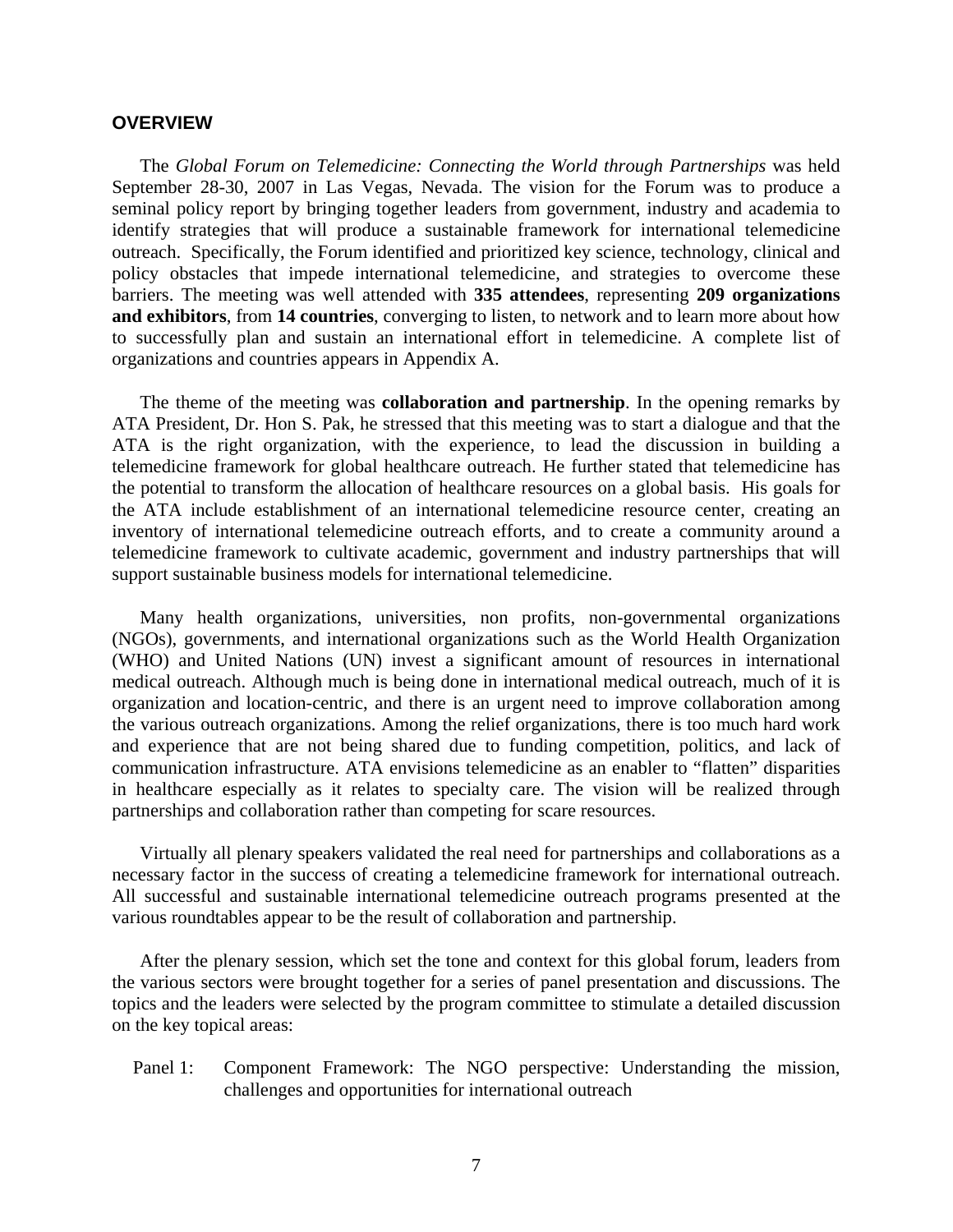#### **OVERVIEW**

The *Global Forum on Telemedicine: Connecting the World through Partnerships* was held September 28-30, 2007 in Las Vegas, Nevada. The vision for the Forum was to produce a seminal policy report by bringing together leaders from government, industry and academia to identify strategies that will produce a sustainable framework for international telemedicine outreach. Specifically, the Forum identified and prioritized key science, technology, clinical and policy obstacles that impede international telemedicine, and strategies to overcome these barriers. The meeting was well attended with **335 attendees**, representing **209 organizations and exhibitors**, from **14 countries**, converging to listen, to network and to learn more about how to successfully plan and sustain an international effort in telemedicine. A complete list of organizations and countries appears in Appendix A.

The theme of the meeting was **collaboration and partnership**. In the opening remarks by ATA President, Dr. Hon S. Pak, he stressed that this meeting was to start a dialogue and that the ATA is the right organization, with the experience, to lead the discussion in building a telemedicine framework for global healthcare outreach. He further stated that telemedicine has the potential to transform the allocation of healthcare resources on a global basis. His goals for the ATA include establishment of an international telemedicine resource center, creating an inventory of international telemedicine outreach efforts, and to create a community around a telemedicine framework to cultivate academic, government and industry partnerships that will support sustainable business models for international telemedicine.

Many health organizations, universities, non profits, non-governmental organizations (NGOs), governments, and international organizations such as the World Health Organization (WHO) and United Nations (UN) invest a significant amount of resources in international medical outreach. Although much is being done in international medical outreach, much of it is organization and location-centric, and there is an urgent need to improve collaboration among the various outreach organizations. Among the relief organizations, there is too much hard work and experience that are not being shared due to funding competition, politics, and lack of communication infrastructure. ATA envisions telemedicine as an enabler to "flatten" disparities in healthcare especially as it relates to specialty care. The vision will be realized through partnerships and collaboration rather than competing for scare resources.

Virtually all plenary speakers validated the real need for partnerships and collaborations as a necessary factor in the success of creating a telemedicine framework for international outreach. All successful and sustainable international telemedicine outreach programs presented at the various roundtables appear to be the result of collaboration and partnership.

After the plenary session, which set the tone and context for this global forum, leaders from the various sectors were brought together for a series of panel presentation and discussions. The topics and the leaders were selected by the program committee to stimulate a detailed discussion on the key topical areas:

Panel 1: Component Framework: The NGO perspective: Understanding the mission, challenges and opportunities for international outreach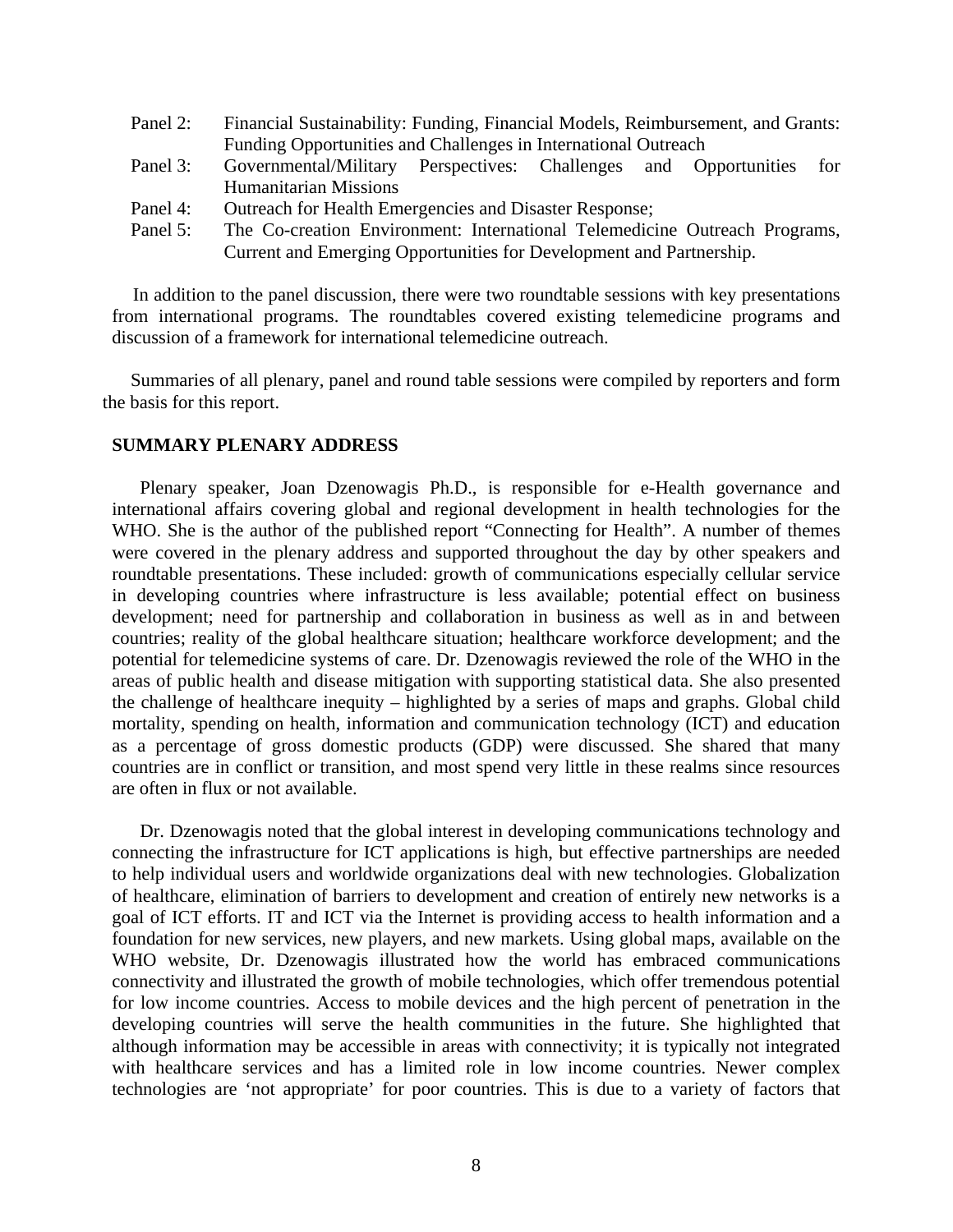- Panel 2: Financial Sustainability: Funding, Financial Models, Reimbursement, and Grants: Funding Opportunities and Challenges in International Outreach
- Panel 3: Governmental/Military Perspectives: Challenges and Opportunities for Humanitarian Missions
- Panel 4: Outreach for Health Emergencies and Disaster Response;
- Panel 5: The Co-creation Environment: International Telemedicine Outreach Programs, Current and Emerging Opportunities for Development and Partnership.

In addition to the panel discussion, there were two roundtable sessions with key presentations from international programs. The roundtables covered existing telemedicine programs and discussion of a framework for international telemedicine outreach.

Summaries of all plenary, panel and round table sessions were compiled by reporters and form the basis for this report.

#### **SUMMARY PLENARY ADDRESS**

Plenary speaker, Joan Dzenowagis Ph.D., is responsible for e-Health governance and international affairs covering global and regional development in health technologies for the WHO. She is the author of the published report "Connecting for Health". A number of themes were covered in the plenary address and supported throughout the day by other speakers and roundtable presentations. These included: growth of communications especially cellular service in developing countries where infrastructure is less available; potential effect on business development; need for partnership and collaboration in business as well as in and between countries; reality of the global healthcare situation; healthcare workforce development; and the potential for telemedicine systems of care. Dr. Dzenowagis reviewed the role of the WHO in the areas of public health and disease mitigation with supporting statistical data. She also presented the challenge of healthcare inequity – highlighted by a series of maps and graphs. Global child mortality, spending on health, information and communication technology (ICT) and education as a percentage of gross domestic products (GDP) were discussed. She shared that many countries are in conflict or transition, and most spend very little in these realms since resources are often in flux or not available.

Dr. Dzenowagis noted that the global interest in developing communications technology and connecting the infrastructure for ICT applications is high, but effective partnerships are needed to help individual users and worldwide organizations deal with new technologies. Globalization of healthcare, elimination of barriers to development and creation of entirely new networks is a goal of ICT efforts. IT and ICT via the Internet is providing access to health information and a foundation for new services, new players, and new markets. Using global maps, available on the WHO website, Dr. Dzenowagis illustrated how the world has embraced communications connectivity and illustrated the growth of mobile technologies, which offer tremendous potential for low income countries. Access to mobile devices and the high percent of penetration in the developing countries will serve the health communities in the future. She highlighted that although information may be accessible in areas with connectivity; it is typically not integrated with healthcare services and has a limited role in low income countries. Newer complex technologies are 'not appropriate' for poor countries. This is due to a variety of factors that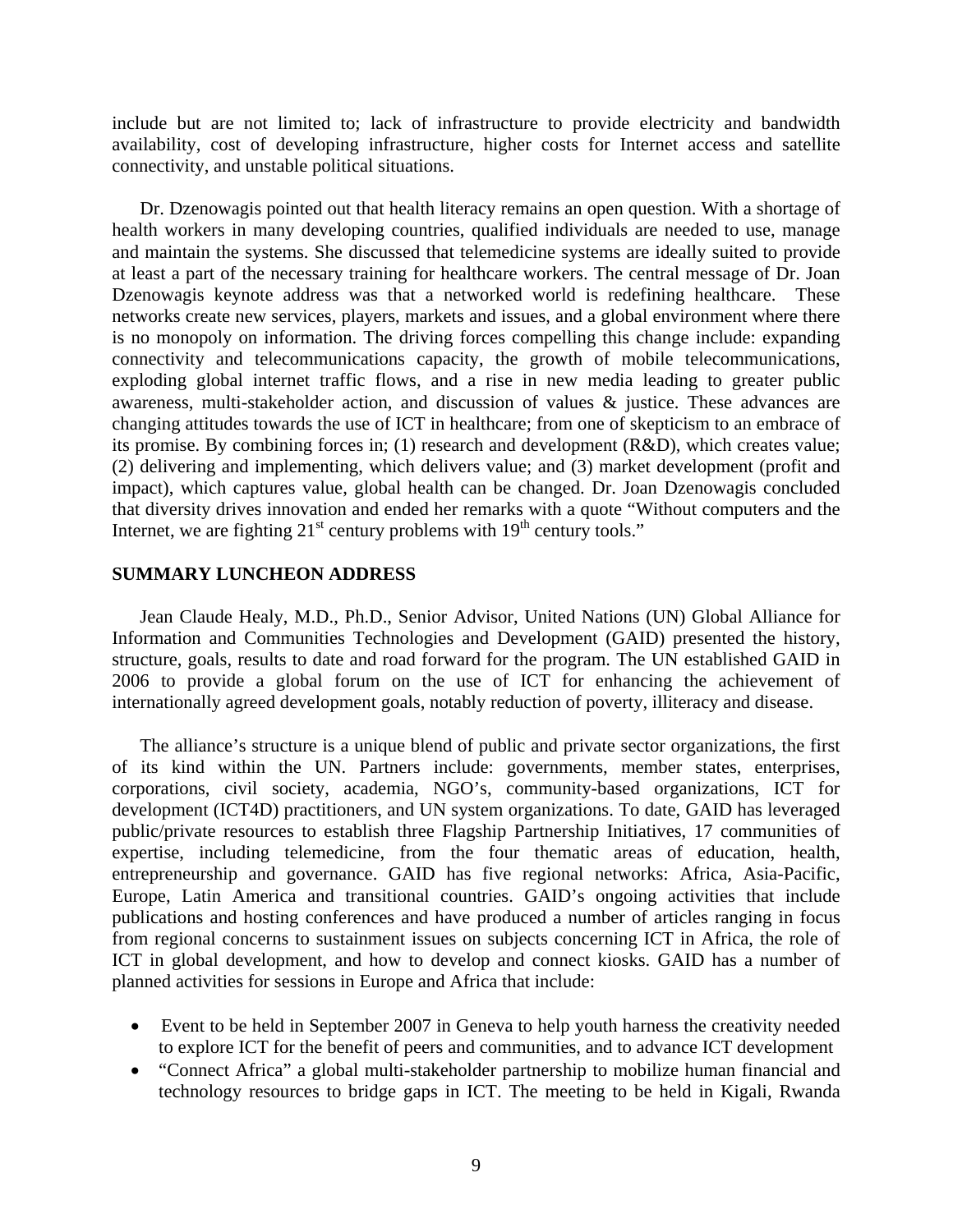include but are not limited to; lack of infrastructure to provide electricity and bandwidth availability, cost of developing infrastructure, higher costs for Internet access and satellite connectivity, and unstable political situations.

Dr. Dzenowagis pointed out that health literacy remains an open question. With a shortage of health workers in many developing countries, qualified individuals are needed to use, manage and maintain the systems. She discussed that telemedicine systems are ideally suited to provide at least a part of the necessary training for healthcare workers. The central message of Dr. Joan Dzenowagis keynote address was that a networked world is redefining healthcare. These networks create new services, players, markets and issues, and a global environment where there is no monopoly on information. The driving forces compelling this change include: expanding connectivity and telecommunications capacity, the growth of mobile telecommunications, exploding global internet traffic flows, and a rise in new media leading to greater public awareness, multi-stakeholder action, and discussion of values & justice. These advances are changing attitudes towards the use of ICT in healthcare; from one of skepticism to an embrace of its promise. By combining forces in; (1) research and development (R&D), which creates value; (2) delivering and implementing, which delivers value; and (3) market development (profit and impact), which captures value, global health can be changed. Dr. Joan Dzenowagis concluded that diversity drives innovation and ended her remarks with a quote "Without computers and the Internet, we are fighting  $21<sup>st</sup>$  century problems with  $19<sup>th</sup>$  century tools."

#### **SUMMARY LUNCHEON ADDRESS**

Jean Claude Healy, M.D., Ph.D., Senior Advisor, United Nations (UN) Global Alliance for Information and Communities Technologies and Development (GAID) presented the history, structure, goals, results to date and road forward for the program. The UN established GAID in 2006 to provide a global forum on the use of ICT for enhancing the achievement of internationally agreed development goals, notably reduction of poverty, illiteracy and disease.

The alliance's structure is a unique blend of public and private sector organizations, the first of its kind within the UN. Partners include: governments, member states, enterprises, corporations, civil society, academia, NGO's, community-based organizations, ICT for development (ICT4D) practitioners, and UN system organizations. To date, GAID has leveraged public/private resources to establish three Flagship Partnership Initiatives, 17 communities of expertise, including telemedicine, from the four thematic areas of education, health, entrepreneurship and governance. GAID has five regional networks: Africa, Asia-Pacific, Europe, Latin America and transitional countries. GAID's ongoing activities that include publications and hosting conferences and have produced a number of articles ranging in focus from regional concerns to sustainment issues on subjects concerning ICT in Africa, the role of ICT in global development, and how to develop and connect kiosks. GAID has a number of planned activities for sessions in Europe and Africa that include:

- Event to be held in September 2007 in Geneva to help youth harness the creativity needed to explore ICT for the benefit of peers and communities, and to advance ICT development
- "Connect Africa" a global multi-stakeholder partnership to mobilize human financial and technology resources to bridge gaps in ICT. The meeting to be held in Kigali, Rwanda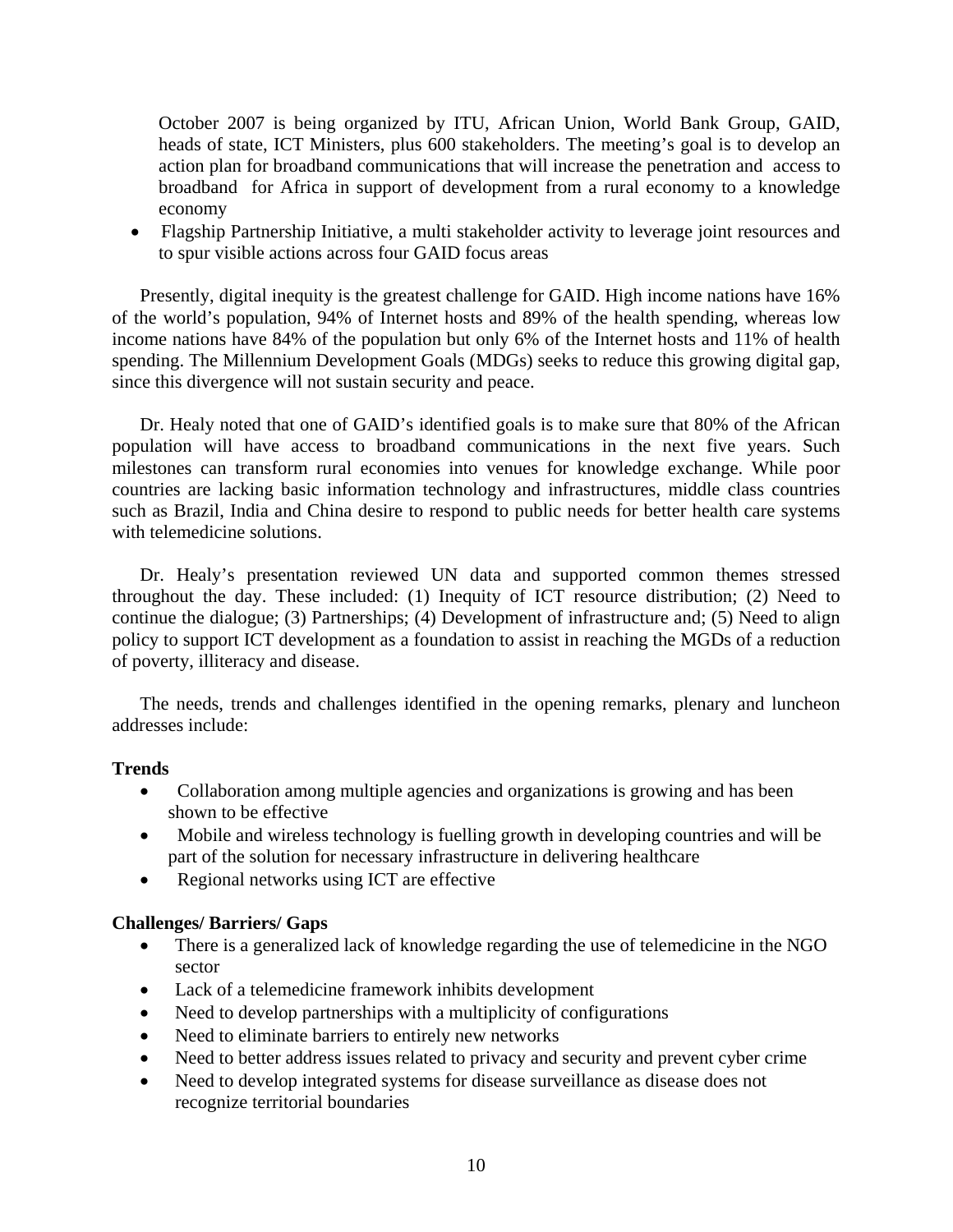October 2007 is being organized by ITU, African Union, World Bank Group, GAID, heads of state, ICT Ministers, plus 600 stakeholders. The meeting's goal is to develop an action plan for broadband communications that will increase the penetration and access to broadband for Africa in support of development from a rural economy to a knowledge economy

• Flagship Partnership Initiative, a multi stakeholder activity to leverage joint resources and to spur visible actions across four GAID focus areas

Presently, digital inequity is the greatest challenge for GAID. High income nations have 16% of the world's population, 94% of Internet hosts and 89% of the health spending, whereas low income nations have 84% of the population but only 6% of the Internet hosts and 11% of health spending. The Millennium Development Goals (MDGs) seeks to reduce this growing digital gap, since this divergence will not sustain security and peace.

Dr. Healy noted that one of GAID's identified goals is to make sure that 80% of the African population will have access to broadband communications in the next five years. Such milestones can transform rural economies into venues for knowledge exchange. While poor countries are lacking basic information technology and infrastructures, middle class countries such as Brazil, India and China desire to respond to public needs for better health care systems with telemedicine solutions.

Dr. Healy's presentation reviewed UN data and supported common themes stressed throughout the day. These included: (1) Inequity of ICT resource distribution; (2) Need to continue the dialogue; (3) Partnerships; (4) Development of infrastructure and; (5) Need to align policy to support ICT development as a foundation to assist in reaching the MGDs of a reduction of poverty, illiteracy and disease.

The needs, trends and challenges identified in the opening remarks, plenary and luncheon addresses include:

#### **Trends**

- Collaboration among multiple agencies and organizations is growing and has been shown to be effective
- Mobile and wireless technology is fuelling growth in developing countries and will be part of the solution for necessary infrastructure in delivering healthcare
- Regional networks using ICT are effective

#### **Challenges/ Barriers/ Gaps**

- There is a generalized lack of knowledge regarding the use of telemedicine in the NGO sector
- Lack of a telemedicine framework inhibits development
- Need to develop partnerships with a multiplicity of configurations
- Need to eliminate barriers to entirely new networks
- Need to better address issues related to privacy and security and prevent cyber crime
- Need to develop integrated systems for disease surveillance as disease does not recognize territorial boundaries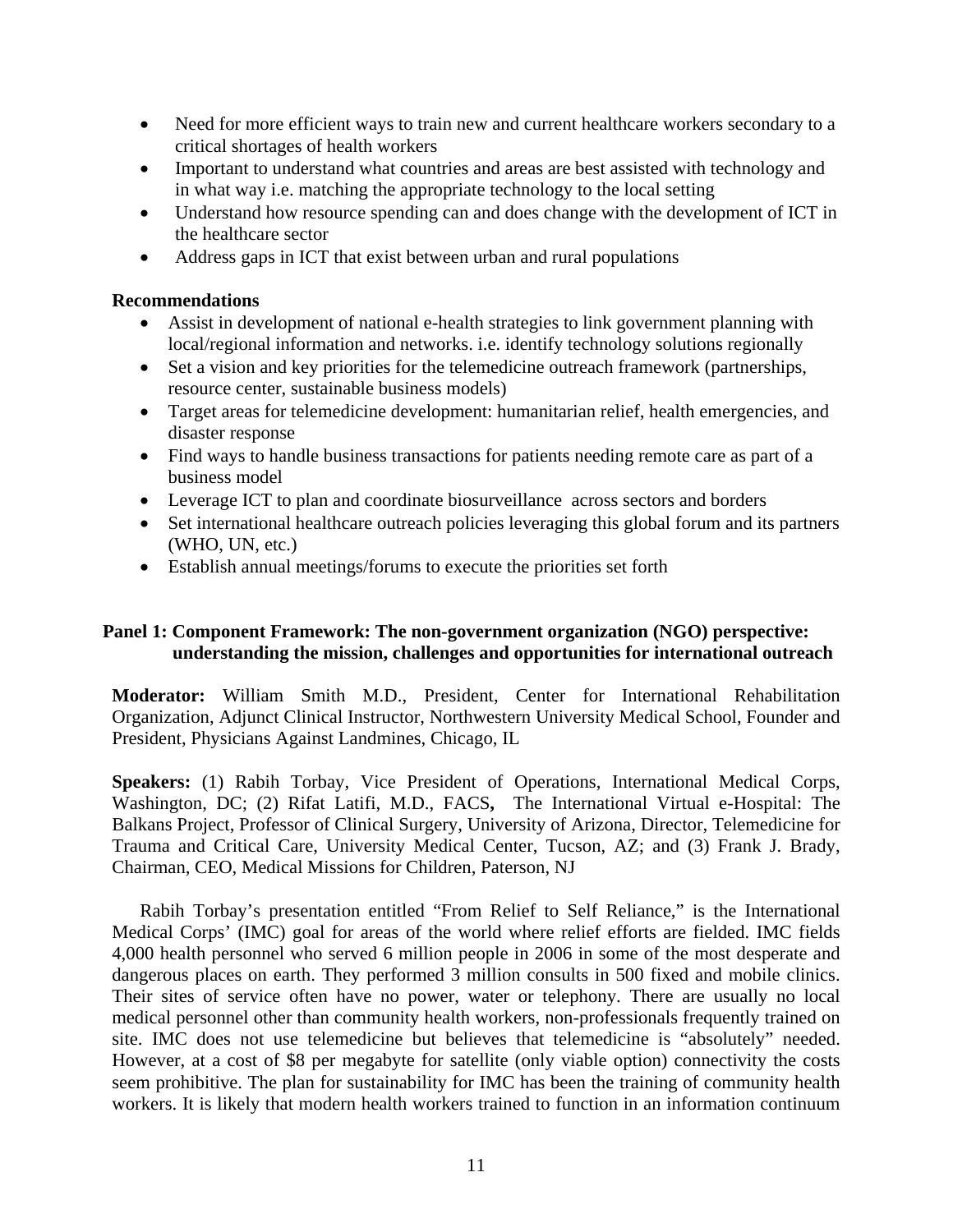- Need for more efficient ways to train new and current healthcare workers secondary to a critical shortages of health workers
- Important to understand what countries and areas are best assisted with technology and in what way i.e. matching the appropriate technology to the local setting
- Understand how resource spending can and does change with the development of ICT in the healthcare sector
- Address gaps in ICT that exist between urban and rural populations

#### **Recommendations**

- Assist in development of national e-health strategies to link government planning with local/regional information and networks. i.e. identify technology solutions regionally
- Set a vision and key priorities for the telemedicine outreach framework (partnerships, resource center, sustainable business models)
- Target areas for telemedicine development: humanitarian relief, health emergencies, and disaster response
- Find ways to handle business transactions for patients needing remote care as part of a business model
- Leverage ICT to plan and coordinate biosurveillance across sectors and borders
- Set international healthcare outreach policies leveraging this global forum and its partners (WHO, UN, etc.)
- Establish annual meetings/forums to execute the priorities set forth

#### **Panel 1: Component Framework: The non-government organization (NGO) perspective: understanding the mission, challenges and opportunities for international outreach**

**Moderator:** William Smith M.D., President, Center for International Rehabilitation Organization, Adjunct Clinical Instructor, Northwestern University Medical School, Founder and President, Physicians Against Landmines, Chicago, IL

**Speakers:** (1) Rabih Torbay, Vice President of Operations, International Medical Corps, Washington, DC; (2) [Rifat Latifi, M.D., FACS](http://www.atmeda.org/conf/Mid-Year%202007/Bios/latifi.htm)**,** The International Virtual e-Hospital: The Balkans Project, Professor of Clinical Surgery, University of Arizona, Director, Telemedicine for Trauma and Critical Care, University Medical Center, Tucson, AZ; and (3) [Frank J. Brady,](http://www.atmeda.org/conf/Mid-Year%202007/Bios/Brady.htm) Chairman, CEO, Medical Missions for Children, Paterson, NJ

Rabih Torbay's presentation entitled "[From Relief to Self Reliance](http://www.atmeda.org/conf/Mid-Year%202007/Presentations/Torbay.ppt)," is the International Medical Corps' (IMC) goal for areas of the world where relief efforts are fielded. IMC fields 4,000 health personnel who served 6 million people in 2006 in some of the most desperate and dangerous places on earth. They performed 3 million consults in 500 fixed and mobile clinics. Their sites of service often have no power, water or telephony. There are usually no local medical personnel other than community health workers, non-professionals frequently trained on site. IMC does not use telemedicine but believes that telemedicine is "absolutely" needed. However, at a cost of \$8 per megabyte for satellite (only viable option) connectivity the costs seem prohibitive. The plan for sustainability for IMC has been the training of community health workers. It is likely that modern health workers trained to function in an information continuum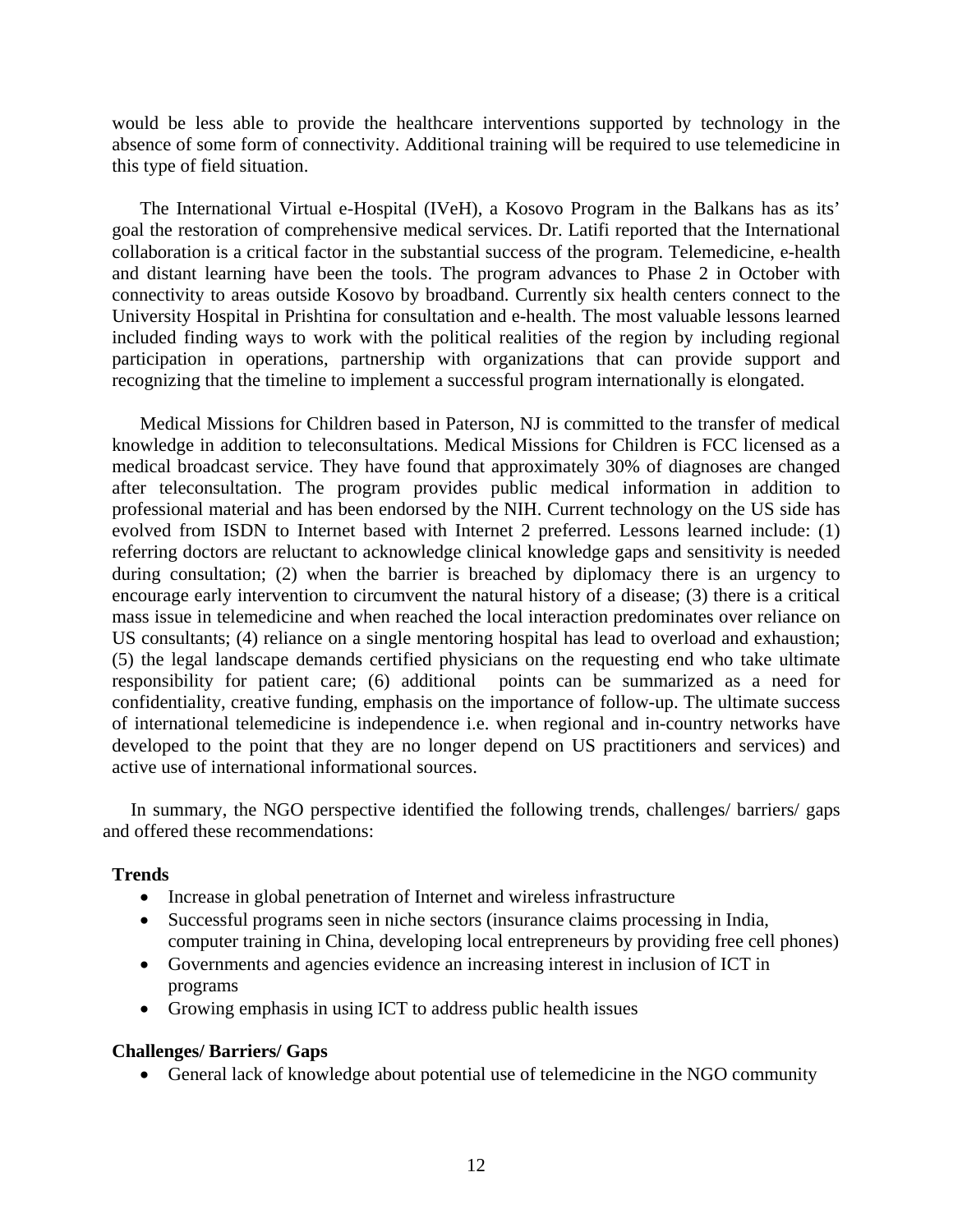would be less able to provide the healthcare interventions supported by technology in the absence of some form of connectivity. Additional training will be required to use telemedicine in this type of field situation.

The International Virtual e-Hospital (IVeH), a Kosovo Program in the Balkans has as its' goal the restoration of comprehensive medical services. Dr. Latifi reported that the International collaboration is a critical factor in the substantial success of the program. Telemedicine, e-health and distant learning have been the tools. The program advances to Phase 2 in October with connectivity to areas outside Kosovo by broadband. Currently six health centers connect to the University Hospital in Prishtina for consultation and e-health. The most valuable lessons learned included finding ways to work with the political realities of the region by including regional participation in operations, partnership with organizations that can provide support and recognizing that the timeline to implement a successful program internationally is elongated.

Medical Missions for Children based in Paterson, NJ is committed to the transfer of medical knowledge in addition to teleconsultations. Medical Missions for Children is FCC licensed as a medical broadcast service. They have found that approximately 30% of diagnoses are changed after teleconsultation. The program provides public medical information in addition to professional material and has been endorsed by the NIH. Current technology on the US side has evolved from ISDN to Internet based with Internet 2 preferred. Lessons learned include: (1) referring doctors are reluctant to acknowledge clinical knowledge gaps and sensitivity is needed during consultation; (2) when the barrier is breached by diplomacy there is an urgency to encourage early intervention to circumvent the natural history of a disease; (3) there is a critical mass issue in telemedicine and when reached the local interaction predominates over reliance on US consultants; (4) reliance on a single mentoring hospital has lead to overload and exhaustion; (5) the legal landscape demands certified physicians on the requesting end who take ultimate responsibility for patient care; (6) additional points can be summarized as a need for confidentiality, creative funding, emphasis on the importance of follow-up. The ultimate success of international telemedicine is independence i.e. when regional and in-country networks have developed to the point that they are no longer depend on US practitioners and services) and active use of international informational sources.

In summary, the NGO perspective identified the following trends, challenges/ barriers/ gaps and offered these recommendations:

#### **Trends**

- Increase in global penetration of Internet and wireless infrastructure
- Successful programs seen in niche sectors (insurance claims processing in India, computer training in China, developing local entrepreneurs by providing free cell phones)
- Governments and agencies evidence an increasing interest in inclusion of ICT in programs
- Growing emphasis in using ICT to address public health issues

#### **Challenges/ Barriers/ Gaps**

• General lack of knowledge about potential use of telemedicine in the NGO community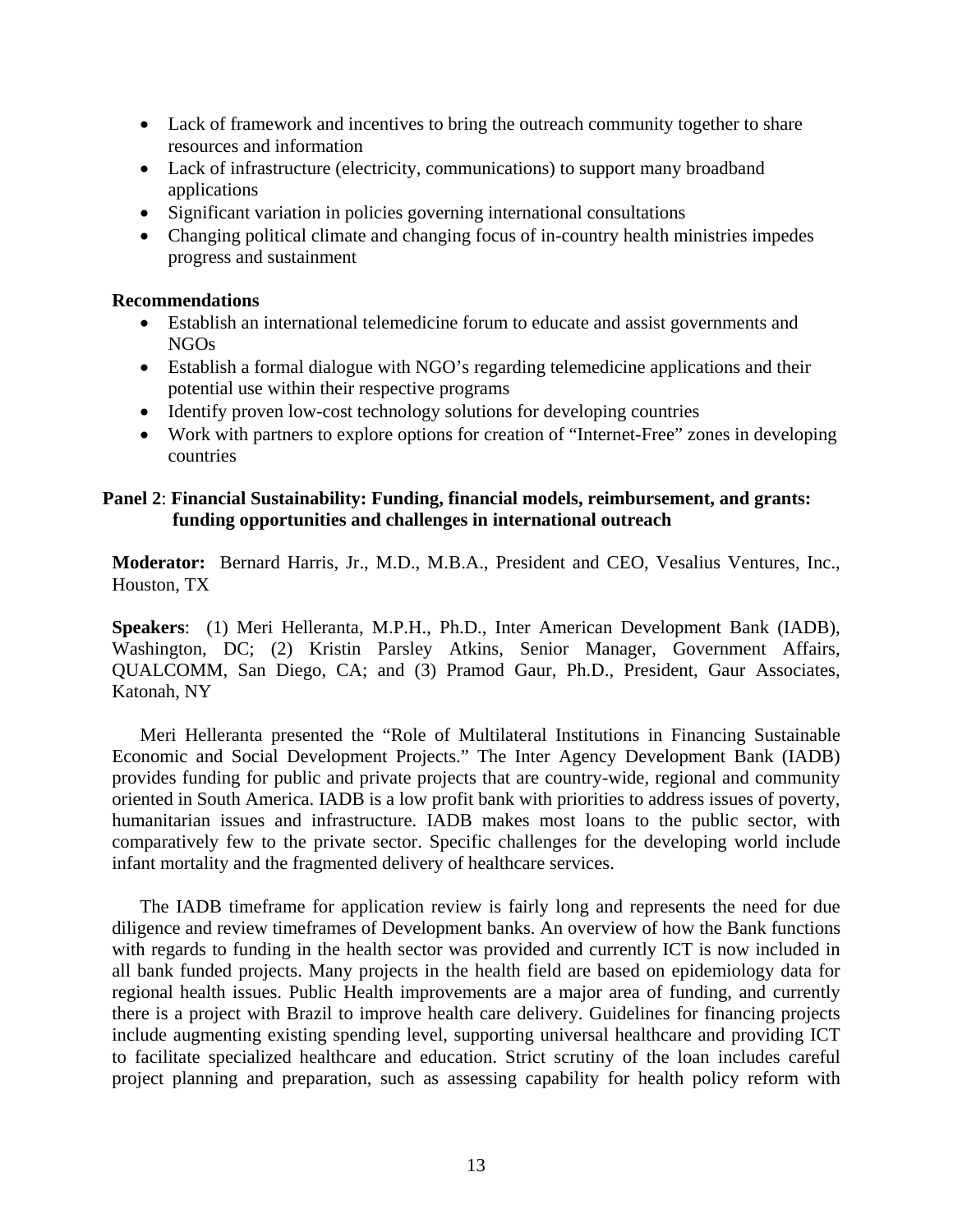- Lack of framework and incentives to bring the outreach community together to share resources and information
- Lack of infrastructure (electricity, communications) to support many broadband applications
- Significant variation in policies governing international consultations
- Changing political climate and changing focus of in-country health ministries impedes progress and sustainment

#### **Recommendations**

- Establish an international telemedicine forum to educate and assist governments and NGOs
- Establish a formal dialogue with NGO's regarding telemedicine applications and their potential use within their respective programs
- Identify proven low-cost technology solutions for developing countries
- Work with partners to explore options for creation of "Internet-Free" zones in developing countries

#### **Panel 2**: **Financial Sustainability: Funding, financial models, reimbursement, and grants: funding opportunities and challenges in international outreach**

**Moderator:** [Bernard Harris, Jr., M.D., M.B.A.](http://www.atmeda.org/about/harris.htm), President and CEO, Vesalius Ventures, Inc., Houston, TX

**Speakers**: (1) Meri Helleranta, M.P.H., Ph.D., Inter American Development Bank (IADB), Washington, DC; (2) [Kristin Parsley Atkins,](http://www.atmeda.org/conf/Mid-Year%202007/Bios/Atkins.htm) Senior Manager, Government Affairs, QUALCOMM, San Diego, CA; and (3) [Pramod Gaur, Ph.D., President, Gaur Associates,](http://www.atmeda.org/conf/Mid-Year%202007/Bios/gaur.htm)  [Katonah, NY](http://www.atmeda.org/conf/Mid-Year%202007/Bios/gaur.htm) 

Meri Helleranta presented the "Role of Multilateral Institutions in Financing Sustainable Economic and Social Development Projects." The Inter Agency Development Bank (IADB) provides funding for public and private projects that are country-wide, regional and community oriented in South America. IADB is a low profit bank with priorities to address issues of poverty, humanitarian issues and infrastructure. IADB makes most loans to the public sector, with comparatively few to the private sector. Specific challenges for the developing world include infant mortality and the fragmented delivery of healthcare services.

The IADB timeframe for application review is fairly long and represents the need for due diligence and review timeframes of Development banks. An overview of how the Bank functions with regards to funding in the health sector was provided and currently ICT is now included in all bank funded projects. Many projects in the health field are based on epidemiology data for regional health issues. Public Health improvements are a major area of funding, and currently there is a project with Brazil to improve health care delivery. Guidelines for financing projects include augmenting existing spending level, supporting universal healthcare and providing ICT to facilitate specialized healthcare and education. Strict scrutiny of the loan includes careful project planning and preparation, such as assessing capability for health policy reform with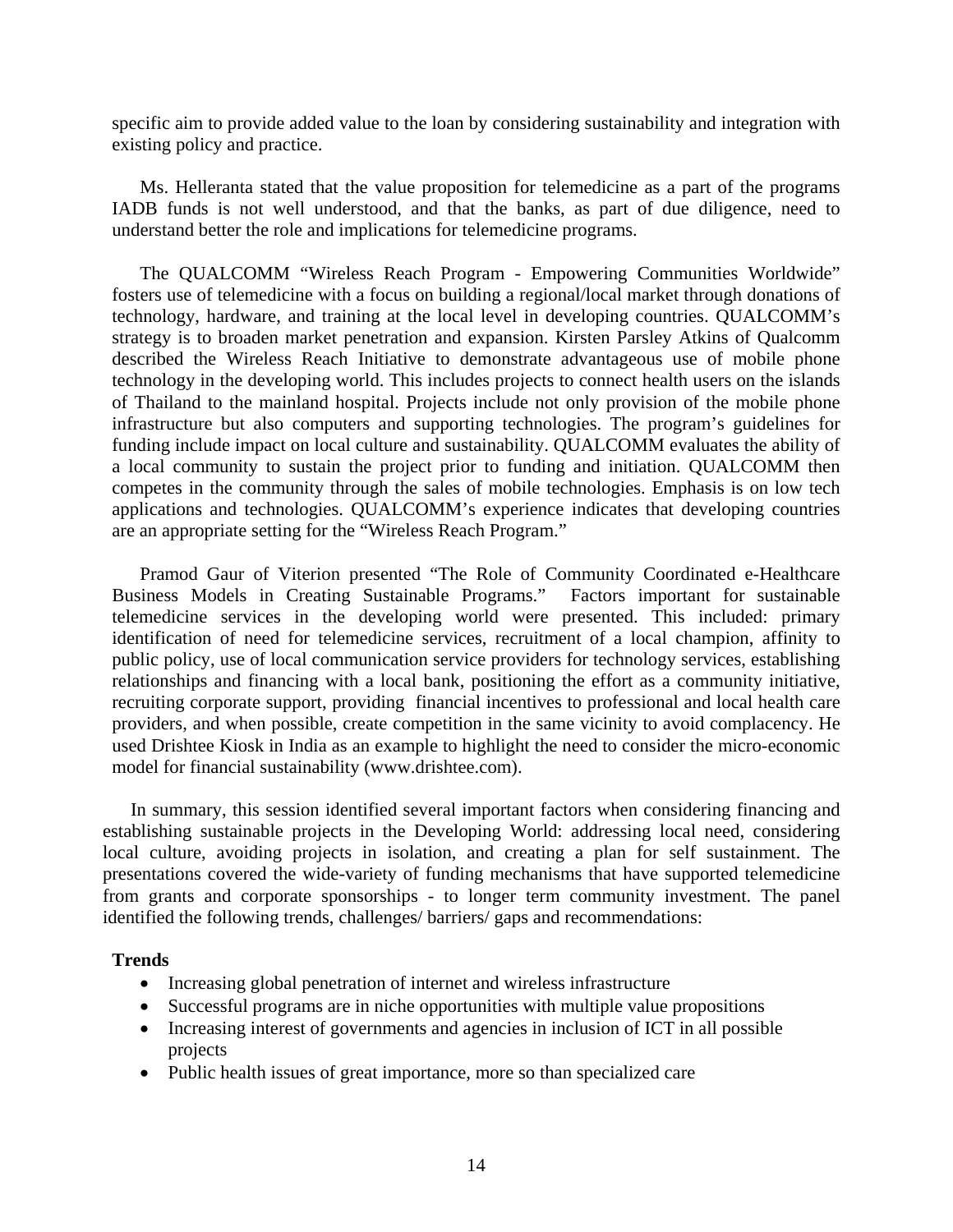specific aim to provide added value to the loan by considering sustainability and integration with existing policy and practice.

Ms. Helleranta stated that the value proposition for telemedicine as a part of the programs IADB funds is not well understood, and that the banks, as part of due diligence, need to understand better the role and implications for telemedicine programs.

The QUALCOMM "Wireless Reach Program - [Empowering Communities Worldwide"](http://www.atmeda.org/conf/Mid-Year%202007/Presentations/Atkins.ppt) fosters use of telemedicine with a focus on building a regional/local market through donations of technology, hardware, and training at the local level in developing countries. QUALCOMM's strategy is to broaden market penetration and expansion. Kirsten Parsley Atkins of Qualcomm described the Wireless Reach Initiative to demonstrate advantageous use of mobile phone technology in the developing world. This includes projects to connect health users on the islands of Thailand to the mainland hospital. Projects include not only provision of the mobile phone infrastructure but also computers and supporting technologies. The program's guidelines for funding include impact on local culture and sustainability. QUALCOMM evaluates the ability of a local community to sustain the project prior to funding and initiation. QUALCOMM then competes in the community through the sales of mobile technologies. Emphasis is on low tech applications and technologies. QUALCOMM's experience indicates that developing countries are an appropriate setting for the "Wireless Reach Program."

Pramod Gaur of Viterion presented "[The Role of Community Coordinated e-Healthcare](http://www.atmeda.org/conf/Mid-Year%202007/Presentations/Gaur%20ATA%20Sept%2007.ppt)  [Business Models in Creating Sustainable Programs.](http://www.atmeda.org/conf/Mid-Year%202007/Presentations/Gaur%20ATA%20Sept%2007.ppt)" Factors important for sustainable telemedicine services in the developing world were presented. This included: primary identification of need for telemedicine services, recruitment of a local champion, affinity to public policy, use of local communication service providers for technology services, establishing relationships and financing with a local bank, positioning the effort as a community initiative, recruiting corporate support, providing financial incentives to professional and local health care providers, and when possible, create competition in the same vicinity to avoid complacency. He used Drishtee Kiosk in India as an example to highlight the need to consider the micro-economic model for financial sustainability (www.drishtee.com).

In summary, this session identified several important factors when considering financing and establishing sustainable projects in the Developing World: addressing local need, considering local culture, avoiding projects in isolation, and creating a plan for self sustainment. The presentations covered the wide-variety of funding mechanisms that have supported telemedicine from grants and corporate sponsorships - to longer term community investment. The panel identified the following trends, challenges/ barriers/ gaps and recommendations:

#### **Trends**

- Increasing global penetration of internet and wireless infrastructure
- Successful programs are in niche opportunities with multiple value propositions
- Increasing interest of governments and agencies in inclusion of ICT in all possible projects
- Public health issues of great importance, more so than specialized care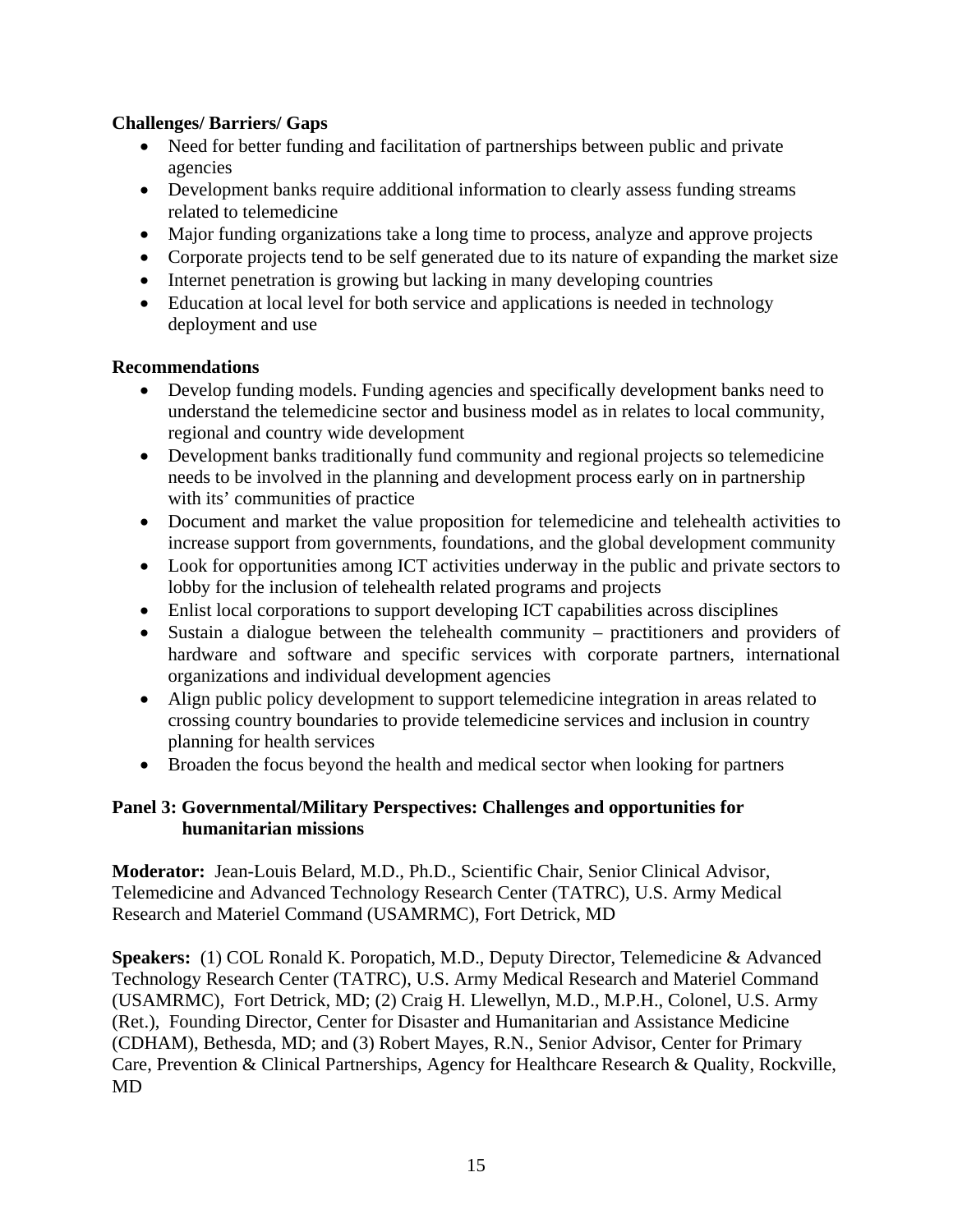### **Challenges/ Barriers/ Gaps**

- Need for better funding and facilitation of partnerships between public and private agencies
- Development banks require additional information to clearly assess funding streams related to telemedicine
- Major funding organizations take a long time to process, analyze and approve projects
- Corporate projects tend to be self generated due to its nature of expanding the market size
- Internet penetration is growing but lacking in many developing countries
- Education at local level for both service and applications is needed in technology deployment and use

#### **Recommendations**

- Develop funding models. Funding agencies and specifically development banks need to understand the telemedicine sector and business model as in relates to local community, regional and country wide development
- Development banks traditionally fund community and regional projects so telemedicine needs to be involved in the planning and development process early on in partnership with its' communities of practice
- Document and market the value proposition for telemedicine and telehealth activities to increase support from governments, foundations, and the global development community
- Look for opportunities among ICT activities underway in the public and private sectors to lobby for the inclusion of telehealth related programs and projects
- Enlist local corporations to support developing ICT capabilities across disciplines
- Sustain a dialogue between the telehealth community practitioners and providers of hardware and software and specific services with corporate partners, international organizations and individual development agencies
- Align public policy development to support telemedicine integration in areas related to crossing country boundaries to provide telemedicine services and inclusion in country planning for health services
- Broaden the focus beyond the health and medical sector when looking for partners

#### **Panel 3: Governmental/Military Perspectives: Challenges and opportunities for humanitarian missions**

**Moderator:** Jean-Louis Belard, M.D., Ph.D., Scientific Chair, Senior Clinical Advisor, Telemedicine and Advanced Technology Research Center (TATRC), U.S. Army Medical Research and Materiel Command (USAMRMC), Fort Detrick, MD

**Speakers:** (1) [COL Ronald K. Poropatich, M.D](http://www.atmeda.org/about/poropatich.html)., Deputy Director, Telemedicine & Advanced Technology Research Center (TATRC), U.S. Army Medical Research and Materiel Command (USAMRMC), Fort Detrick, MD; (2) [Craig H. Llewellyn, M.D., M.P.H., Colonel, U.S. Army](http://www.atmeda.org/conf/Mid-Year%202007/Bios/Llewellyn.htm)  [\(Ret.\),](http://www.atmeda.org/conf/Mid-Year%202007/Bios/Llewellyn.htm) Founding Director, Center for Disaster and Humanitarian and Assistance Medicine (CDHAM), Bethesda, MD; and (3) [Robert Mayes, R.N.](http://www.atmeda.org/conf/Mid-Year%202007/Bios/Mayes.htm), Senior Advisor, Center for Primary Care, Prevention & Clinical Partnerships, Agency for Healthcare Research & Quality, Rockville, MD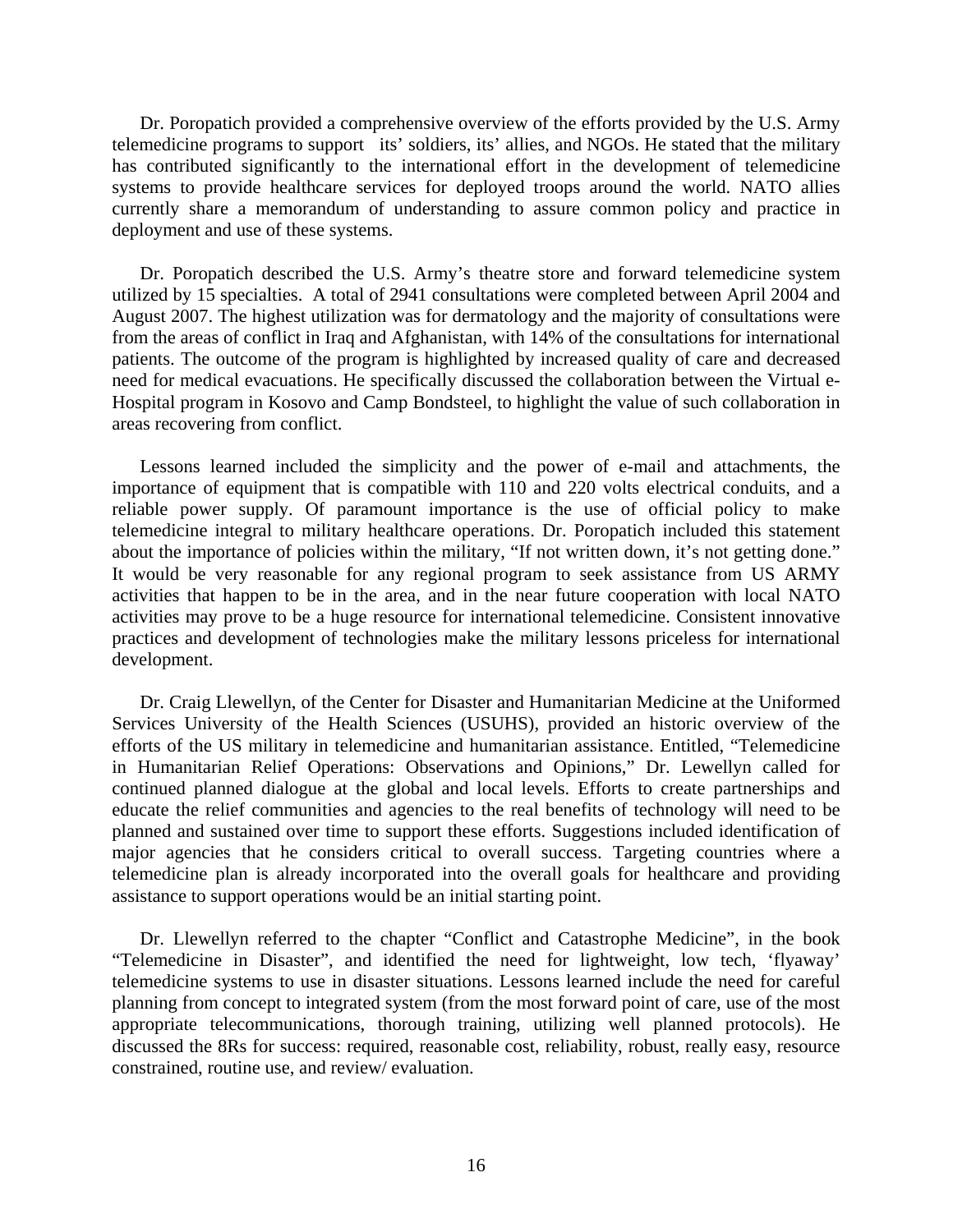Dr. Poropatich provided a comprehensive overview of the efforts provided by the [U.S. Army](http://www.atmeda.org/conf/Mid-Year%202007/Presentations/Poropatich.ATA.17Sep.ppt)  [telemedicine programs to support](http://www.atmeda.org/conf/Mid-Year%202007/Presentations/Poropatich.ATA.17Sep.ppt) its' soldiers, its' allies, and NGOs. He stated that the military has contributed significantly to the international effort in the development of telemedicine systems to provide healthcare services for deployed troops around the world. NATO allies currently share a memorandum of understanding to assure common policy and practice in deployment and use of these systems.

Dr. Poropatich described the U.S. Army's theatre store and forward telemedicine system utilized by 15 specialties. A total of 2941 consultations were completed between April 2004 and August 2007. The highest utilization was for dermatology and the majority of consultations were from the areas of conflict in Iraq and Afghanistan, with 14% of the consultations for international patients. The outcome of the program is highlighted by increased quality of care and decreased need for medical evacuations. He specifically discussed the collaboration between the Virtual e-Hospital program in Kosovo and Camp Bondsteel, to highlight the value of such collaboration in areas recovering from conflict.

Lessons learned included the simplicity and the power of e-mail and attachments, the importance of equipment that is compatible with 110 and 220 volts electrical conduits, and a reliable power supply. Of paramount importance is the use of official policy to make telemedicine integral to military healthcare operations. Dr. Poropatich included this statement about the importance of policies within the military, "If not written down, it's not getting done." It would be very reasonable for any regional program to seek assistance from US ARMY activities that happen to be in the area, and in the near future cooperation with local NATO activities may prove to be a huge resource for international telemedicine. Consistent innovative practices and development of technologies make the military lessons priceless for international development.

Dr. Craig Llewellyn, of the Center for Disaster and Humanitarian Medicine at the Uniformed Services University of the Health Sciences (USUHS), provided an historic overview of the efforts of the US military in telemedicine and humanitarian assistance. Entitled, "[Telemedicine](http://www.atmeda.org/conf/Mid-Year%202007/Presentations/Llewellyn.ppt)  [in Humanitarian Relief Operations: Observations and Opinions,](http://www.atmeda.org/conf/Mid-Year%202007/Presentations/Llewellyn.ppt)" Dr. Lewellyn called for continued planned dialogue at the global and local levels. Efforts to create partnerships and educate the relief communities and agencies to the real benefits of technology will need to be planned and sustained over time to support these efforts. Suggestions included identification of major agencies that he considers critical to overall success. Targeting countries where a telemedicine plan is already incorporated into the overall goals for healthcare and providing assistance to support operations would be an initial starting point.

Dr. Llewellyn referred to the chapter "Conflict and Catastrophe Medicine", in the book "Telemedicine in Disaster", and identified the need for lightweight, low tech, 'flyaway' telemedicine systems to use in disaster situations. Lessons learned include the need for careful planning from concept to integrated system (from the most forward point of care, use of the most appropriate telecommunications, thorough training, utilizing well planned protocols). He discussed the 8Rs for success: required, reasonable cost, reliability, robust, really easy, resource constrained, routine use, and review/ evaluation.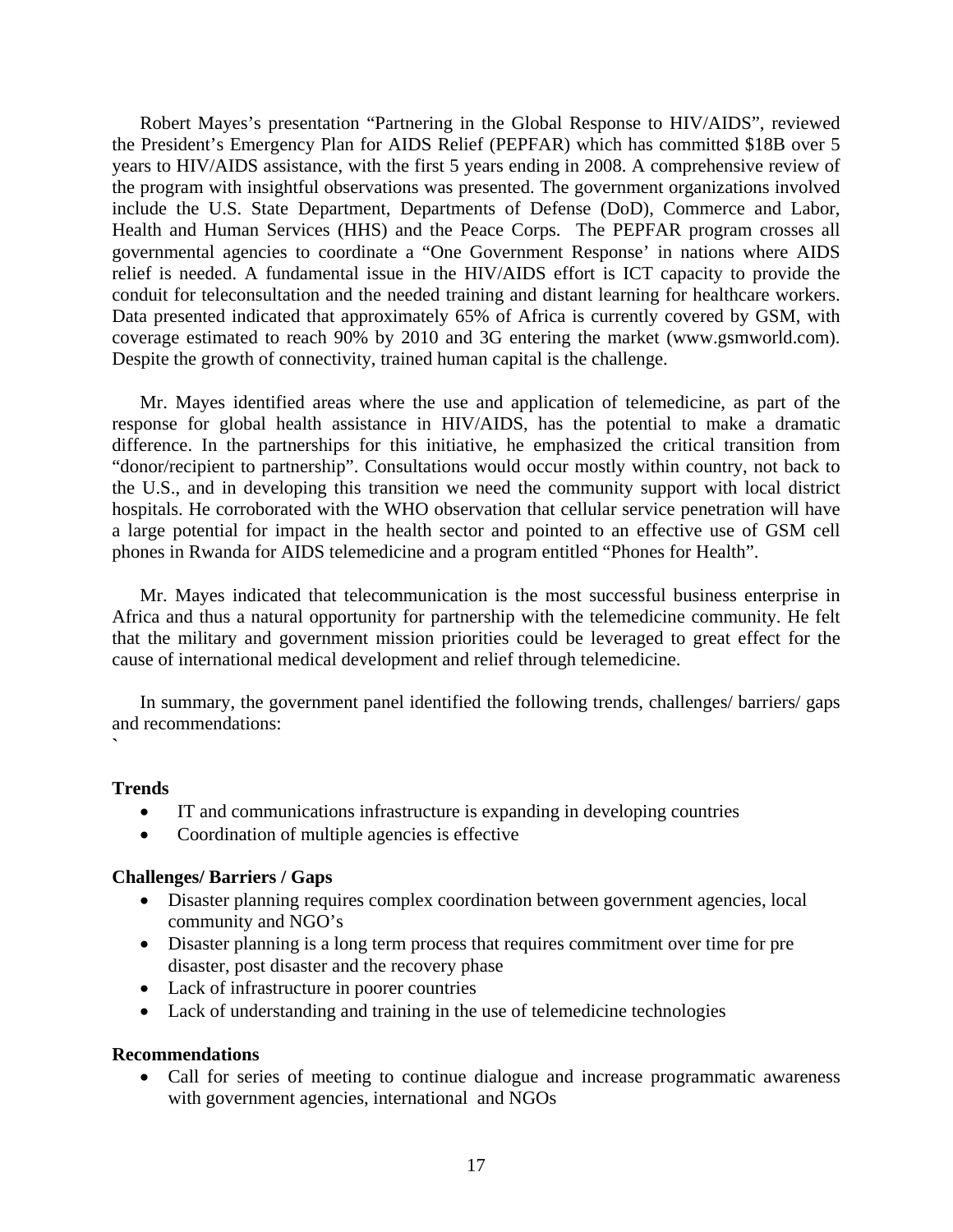Robert Mayes's presentation ["Partnering in the Global Response to HIV/AIDS](http://www.atmeda.org/conf/Mid-Year%202007/Presentations/Mayes%20ATA%2017%20Sept%2007.ppt)", reviewed the President's Emergency Plan for AIDS Relief (PEPFAR) which has committed \$18B over 5 years to HIV/AIDS assistance, with the first 5 years ending in 2008. A comprehensive review of the program with insightful observations was presented. The government organizations involved include the U.S. State Department, Departments of Defense (DoD), Commerce and Labor, Health and Human Services (HHS) and the Peace Corps. The PEPFAR program crosses all governmental agencies to coordinate a "One Government Response' in nations where AIDS relief is needed. A fundamental issue in the HIV/AIDS effort is ICT capacity to provide the conduit for teleconsultation and the needed training and distant learning for healthcare workers. Data presented indicated that approximately 65% of Africa is currently covered by GSM, with coverage estimated to reach 90% by 2010 and 3G entering the market (www.gsmworld.com). Despite the growth of connectivity, trained human capital is the challenge.

Mr. Mayes identified areas where the use and application of telemedicine, as part of the response for global health assistance in HIV/AIDS, has the potential to make a dramatic difference. In the partnerships for this initiative, he emphasized the critical transition from "donor/recipient to partnership". Consultations would occur mostly within country, not back to the U.S., and in developing this transition we need the community support with local district hospitals. He corroborated with the WHO observation that cellular service penetration will have a large potential for impact in the health sector and pointed to an effective use of GSM cell phones in Rwanda for AIDS telemedicine and a program entitled "Phones for Health".

Mr. Mayes indicated that telecommunication is the most successful business enterprise in Africa and thus a natural opportunity for partnership with the telemedicine community. He felt that the military and government mission priorities could be leveraged to great effect for the cause of international medical development and relief through telemedicine.

In summary, the government panel identified the following trends, challenges/ barriers/ gaps and recommendations:

#### **Trends**

**`** 

- IT and communications infrastructure is expanding in developing countries
- Coordination of multiple agencies is effective

#### **Challenges/ Barriers / Gaps**

- Disaster planning requires complex coordination between government agencies, local community and NGO's
- Disaster planning is a long term process that requires commitment over time for pre disaster, post disaster and the recovery phase
- Lack of infrastructure in poorer countries
- Lack of understanding and training in the use of telemedicine technologies

#### **Recommendations**

• Call for series of meeting to continue dialogue and increase programmatic awareness with government agencies, international and NGOs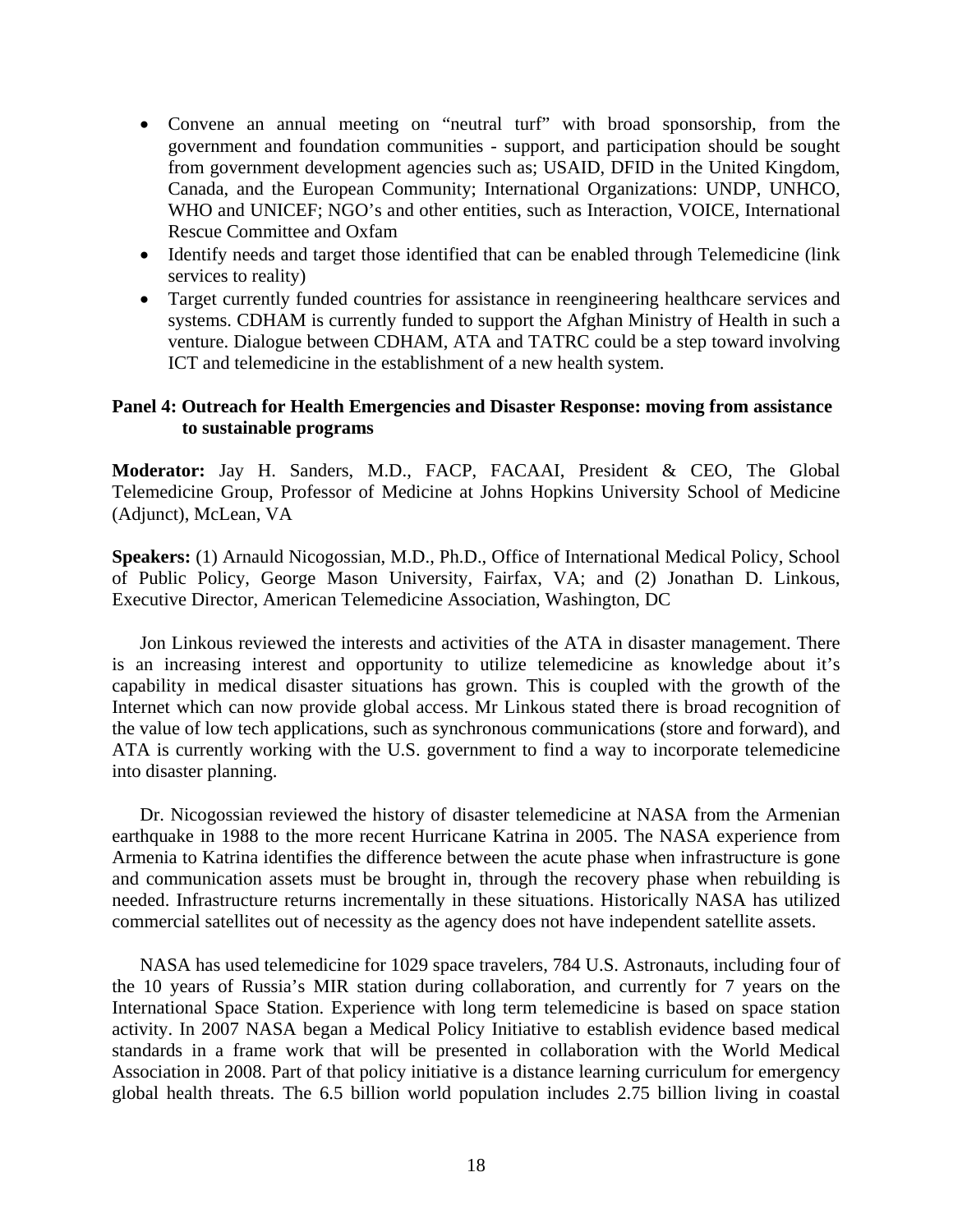- Convene an annual meeting on "neutral turf" with broad sponsorship, from the government and foundation communities - support, and participation should be sought from government development agencies such as; USAID, DFID in the United Kingdom, Canada, and the European Community; International Organizations: UNDP, UNHCO, WHO and UNICEF; NGO's and other entities, such as Interaction, VOICE, International Rescue Committee and Oxfam
- Identify needs and target those identified that can be enabled through Telemedicine (link services to reality)
- Target currently funded countries for assistance in reengineering healthcare services and systems. CDHAM is currently funded to support the Afghan Ministry of Health in such a venture. Dialogue between CDHAM, ATA and TATRC could be a step toward involving ICT and telemedicine in the establishment of a new health system.

#### **Panel 4: Outreach for Health Emergencies and Disaster Response: moving from assistance to sustainable programs**

**Moderator:** [Jay H. Sanders, M.D., FACP, FACAAI](http://www.atmeda.org/about/sanders.html), President & CEO, The Global Telemedicine Group, Professor of Medicine at Johns Hopkins University School of Medicine (Adjunct), McLean, VA

**Speakers:** (1) [Arnauld Nicogossian, M.D., Ph.D.](http://www.atmeda.org/conf/Mid-Year%202007/Bios/Nicogossian.htm), Office of International Medical Policy, School of Public Policy, George Mason University, Fairfax, VA; and (2) [Jonathan D. Linkous,](http://www.atmeda.org/about/linkous.html) Executive Director, American Telemedicine Association, Washington, DC

Jon Linkous reviewed the interests and activities of the ATA in disaster management. There is an increasing interest and opportunity to utilize telemedicine as knowledge about it's capability in medical disaster situations has grown. This is coupled with the growth of the Internet which can now provide global access. Mr Linkous stated there is broad recognition of the value of low tech applications, such as synchronous communications (store and forward), and ATA is currently working with the U.S. government to find a way to incorporate telemedicine into disaster planning.

Dr. Nicogossian reviewed the history of disaster telemedicine at NASA from the Armenian earthquake in 1988 to the more recent Hurricane Katrina in 2005. The NASA experience from Armenia to Katrina identifies the difference between the acute phase when infrastructure is gone and communication assets must be brought in, through the recovery phase when rebuilding is needed. Infrastructure returns incrementally in these situations. Historically NASA has utilized commercial satellites out of necessity as the agency does not have independent satellite assets.

NASA has used telemedicine for 1029 space travelers, 784 U.S. Astronauts, including four of the 10 years of Russia's MIR station during collaboration, and currently for 7 years on the International Space Station. Experience with long term telemedicine is based on space station activity. In 2007 NASA began a Medical Policy Initiative to establish evidence based medical standards in a frame work that will be presented in collaboration with the World Medical Association in 2008. Part of that policy initiative is a distance learning curriculum for emergency global health threats. The 6.5 billion world population includes 2.75 billion living in coastal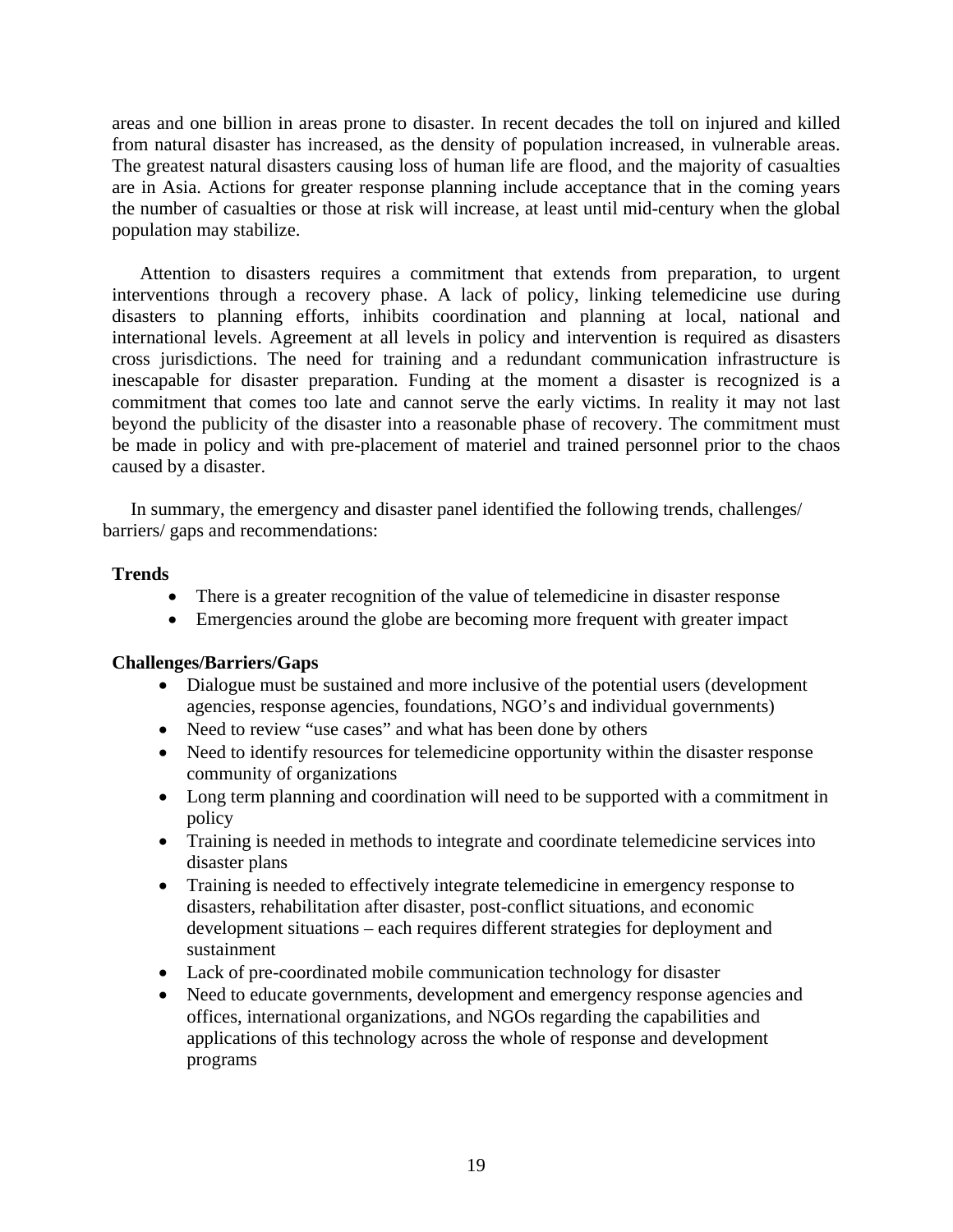areas and one billion in areas prone to disaster. In recent decades the toll on injured and killed from natural disaster has increased, as the density of population increased, in vulnerable areas. The greatest natural disasters causing loss of human life are flood, and the majority of casualties are in Asia. Actions for greater response planning include acceptance that in the coming years the number of casualties or those at risk will increase, at least until mid-century when the global population may stabilize.

Attention to disasters requires a commitment that extends from preparation, to urgent interventions through a recovery phase. A lack of policy, linking telemedicine use during disasters to planning efforts, inhibits coordination and planning at local, national and international levels. Agreement at all levels in policy and intervention is required as disasters cross jurisdictions. The need for training and a redundant communication infrastructure is inescapable for disaster preparation. Funding at the moment a disaster is recognized is a commitment that comes too late and cannot serve the early victims. In reality it may not last beyond the publicity of the disaster into a reasonable phase of recovery. The commitment must be made in policy and with pre-placement of materiel and trained personnel prior to the chaos caused by a disaster.

In summary, the emergency and disaster panel identified the following trends, challenges/ barriers/ gaps and recommendations:

#### **Trends**

- There is a greater recognition of the value of telemedicine in disaster response
- Emergencies around the globe are becoming more frequent with greater impact

#### **Challenges/Barriers/Gaps**

- Dialogue must be sustained and more inclusive of the potential users (development agencies, response agencies, foundations, NGO's and individual governments)
- Need to review "use cases" and what has been done by others
- Need to identify resources for telemedicine opportunity within the disaster response community of organizations
- Long term planning and coordination will need to be supported with a commitment in policy
- Training is needed in methods to integrate and coordinate telemedicine services into disaster plans
- Training is needed to effectively integrate telemedicine in emergency response to disasters, rehabilitation after disaster, post-conflict situations, and economic development situations – each requires different strategies for deployment and sustainment
- Lack of pre-coordinated mobile communication technology for disaster
- Need to educate governments, development and emergency response agencies and offices, international organizations, and NGOs regarding the capabilities and applications of this technology across the whole of response and development programs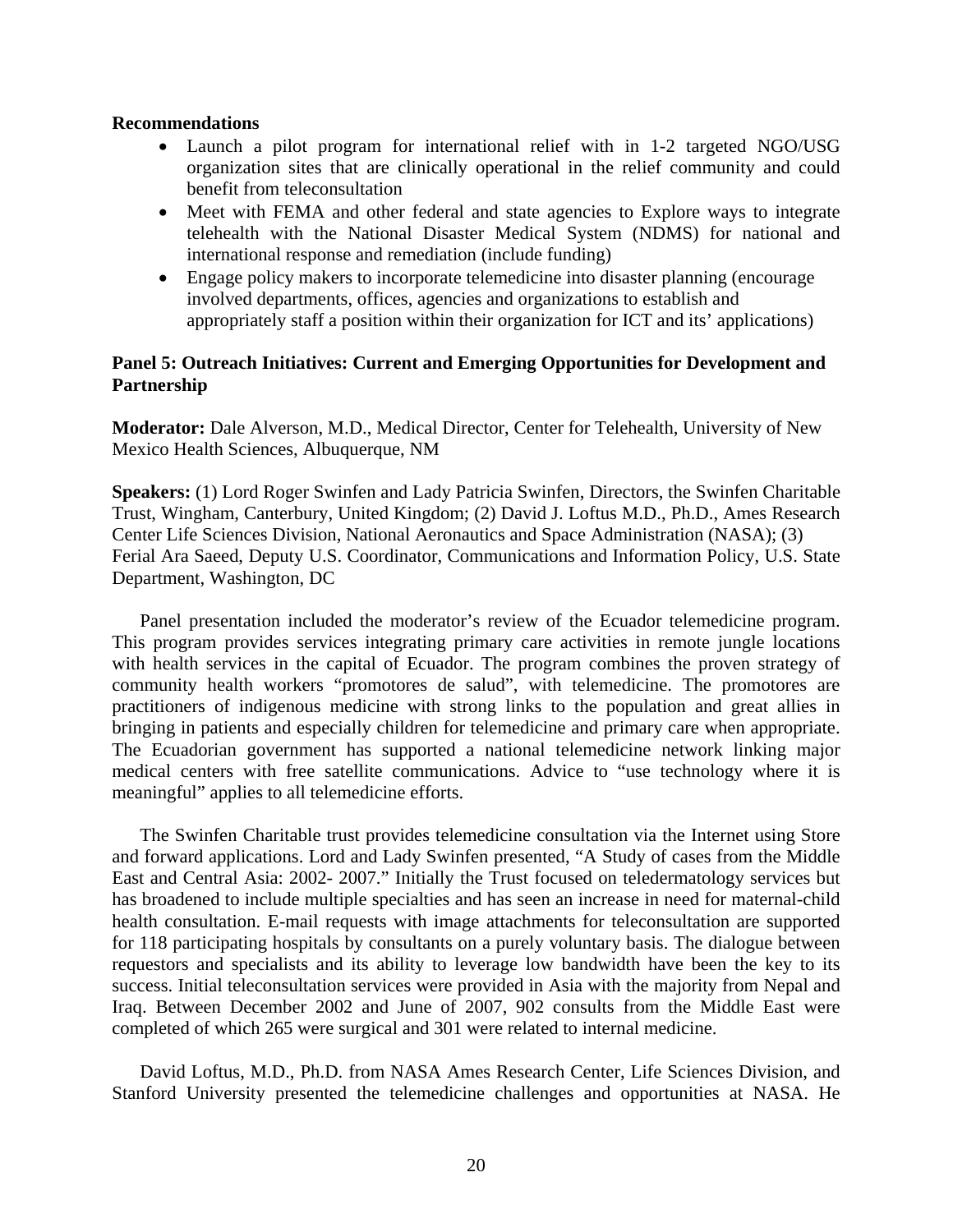#### **Recommendations**

- Launch a pilot program for international relief with in 1-2 targeted NGO/USG organization sites that are clinically operational in the relief community and could benefit from teleconsultation
- Meet with FEMA and other federal and state agencies to Explore ways to integrate telehealth with the National Disaster Medical System (NDMS) for national and international response and remediation (include funding)
- Engage policy makers to incorporate telemedicine into disaster planning (encourage involved departments, offices, agencies and organizations to establish and appropriately staff a position within their organization for ICT and its' applications)

#### **Panel 5: Outreach Initiatives: Current and Emerging Opportunities for Development and Partnership**

**Moderator:** Dale Alverson, M.D., Medical Director, Center for Telehealth, University of New Mexico Health Sciences, Albuquerque, NM

**Speakers:** (1) Lord Roger Swinfen and Lady Patricia Swinfen, Directors, the Swinfen Charitable Trust, Wingham, Canterbury, United Kingdom; (2) [David J. Loftus M.D., Ph.D.](http://www.atmeda.org/conf/Mid-Year%202007/Bios/Loftus.htm), Ames Research Center Life Sciences Division, National Aeronautics and Space Administration (NASA); (3) [Ferial Ara Saeed](http://www.atmeda.org/conf/Mid-Year%202007/Bios/Saeed.htm), Deputy U.S. Coordinator, Communications and Information Policy, U.S. State Department, Washington, DC

Panel presentation included the moderator's review of the Ecuador telemedicine program. This program provides services integrating primary care activities in remote jungle locations with health services in the capital of Ecuador. The program combines the proven strategy of community health workers "promotores de salud", with telemedicine. The promotores are practitioners of indigenous medicine with strong links to the population and great allies in bringing in patients and especially children for telemedicine and primary care when appropriate. The Ecuadorian government has supported a national telemedicine network linking major medical centers with free satellite communications. Advice to "use technology where it is meaningful" applies to all telemedicine efforts.

The Swinfen Charitable trust provides telemedicine consultation via the Internet using Store and forward applications. Lord and Lady Swinfen presented, ["A Study of cases from the Middle](http://www.atmeda.org/conf/Mid-Year%202007/Presentations/Swinfen.ppt)  [East and Central Asia: 2002- 2007.](http://www.atmeda.org/conf/Mid-Year%202007/Presentations/Swinfen.ppt)" Initially the Trust focused on teledermatology services but has broadened to include multiple specialties and has seen an increase in need for maternal-child health consultation. E-mail requests with image attachments for teleconsultation are supported for 118 participating hospitals by consultants on a purely voluntary basis. The dialogue between requestors and specialists and its ability to leverage low bandwidth have been the key to its success. Initial teleconsultation services were provided in Asia with the majority from Nepal and Iraq. Between December 2002 and June of 2007, 902 consults from the Middle East were completed of which 265 were surgical and 301 were related to internal medicine.

David Loftus, M.D., Ph.D. from NASA Ames Research Center, Life Sciences Division, and Stanford University presented the telemedicine challenges and opportunities at NASA. He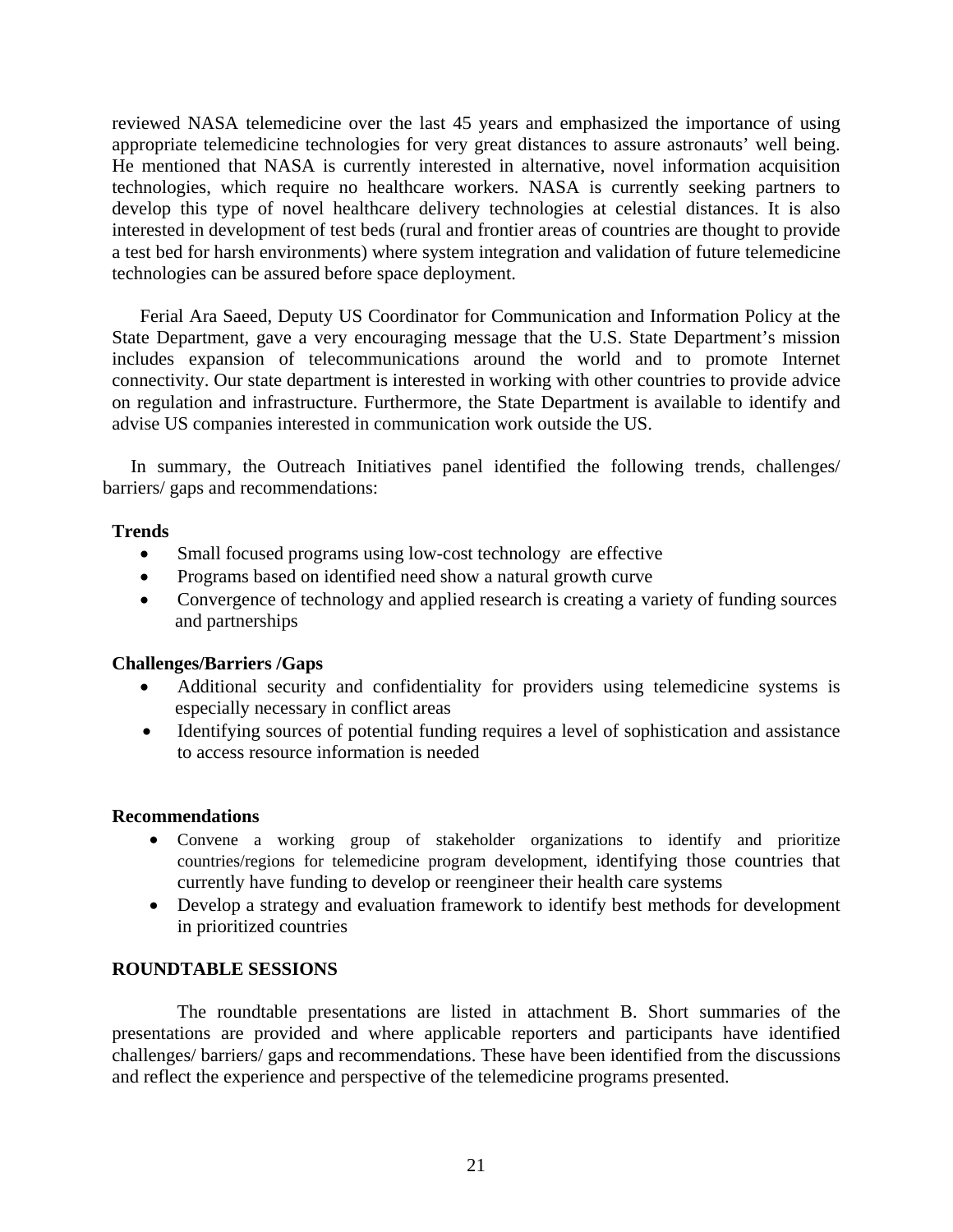reviewed NASA telemedicine over the last 45 years and emphasized the importance of using appropriate telemedicine technologies for very great distances to assure astronauts' well being. He mentioned that NASA is currently interested in alternative, novel information acquisition technologies, which require no healthcare workers. NASA is currently seeking partners to develop this type of novel healthcare delivery technologies at celestial distances. It is also interested in development of test beds (rural and frontier areas of countries are thought to provide a test bed for harsh environments) where system integration and validation of future telemedicine technologies can be assured before space deployment.

Ferial Ara Saeed, Deputy US Coordinator for Communication and Information Policy at the State Department, gave a very encouraging message that the U.S. State Department's mission includes expansion of telecommunications around the world and to promote Internet connectivity. Our state department is interested in working with other countries to provide advice on regulation and infrastructure. Furthermore, the State Department is available to identify and advise US companies interested in communication work outside the US.

In summary, the Outreach Initiatives panel identified the following trends, challenges/ barriers/ gaps and recommendations:

#### **Trends**

- Small focused programs using low-cost technology are effective
- Programs based on identified need show a natural growth curve
- Convergence of technology and applied research is creating a variety of funding sources and partnerships

#### **Challenges/Barriers /Gaps**

- Additional security and confidentiality for providers using telemedicine systems is especially necessary in conflict areas
- Identifying sources of potential funding requires a level of sophistication and assistance to access resource information is needed

#### **Recommendations**

- Convene a working group of stakeholder organizations to identify and prioritize countries/regions for telemedicine program development, identifying those countries that currently have funding to develop or reengineer their health care systems
- Develop a strategy and evaluation framework to identify best methods for development in prioritized countries

#### **ROUNDTABLE SESSIONS**

The roundtable presentations are listed in attachment B. Short summaries of the presentations are provided and where applicable reporters and participants have identified challenges/ barriers/ gaps and recommendations. These have been identified from the discussions and reflect the experience and perspective of the telemedicine programs presented.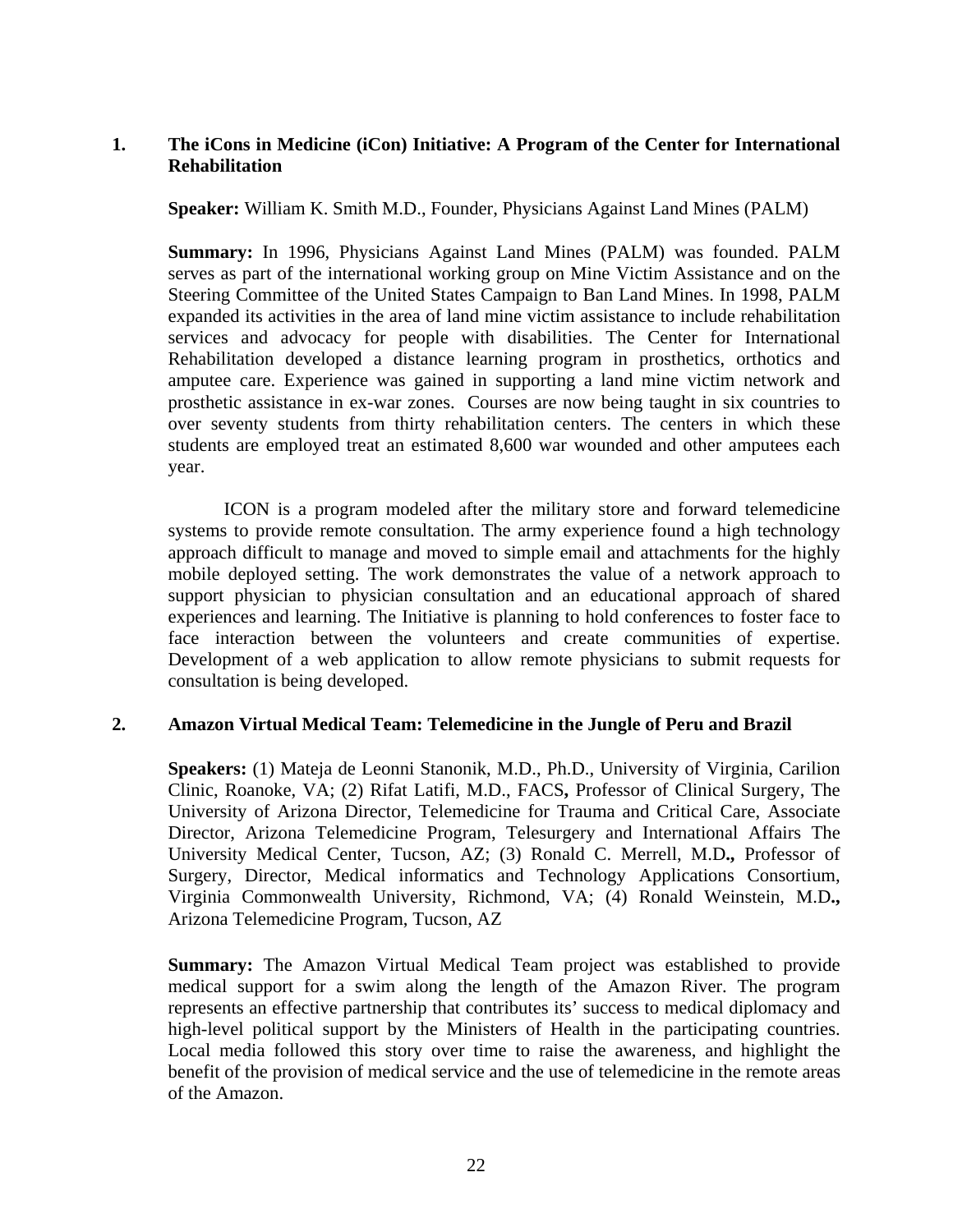#### **1. The iCons in Medicine (iCon) Initiative: A Program of the Center for International Rehabilitation**

**Speaker:** William K. Smith M.D., Founder, Physicians Against Land Mines (PALM)

**Summary:** In 1996, Physicians Against Land Mines (PALM) was founded. PALM serves as part of the international working group on Mine Victim Assistance and on the Steering Committee of the United States Campaign to Ban Land Mines. In 1998, PALM expanded its activities in the area of land mine victim assistance to include rehabilitation services and advocacy for people with disabilities. The Center for International Rehabilitation developed a distance learning program in prosthetics, orthotics and amputee care. Experience was gained in supporting a land mine victim network and prosthetic assistance in ex-war zones. Courses are now being taught in six countries to over seventy students from thirty rehabilitation centers. The centers in which these students are employed treat an estimated 8,600 war wounded and other amputees each year.

ICON is a program modeled after the military store and forward telemedicine systems to provide remote consultation. The army experience found a high technology approach difficult to manage and moved to simple email and attachments for the highly mobile deployed setting. The work demonstrates the value of a network approach to support physician to physician consultation and an educational approach of shared experiences and learning. The Initiative is planning to hold conferences to foster face to face interaction between the volunteers and create communities of expertise. Development of a web application to allow remote physicians to submit requests for consultation is being developed.

#### **2. Amazon Virtual Medical Team: Telemedicine in the Jungle of Peru and Brazil**

**Speakers:** (1) [Mateja de Leonni Stanonik, M.D., Ph.D.](http://www.atmeda.org/conf/Mid-Year%202007/Bios/Stanonik.htm), University of Virginia, Carilion Clinic, Roanoke, VA; (2) [Rifat Latifi, M.D., FACS](http://www.atmeda.org/conf/Mid-Year%202007/Bios/latifi.htm)**,** Professor of Clinical Surgery, The University of Arizona Director, Telemedicine for Trauma and Critical Care, Associate Director, Arizona Telemedicine Program, Telesurgery and International Affairs The University Medical Center, Tucson, AZ; (3) [Ronald C. Merrell, M.D](http://www.atmeda.org/conf/Mid-Year%202007/Bios/Merrell.htm)**.,** Professor of Surgery, Director, Medical informatics and Technology Applications Consortium, Virginia Commonwealth University, Richmond, VA; (4) [Ronald Weinstein, M.D](http://www.atmeda.org/conf/Mid-Year%202007/Bios/Weinstein.htm)**.,**  Arizona Telemedicine Program, Tucson, AZ

**Summary:** The Amazon Virtual Medical Team project was established to provide medical support for a swim along the length of the Amazon River. The program represents an effective partnership that contributes its' success to medical diplomacy and high-level political support by the Ministers of Health in the participating countries. Local media followed this story over time to raise the awareness, and highlight the benefit of the provision of medical service and the use of telemedicine in the remote areas of the Amazon.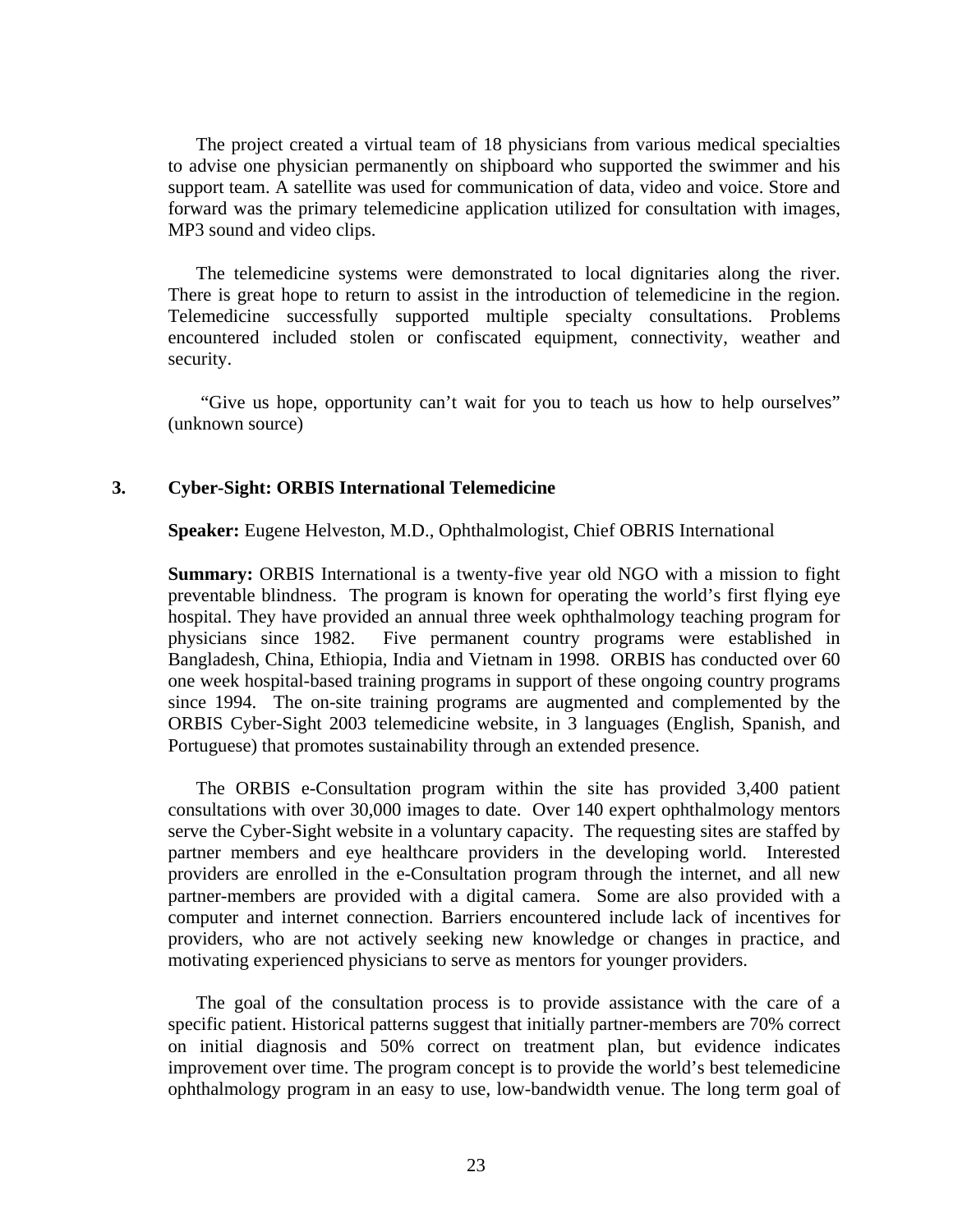The project created a virtual team of 18 physicians from various medical specialties to advise one physician permanently on shipboard who supported the swimmer and his support team. A satellite was used for communication of data, video and voice. Store and forward was the primary telemedicine application utilized for consultation with images, MP3 sound and video clips.

The telemedicine systems were demonstrated to local dignitaries along the river. There is great hope to return to assist in the introduction of telemedicine in the region. Telemedicine successfully supported multiple specialty consultations. Problems encountered included stolen or confiscated equipment, connectivity, weather and security.

 "Give us hope, opportunity can't wait for you to teach us how to help ourselves" (unknown source)

#### **3. Cyber-Sight: ORBIS International Telemedicine**

**Speaker:** Eugene Helveston, M.D., Ophthalmologist, Chief OBRIS International

**Summary:** ORBIS International is a twenty-five year old NGO with a mission to fight preventable blindness. The program is known for operating the world's first flying eye hospital. They have provided an annual three week ophthalmology teaching program for physicians since 1982. Five permanent country programs were established in Bangladesh, China, Ethiopia, India and Vietnam in 1998. ORBIS has conducted over 60 one week hospital-based training programs in support of these ongoing country programs since 1994. The on-site training programs are augmented and complemented by the ORBIS Cyber-Sight 2003 telemedicine website, in 3 languages (English, Spanish, and Portuguese) that promotes sustainability through an extended presence.

The ORBIS e-Consultation program within the site has provided 3,400 patient consultations with over 30,000 images to date. Over 140 expert ophthalmology mentors serve the Cyber-Sight website in a voluntary capacity. The requesting sites are staffed by partner members and eye healthcare providers in the developing world. Interested providers are enrolled in the e-Consultation program through the internet, and all new partner-members are provided with a digital camera. Some are also provided with a computer and internet connection. Barriers encountered include lack of incentives for providers, who are not actively seeking new knowledge or changes in practice, and motivating experienced physicians to serve as mentors for younger providers.

The goal of the consultation process is to provide assistance with the care of a specific patient. Historical patterns suggest that initially partner-members are 70% correct on initial diagnosis and 50% correct on treatment plan, but evidence indicates improvement over time. The program concept is to provide the world's best telemedicine ophthalmology program in an easy to use, low-bandwidth venue. The long term goal of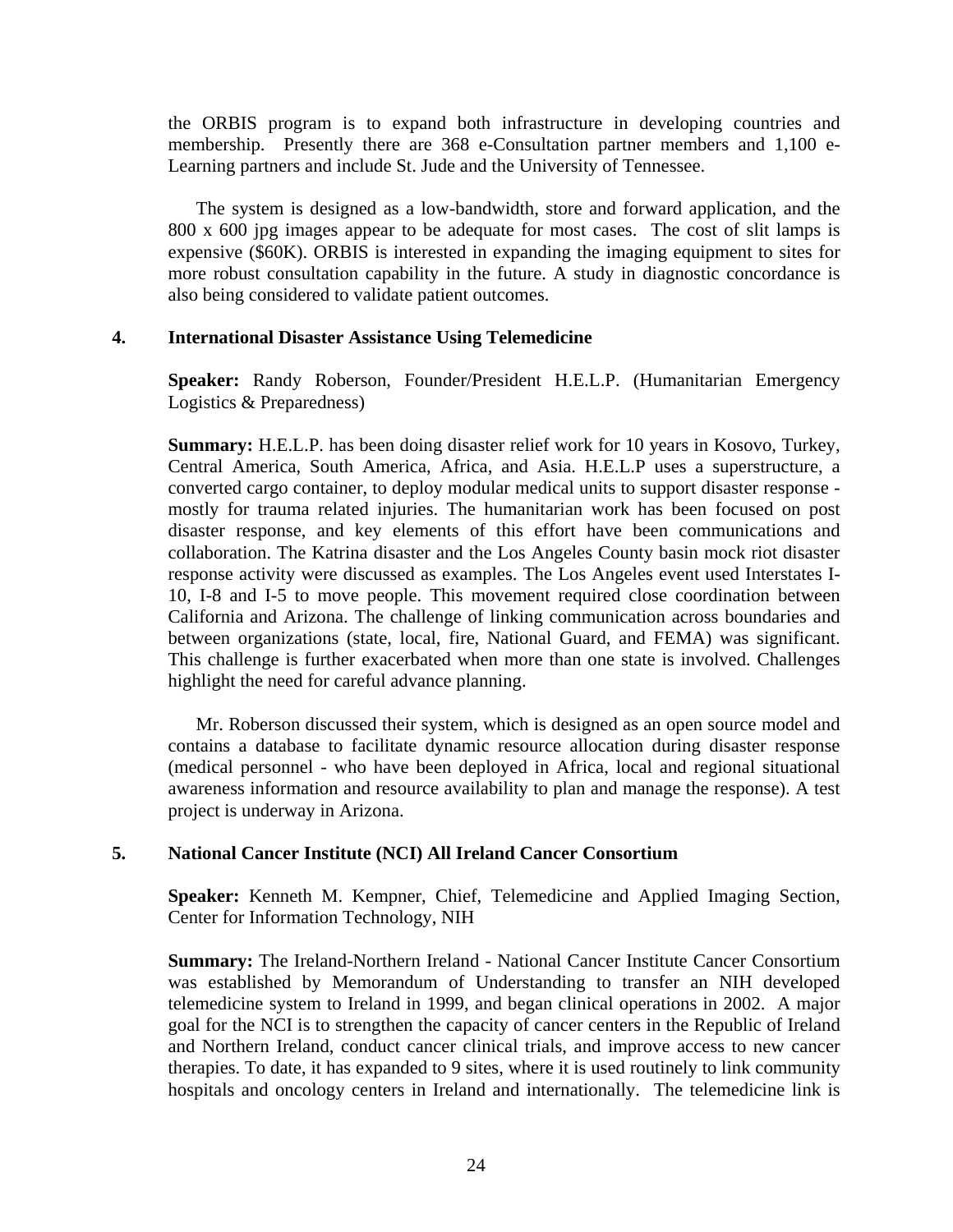the ORBIS program is to expand both infrastructure in developing countries and membership. Presently there are 368 e-Consultation partner members and 1,100 e-Learning partners and include St. Jude and the University of Tennessee.

The system is designed as a low-bandwidth, store and forward application, and the 800 x 600 jpg images appear to be adequate for most cases. The cost of slit lamps is expensive (\$60K). ORBIS is interested in expanding the imaging equipment to sites for more robust consultation capability in the future. A study in diagnostic concordance is also being considered to validate patient outcomes.

#### **4. International Disaster Assistance Using Telemedicine**

**Speaker:** Randy Roberson, Founder/President H.E.L.P. (Humanitarian Emergency Logistics & Preparedness)

**Summary:** H.E.L.P. has been doing disaster relief work for 10 years in Kosovo, Turkey, Central America, South America, Africa, and Asia. H.E.L.P uses a superstructure, a converted cargo container, to deploy modular medical units to support disaster response mostly for trauma related injuries. The humanitarian work has been focused on post disaster response, and key elements of this effort have been communications and collaboration. The Katrina disaster and the Los Angeles County basin mock riot disaster response activity were discussed as examples. The Los Angeles event used Interstates I-10, I-8 and I-5 to move people. This movement required close coordination between California and Arizona. The challenge of linking communication across boundaries and between organizations (state, local, fire, National Guard, and FEMA) was significant. This challenge is further exacerbated when more than one state is involved. Challenges highlight the need for careful advance planning.

Mr. Roberson discussed their system, which is designed as an open source model and contains a database to facilitate dynamic resource allocation during disaster response (medical personnel - who have been deployed in Africa, local and regional situational awareness information and resource availability to plan and manage the response). A test project is underway in Arizona.

#### **5. National Cancer Institute (NCI) All Ireland Cancer Consortium**

**Speaker:** Kenneth M. Kempner, Chief, Telemedicine and Applied Imaging Section, Center for Information Technology, NIH

**Summary:** The Ireland-Northern Ireland - National Cancer Institute Cancer Consortium was established by Memorandum of Understanding to transfer an NIH developed telemedicine system to Ireland in 1999, and began clinical operations in 2002. A major goal for the NCI is to strengthen the capacity of cancer centers in the Republic of Ireland and Northern Ireland, conduct cancer clinical trials, and improve access to new cancer therapies. To date, it has expanded to 9 sites, where it is used routinely to link community hospitals and oncology centers in Ireland and internationally. The telemedicine link is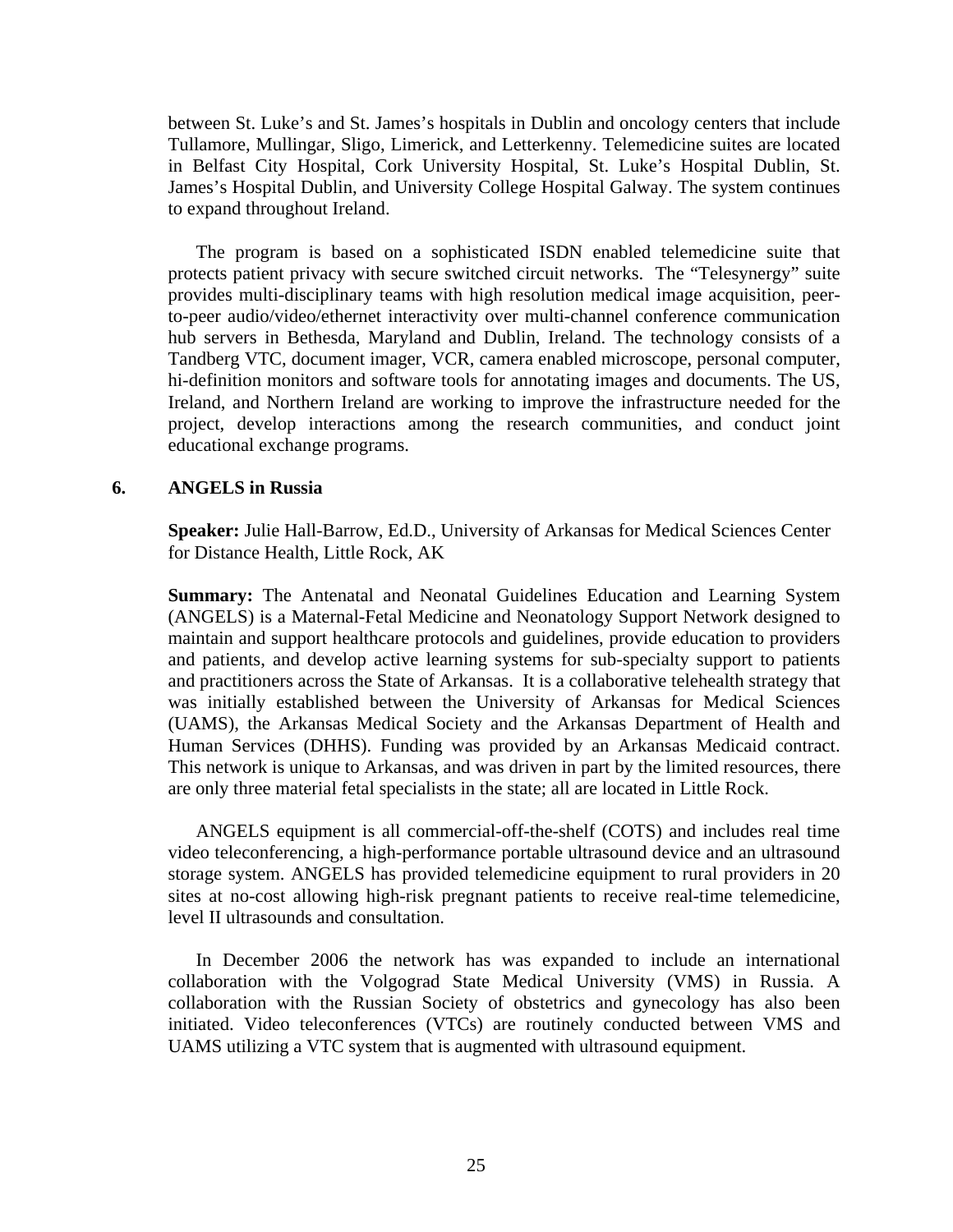between St. Luke's and St. James's hospitals in Dublin and oncology centers that include Tullamore, Mullingar, Sligo, Limerick, and Letterkenny. Telemedicine suites are located in Belfast City Hospital, Cork University Hospital, St. Luke's Hospital Dublin, St. James's Hospital Dublin, and University College Hospital Galway. The system continues to expand throughout Ireland.

The program is based on a sophisticated ISDN enabled telemedicine suite that protects patient privacy with secure switched circuit networks. The "Telesynergy" suite provides multi-disciplinary teams with high resolution medical image acquisition, peerto-peer audio/video/ethernet interactivity over multi-channel conference communication hub servers in Bethesda, Maryland and Dublin, Ireland. The technology consists of a Tandberg VTC, document imager, VCR, camera enabled microscope, personal computer, hi-definition monitors and software tools for annotating images and documents. The US, Ireland, and Northern Ireland are working to improve the infrastructure needed for the project, develop interactions among the research communities, and conduct joint educational exchange programs.

#### **6. ANGELS in Russia**

**Speaker:** Julie Hall-Barrow, Ed.D., University of Arkansas for Medical Sciences Center for Distance Health, Little Rock, AK

**Summary:** The Antenatal and Neonatal Guidelines Education and Learning System (ANGELS) is a Maternal-Fetal Medicine and Neonatology Support Network designed to maintain and support healthcare protocols and guidelines, provide education to providers and patients, and develop active learning systems for sub-specialty support to patients and practitioners across the State of Arkansas. It is a collaborative telehealth strategy that was initially established between the University of Arkansas for Medical Sciences (UAMS), the Arkansas Medical Society and the Arkansas Department of Health and Human Services (DHHS). Funding was provided by an Arkansas Medicaid contract. This network is unique to Arkansas, and was driven in part by the limited resources, there are only three material fetal specialists in the state; all are located in Little Rock.

ANGELS equipment is all commercial-off-the-shelf (COTS) and includes real time video teleconferencing, a high-performance portable ultrasound device and an ultrasound storage system. ANGELS has provided telemedicine equipment to rural providers in 20 sites at no-cost allowing high-risk pregnant patients to receive real-time telemedicine, level II ultrasounds and consultation.

In December 2006 the network has was expanded to include an international collaboration with the Volgograd State Medical University (VMS) in Russia. A collaboration with the Russian Society of obstetrics and gynecology has also been initiated. Video teleconferences (VTCs) are routinely conducted between VMS and UAMS utilizing a VTC system that is augmented with ultrasound equipment.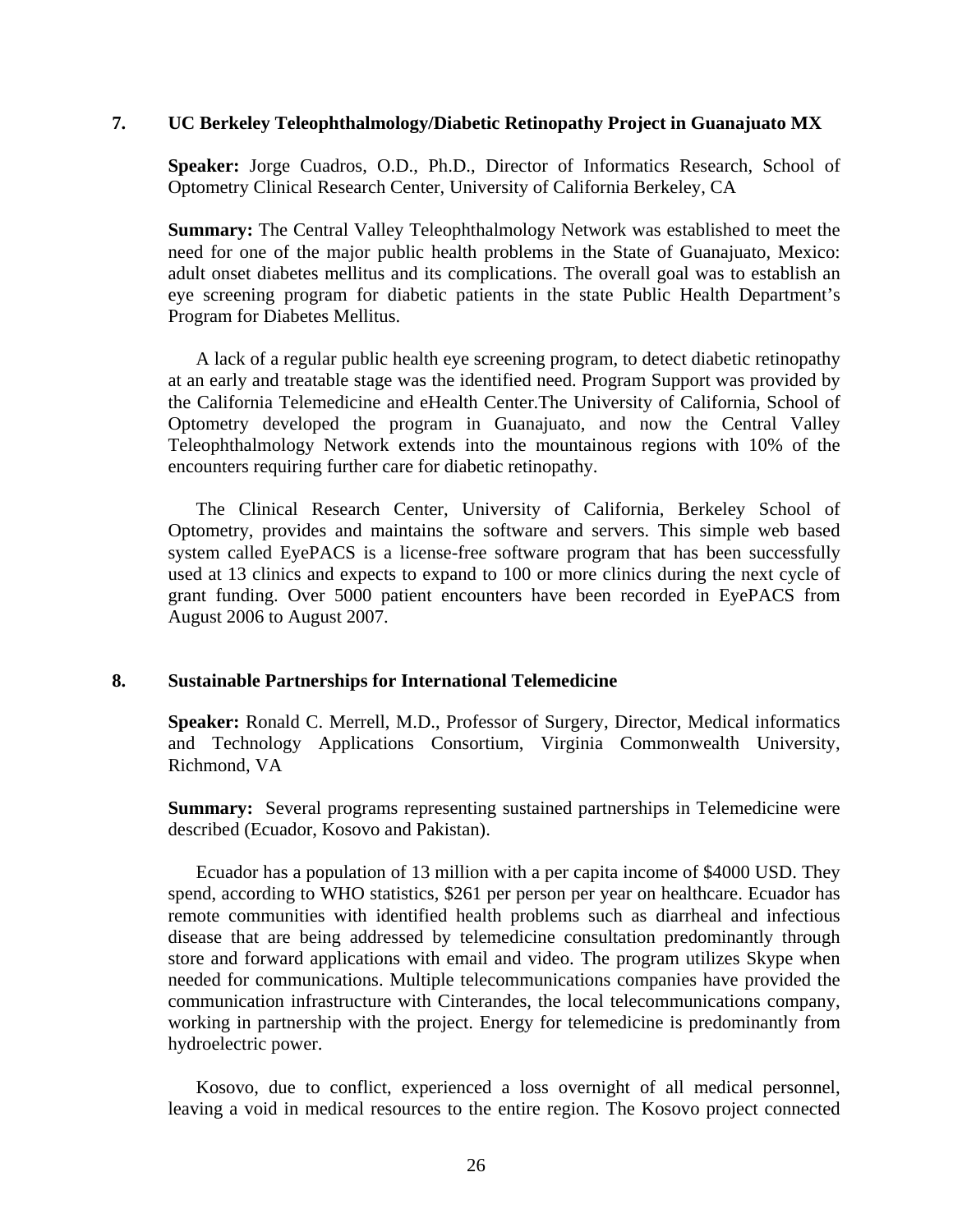#### **7. UC Berkeley Teleophthalmology/Diabetic Retinopathy Project in Guanajuato MX**

**Speaker:** Jorge Cuadros, O.D., Ph.D., Director of Informatics Research, School of Optometry Clinical Research Center, University of California Berkeley, CA

**Summary:** The Central Valley Teleophthalmology Network was established to meet the need for one of the major public health problems in the State of Guanajuato, Mexico: adult onset diabetes mellitus and its complications. The overall goal was to establish an eye screening program for diabetic patients in the state Public Health Department's Program for Diabetes Mellitus.

A lack of a regular public health eye screening program, to detect diabetic retinopathy at an early and treatable stage was the identified need. Program Support was provided by the California Telemedicine and eHealth Center.The University of California, School of Optometry developed the program in Guanajuato, and now the Central Valley Teleophthalmology Network extends into the mountainous regions with 10% of the encounters requiring further care for diabetic retinopathy.

The Clinical Research Center, University of California, Berkeley School of Optometry, provides and maintains the software and servers. This simple web based system called EyePACS is a license-free software program that has been successfully used at 13 clinics and expects to expand to 100 or more clinics during the next cycle of grant funding. Over 5000 patient encounters have been recorded in EyePACS from August 2006 to August 2007.

#### **8. Sustainable Partnerships for International Telemedicine**

**Speaker:** [Ronald C. Merrell, M.D.](http://www.atmeda.org/conf/Mid-Year%202007/Bios/Merrell.htm), Professor of Surgery, Director, Medical informatics and Technology Applications Consortium, Virginia Commonwealth University, Richmond, VA

**Summary:** Several programs representing sustained partnerships in Telemedicine were described (Ecuador, Kosovo and Pakistan).

Ecuador has a population of 13 million with a per capita income of \$4000 USD. They spend, according to WHO statistics, \$261 per person per year on healthcare. Ecuador has remote communities with identified health problems such as diarrheal and infectious disease that are being addressed by telemedicine consultation predominantly through store and forward applications with email and video. The program utilizes Skype when needed for communications. Multiple telecommunications companies have provided the communication infrastructure with Cinterandes, the local telecommunications company, working in partnership with the project. Energy for telemedicine is predominantly from hydroelectric power.

Kosovo, due to conflict, experienced a loss overnight of all medical personnel, leaving a void in medical resources to the entire region. The Kosovo project connected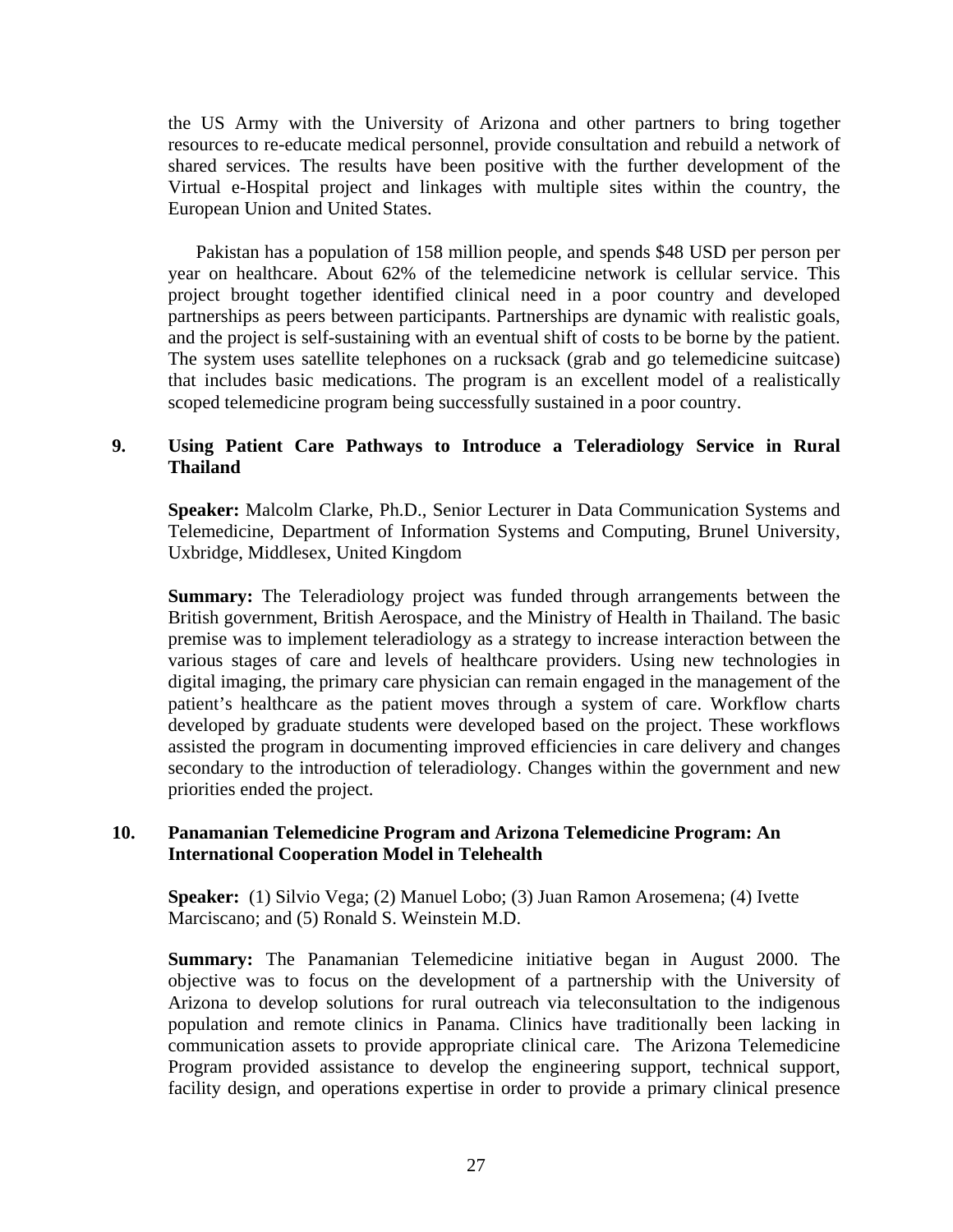the US Army with the University of Arizona and other partners to bring together resources to re-educate medical personnel, provide consultation and rebuild a network of shared services. The results have been positive with the further development of the Virtual e-Hospital project and linkages with multiple sites within the country, the European Union and United States.

Pakistan has a population of 158 million people, and spends \$48 USD per person per year on healthcare. About 62% of the telemedicine network is cellular service. This project brought together identified clinical need in a poor country and developed partnerships as peers between participants. Partnerships are dynamic with realistic goals, and the project is self-sustaining with an eventual shift of costs to be borne by the patient. The system uses satellite telephones on a rucksack (grab and go telemedicine suitcase) that includes basic medications. The program is an excellent model of a realistically scoped telemedicine program being successfully sustained in a poor country.

#### **9. Using Patient Care Pathways to Introduce a Teleradiology Service in Rural Thailand**

**Speaker:** [Malcolm Clarke, Ph.D.,](http://www.atmeda.org/conf/Mid-Year%202007/Bios/Clarke.htm) Senior Lecturer in Data Communication Systems and Telemedicine, Department of Information Systems and Computing, Brunel University, Uxbridge, Middlesex, United Kingdom

**Summary:** The Teleradiology project was funded through arrangements between the British government, British Aerospace, and the Ministry of Health in Thailand. The basic premise was to implement teleradiology as a strategy to increase interaction between the various stages of care and levels of healthcare providers. Using new technologies in digital imaging, the primary care physician can remain engaged in the management of the patient's healthcare as the patient moves through a system of care. Workflow charts developed by graduate students were developed based on the project. These workflows assisted the program in documenting improved efficiencies in care delivery and changes secondary to the introduction of teleradiology. Changes within the government and new priorities ended the project.

#### **10. Panamanian Telemedicine Program and Arizona Telemedicine Program: An International Cooperation Model in Telehealth**

**Speaker:** (1) Silvio Vega; (2) Manuel Lobo; (3) Juan Ramon Arosemena; (4) Ivette Marciscano; and (5) Ronald S. Weinstein M.D.

**Summary:** The Panamanian Telemedicine initiative began in August 2000. The objective was to focus on the development of a partnership with the University of Arizona to develop solutions for rural outreach via teleconsultation to the indigenous population and remote clinics in Panama. Clinics have traditionally been lacking in communication assets to provide appropriate clinical care. The Arizona Telemedicine Program provided assistance to develop the engineering support, technical support, facility design, and operations expertise in order to provide a primary clinical presence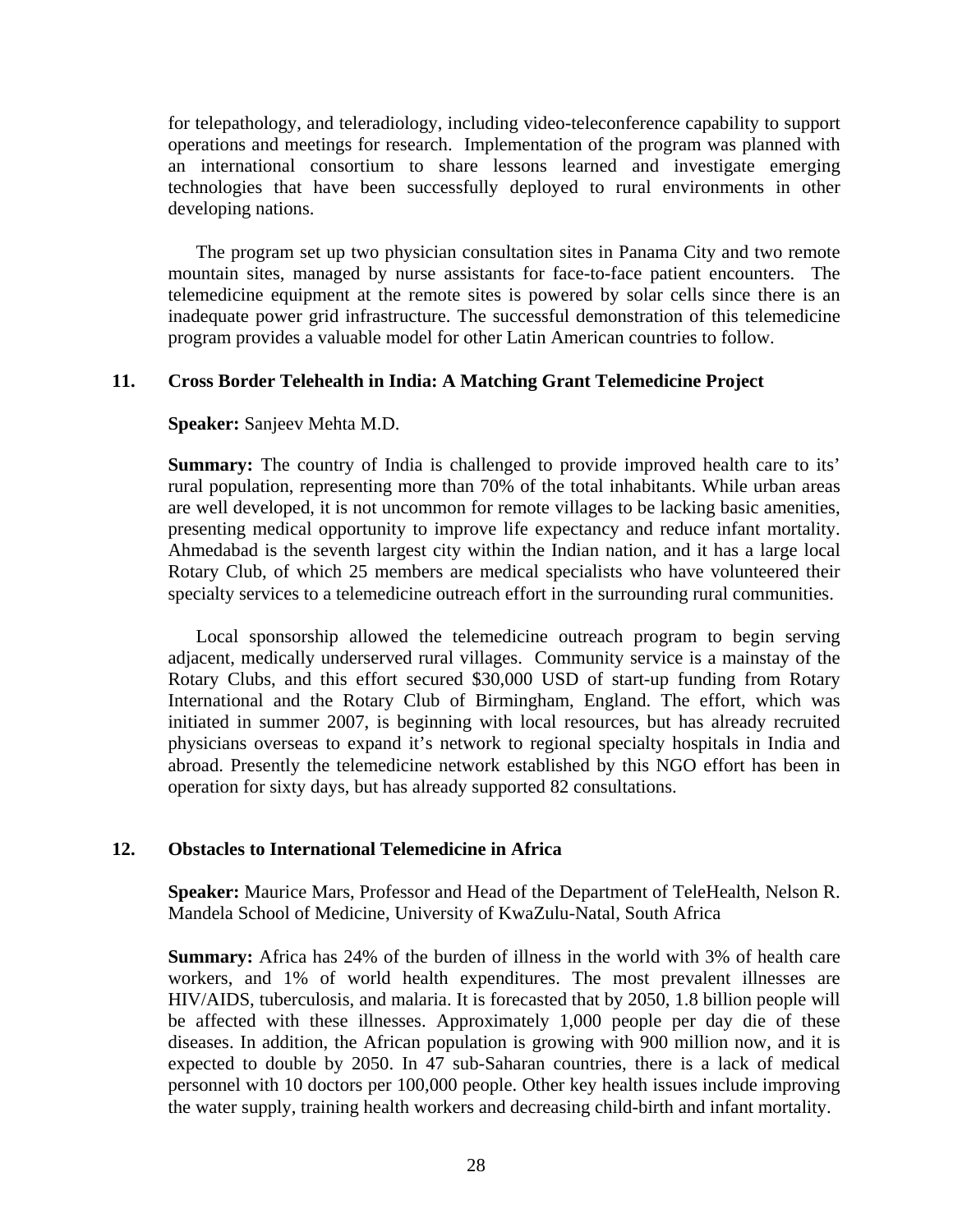for telepathology, and teleradiology, including video-teleconference capability to support operations and meetings for research. Implementation of the program was planned with an international consortium to share lessons learned and investigate emerging technologies that have been successfully deployed to rural environments in other developing nations.

The program set up two physician consultation sites in Panama City and two remote mountain sites, managed by nurse assistants for face-to-face patient encounters. The telemedicine equipment at the remote sites is powered by solar cells since there is an inadequate power grid infrastructure. The successful demonstration of this telemedicine program provides a valuable model for other Latin American countries to follow.

#### **11. Cross Border Telehealth in India: A Matching Grant Telemedicine Project**

**Speaker:** Sanjeev Mehta M.D.

**Summary:** The country of India is challenged to provide improved health care to its' rural population, representing more than 70% of the total inhabitants. While urban areas are well developed, it is not uncommon for remote villages to be lacking basic amenities, presenting medical opportunity to improve life expectancy and reduce infant mortality. Ahmedabad is the seventh largest city within the Indian nation, and it has a large local Rotary Club, of which 25 members are medical specialists who have volunteered their specialty services to a telemedicine outreach effort in the surrounding rural communities.

 Local sponsorship allowed the telemedicine outreach program to begin serving adjacent, medically underserved rural villages. Community service is a mainstay of the Rotary Clubs, and this effort secured \$30,000 USD of start-up funding from Rotary International and the Rotary Club of Birmingham, England. The effort, which was initiated in summer 2007, is beginning with local resources, but has already recruited physicians overseas to expand it's network to regional specialty hospitals in India and abroad. Presently the telemedicine network established by this NGO effort has been in operation for sixty days, but has already supported 82 consultations.

#### **12. Obstacles to International Telemedicine in Africa**

**Speaker:** Maurice Mars, Professor and Head of the Department of TeleHealth, Nelson R. Mandela School of Medicine, University of KwaZulu-Natal, South Africa

**Summary:** Africa has 24% of the burden of illness in the world with 3% of health care workers, and 1% of world health expenditures. The most prevalent illnesses are HIV/AIDS, tuberculosis, and malaria. It is forecasted that by 2050, 1.8 billion people will be affected with these illnesses. Approximately 1,000 people per day die of these diseases. In addition, the African population is growing with 900 million now, and it is expected to double by 2050. In 47 sub-Saharan countries, there is a lack of medical personnel with 10 doctors per 100,000 people. Other key health issues include improving the water supply, training health workers and decreasing child-birth and infant mortality.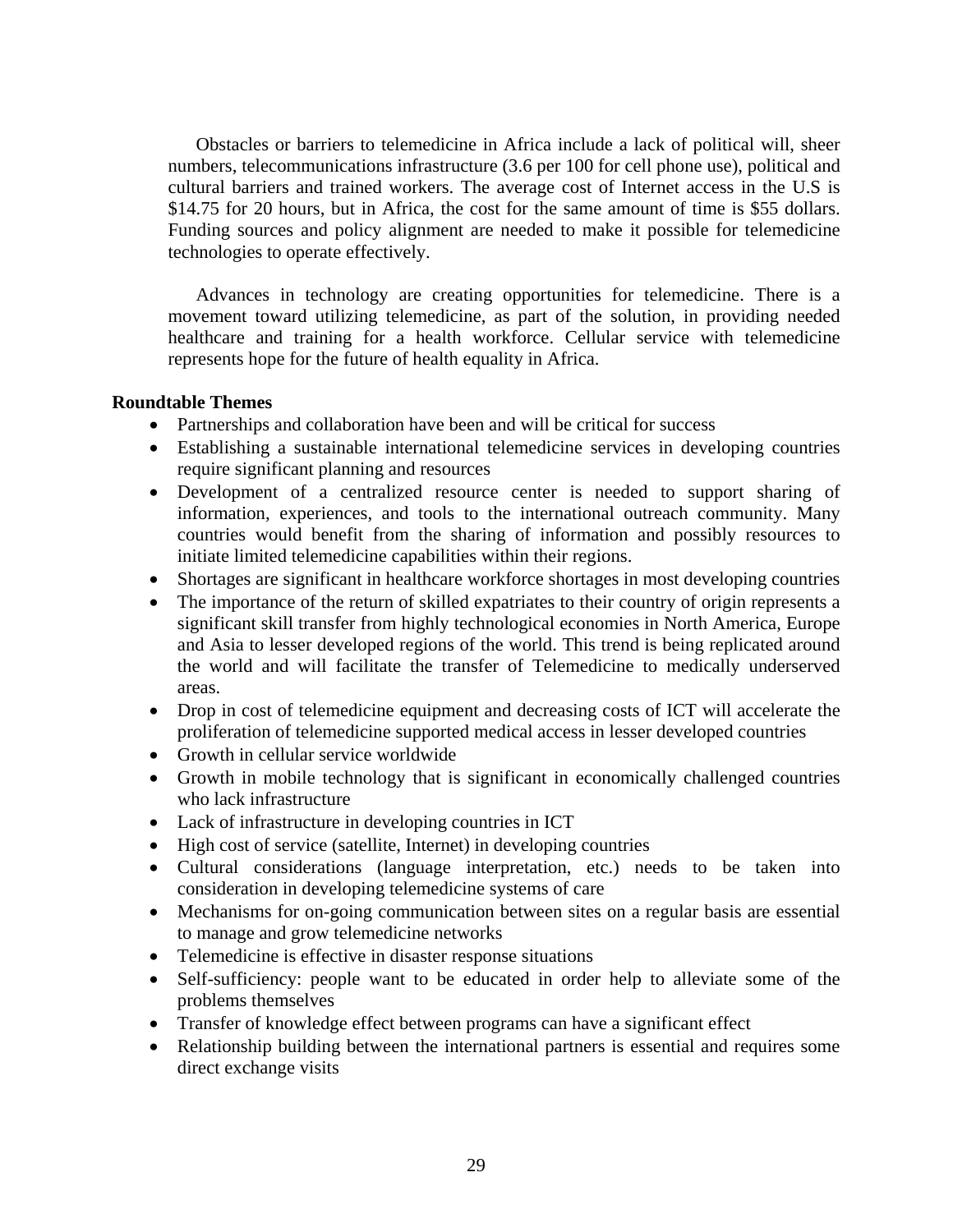Obstacles or barriers to telemedicine in Africa include a lack of political will, sheer numbers, telecommunications infrastructure (3.6 per 100 for cell phone use), political and cultural barriers and trained workers. The average cost of Internet access in the U.S is \$14.75 for 20 hours, but in Africa, the cost for the same amount of time is \$55 dollars. Funding sources and policy alignment are needed to make it possible for telemedicine technologies to operate effectively.

Advances in technology are creating opportunities for telemedicine. There is a movement toward utilizing telemedicine, as part of the solution, in providing needed healthcare and training for a health workforce. Cellular service with telemedicine represents hope for the future of health equality in Africa.

#### **Roundtable Themes**

- Partnerships and collaboration have been and will be critical for success
- Establishing a sustainable international telemedicine services in developing countries require significant planning and resources
- Development of a centralized resource center is needed to support sharing of information, experiences, and tools to the international outreach community. Many countries would benefit from the sharing of information and possibly resources to initiate limited telemedicine capabilities within their regions.
- Shortages are significant in healthcare workforce shortages in most developing countries
- The importance of the return of skilled expatriates to their country of origin represents a significant skill transfer from highly technological economies in North America, Europe and Asia to lesser developed regions of the world. This trend is being replicated around the world and will facilitate the transfer of Telemedicine to medically underserved areas.
- Drop in cost of telemedicine equipment and decreasing costs of ICT will accelerate the proliferation of telemedicine supported medical access in lesser developed countries
- Growth in cellular service worldwide
- Growth in mobile technology that is significant in economically challenged countries who lack infrastructure
- Lack of infrastructure in developing countries in ICT
- High cost of service (satellite, Internet) in developing countries
- Cultural considerations (language interpretation, etc.) needs to be taken into consideration in developing telemedicine systems of care
- Mechanisms for on-going communication between sites on a regular basis are essential to manage and grow telemedicine networks
- Telemedicine is effective in disaster response situations
- Self-sufficiency: people want to be educated in order help to alleviate some of the problems themselves
- Transfer of knowledge effect between programs can have a significant effect
- Relationship building between the international partners is essential and requires some direct exchange visits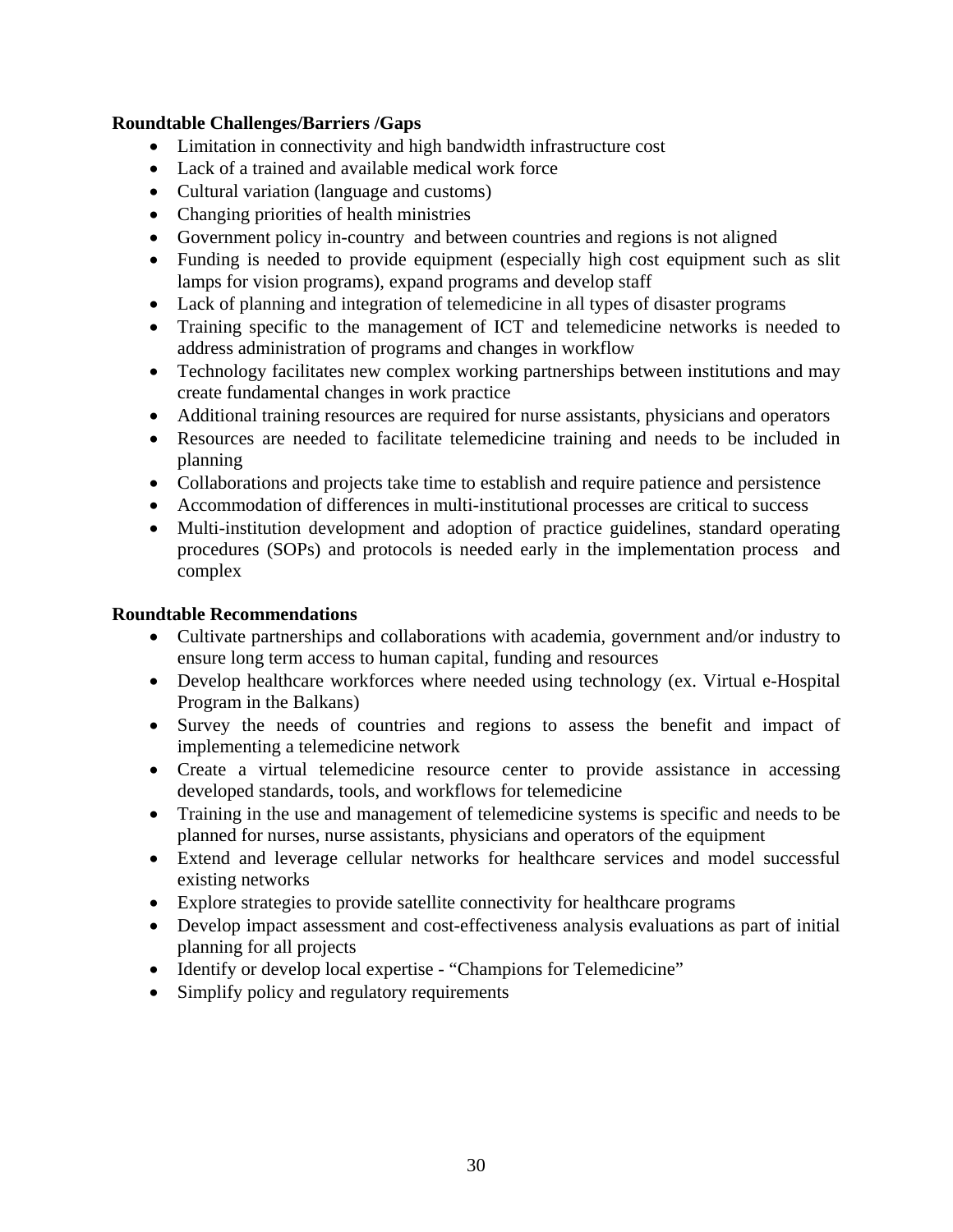#### **Roundtable Challenges/Barriers /Gaps**

- Limitation in connectivity and high bandwidth infrastructure cost
- Lack of a trained and available medical work force
- Cultural variation (language and customs)
- Changing priorities of health ministries
- Government policy in-country and between countries and regions is not aligned
- Funding is needed to provide equipment (especially high cost equipment such as slit lamps for vision programs), expand programs and develop staff
- Lack of planning and integration of telemedicine in all types of disaster programs
- Training specific to the management of ICT and telemedicine networks is needed to address administration of programs and changes in workflow
- Technology facilitates new complex working partnerships between institutions and may create fundamental changes in work practice
- Additional training resources are required for nurse assistants, physicians and operators
- Resources are needed to facilitate telemedicine training and needs to be included in planning
- Collaborations and projects take time to establish and require patience and persistence
- Accommodation of differences in multi-institutional processes are critical to success
- Multi-institution development and adoption of practice guidelines, standard operating procedures (SOPs) and protocols is needed early in the implementation process and complex

#### **Roundtable Recommendations**

- Cultivate partnerships and collaborations with academia, government and/or industry to ensure long term access to human capital, funding and resources
- Develop healthcare workforces where needed using technology (ex. Virtual e-Hospital Program in the Balkans)
- Survey the needs of countries and regions to assess the benefit and impact of implementing a telemedicine network
- Create a virtual telemedicine resource center to provide assistance in accessing developed standards, tools, and workflows for telemedicine
- Training in the use and management of telemedicine systems is specific and needs to be planned for nurses, nurse assistants, physicians and operators of the equipment
- Extend and leverage cellular networks for healthcare services and model successful existing networks
- Explore strategies to provide satellite connectivity for healthcare programs
- Develop impact assessment and cost-effectiveness analysis evaluations as part of initial planning for all projects
- Identify or develop local expertise "Champions for Telemedicine"
- Simplify policy and regulatory requirements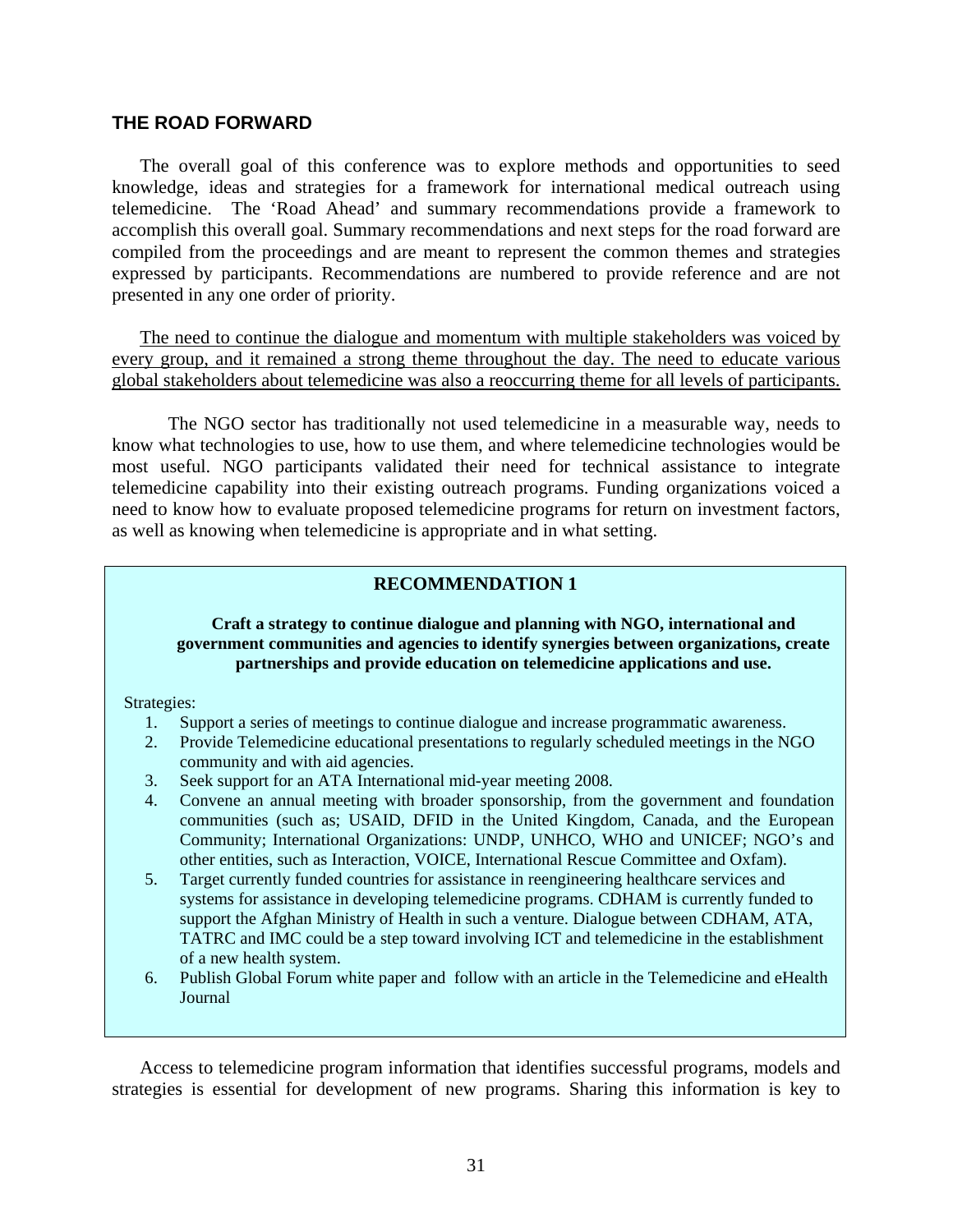#### **THE ROAD FORWARD**

The overall goal of this conference was to explore methods and opportunities to seed knowledge, ideas and strategies for a framework for international medical outreach using telemedicine. The 'Road Ahead' and summary recommendations provide a framework to accomplish this overall goal. Summary recommendations and next steps for the road forward are compiled from the proceedings and are meant to represent the common themes and strategies expressed by participants. Recommendations are numbered to provide reference and are not presented in any one order of priority.

The need to continue the dialogue and momentum with multiple stakeholders was voiced by every group, and it remained a strong theme throughout the day. The need to educate various global stakeholders about telemedicine was also a reoccurring theme for all levels of participants.

The NGO sector has traditionally not used telemedicine in a measurable way, needs to know what technologies to use, how to use them, and where telemedicine technologies would be most useful. NGO participants validated their need for technical assistance to integrate telemedicine capability into their existing outreach programs. Funding organizations voiced a need to know how to evaluate proposed telemedicine programs for return on investment factors, as well as knowing when telemedicine is appropriate and in what setting.

#### **RECOMMENDATION 1**

#### government communities and agencies to identify synergies between organizations, create **Craft a strategy to continue dialogue and planning with NGO, international and partnerships and provide education on telemedicine applications and use.**

Strategies:

- 1. Support a series of meetings to continue dialogue and increase programmatic awareness.
- 2. Provide Telemedicine educational presentations to regularly scheduled meetings in the NGO community and with aid agencies.
- 3. Seek support for an ATA International mid-year meeting 2008.
- 4. Convene an annual meeting with broader sponsorship, from the government and foundation communities (such as; USAID, DFID in the United Kingdom, Canada, and the European Community; International Organizations: UNDP, UNHCO, WHO and UNICEF; NGO's and other entities, such as Interaction, VOICE, International Rescue Committee and Oxfam).
- 5. Target currently funded countries for assistance in reengineering healthcare services and systems for assistance in developing telemedicine programs. CDHAM is currently funded to support the Afghan Ministry of Health in such a venture. Dialogue between CDHAM, ATA, TATRC and IMC could be a step toward involving ICT and telemedicine in the establishment of a new health system.
- 6. Publish Global Forum white paper and follow with an article in the Telemedicine and eHealth Journal

Access to telemedicine program information that identifies successful programs, models and strategies is essential for development of new programs. Sharing this information is key to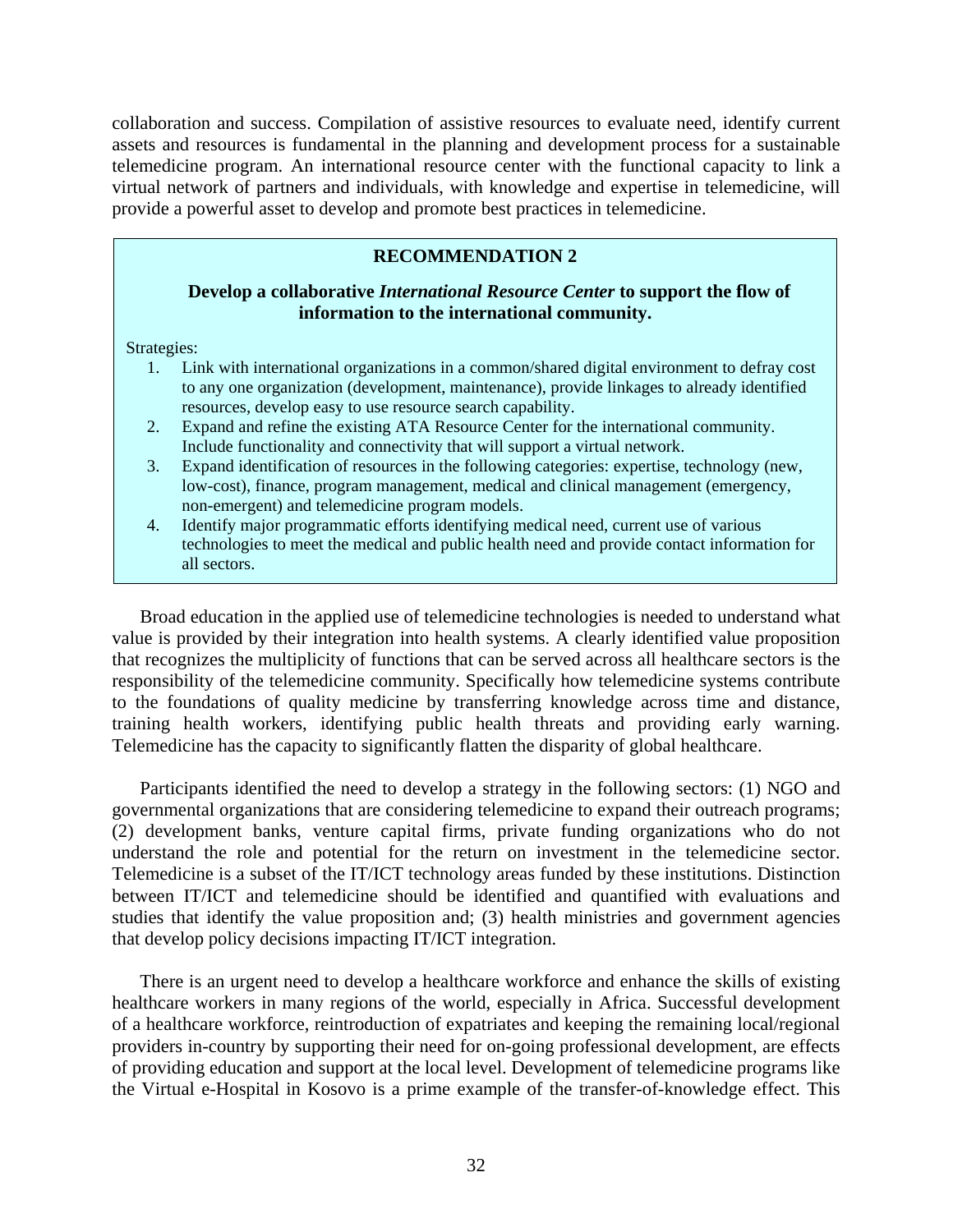collaboration and success. Compilation of assistive resources to evaluate need, identify current assets and resources is fundamental in the planning and development process for a sustainable telemedicine program. An international resource center with the functional capacity to link a virtual network of partners and individuals, with knowledge and expertise in telemedicine, will provide a powerful asset to develop and promote best practices in telemedicine.

#### **RECOMMENDATION 2**

#### **Develop a collaborative** *International Resource Center* **to support the flow of information to the international community.**

Strategies:

- 1. Link with international organizations in a common/shared digital environment to defray cost to any one organization (development, maintenance), provide linkages to already identified resources, develop easy to use resource search capability.
- 2. Expand and refine the existing ATA Resource Center for the international community. Include functionality and connectivity that will support a virtual network.
- 3. Expand identification of resources in the following categories: expertise, technology (new, low-cost), finance, program management, medical and clinical management (emergency, non-emergent) and telemedicine program models.
- 4. Identify major programmatic efforts identifying medical need, current use of various technologies to meet the medical and public health need and provide contact information for all sectors.

Broad education in the applied use of telemedicine technologies is needed to understand what value is provided by their integration into health systems. A clearly identified value proposition that recognizes the multiplicity of functions that can be served across all healthcare sectors is the responsibility of the telemedicine community. Specifically how telemedicine systems contribute to the foundations of quality medicine by transferring knowledge across time and distance, training health workers, identifying public health threats and providing early warning. Telemedicine has the capacity to significantly flatten the disparity of global healthcare.

Participants identified the need to develop a strategy in the following sectors: (1) NGO and governmental organizations that are considering telemedicine to expand their outreach programs; (2) development banks, venture capital firms, private funding organizations who do not understand the role and potential for the return on investment in the telemedicine sector. Telemedicine is a subset of the IT/ICT technology areas funded by these institutions. Distinction between IT/ICT and telemedicine should be identified and quantified with evaluations and studies that identify the value proposition and; (3) health ministries and government agencies that develop policy decisions impacting IT/ICT integration.

There is an urgent need to develop a healthcare workforce and enhance the skills of existing healthcare workers in many regions of the world, especially in Africa. Successful development of a healthcare workforce, reintroduction of expatriates and keeping the remaining local/regional providers in-country by supporting their need for on-going professional development, are effects of providing education and support at the local level. Development of telemedicine programs like the Virtual e-Hospital in Kosovo is a prime example of the transfer-of-knowledge effect. This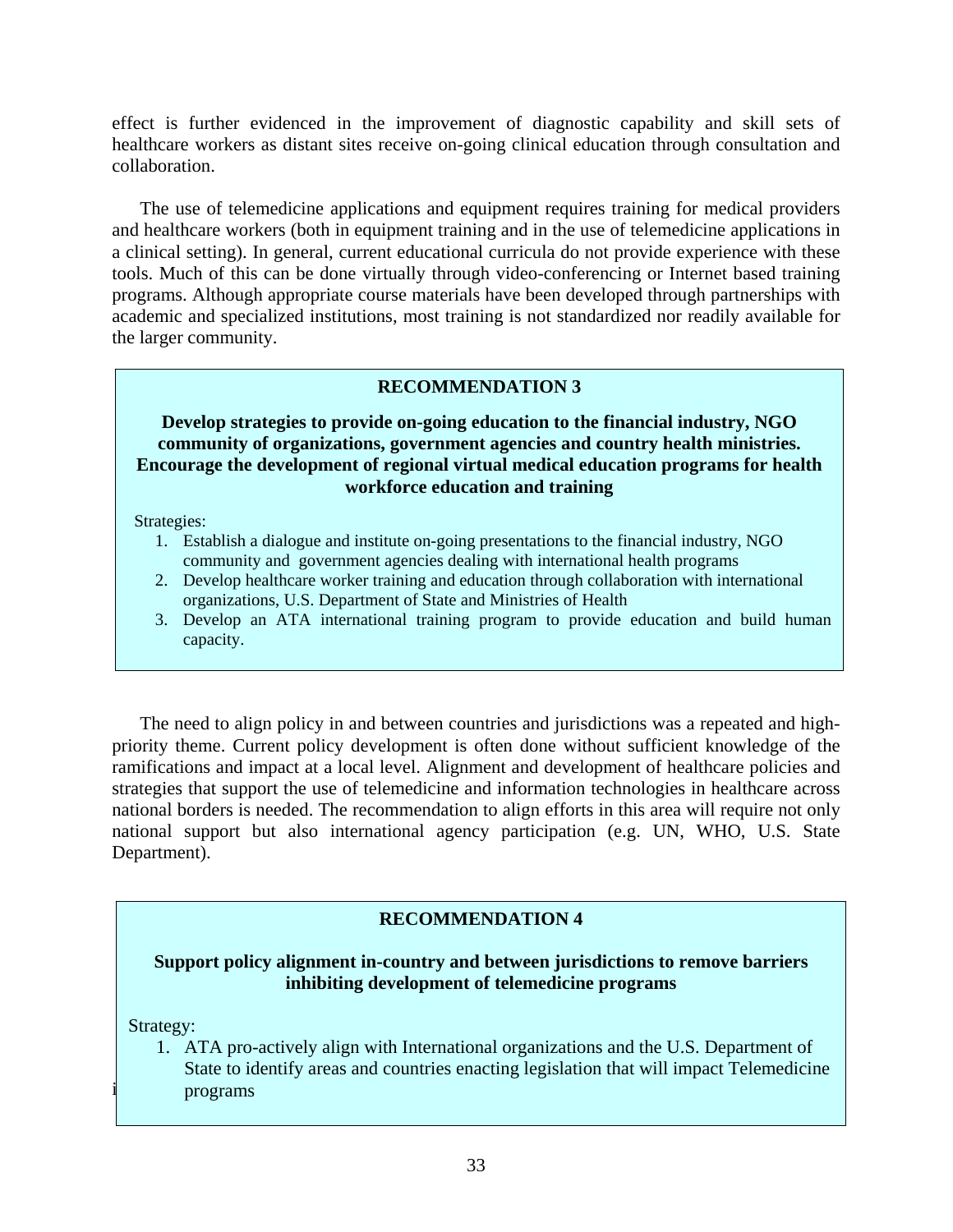effect is further evidenced in the improvement of diagnostic capability and skill sets of healthcare workers as distant sites receive on-going clinical education through consultation and collaboration.

The use of telemedicine applications and equipment requires training for medical providers and healthcare workers (both in equipment training and in the use of telemedicine applications in a clinical setting). In general, current educational curricula do not provide experience with these tools. Much of this can be done virtually through video-conferencing or Internet based training programs. Although appropriate course materials have been developed through partnerships with academic and specialized institutions, most training is not standardized nor readily available for the larger community.

#### **RECOMMENDATION 3**

#### **Develop strategies to provide on-going education to the financial industry, NGO community of organizations, government agencies and country health ministries. Encourage the development of regional virtual medical education programs for health workforce education and training**

Strategies:

- 1. Establish a dialogue and institute on-going presentations to the financial industry, NGO community and government agencies dealing with international health programs
- 2. Develop healthcare worker training and education through collaboration with international organizations, U.S. Department of State and Ministries of Health
- 3. Develop an ATA international training program to provide education and build human capacity.

The need to align policy in and between countries and jurisdictions was a repeated and highpriority theme. Current policy development is often done without sufficient knowledge of the ramifications and impact at a local level. Alignment and development of healthcare policies and strategies that support the use of telemedicine and information technologies in healthcare across national borders is needed. The recommendation to align efforts in this area will require not only national support but also international agency participation (e.g. UN, WHO, U.S. State Department).

#### **RECOMMENDATION 4**

#### **Support policy alignment in-country and between jurisdictions to remove barriers inhibiting development of telemedicine programs**

Strategy:

State to identify areas and countries enacting legislation that will impact Telemedicine infrastructure. The need for this infrastructure to support telement telement of the need for this infrastructure programs is a high priority of the need for the need for the need of the need of the need of the need of the 1. ATA pro-actively align with International organizations and the U.S. Department of programs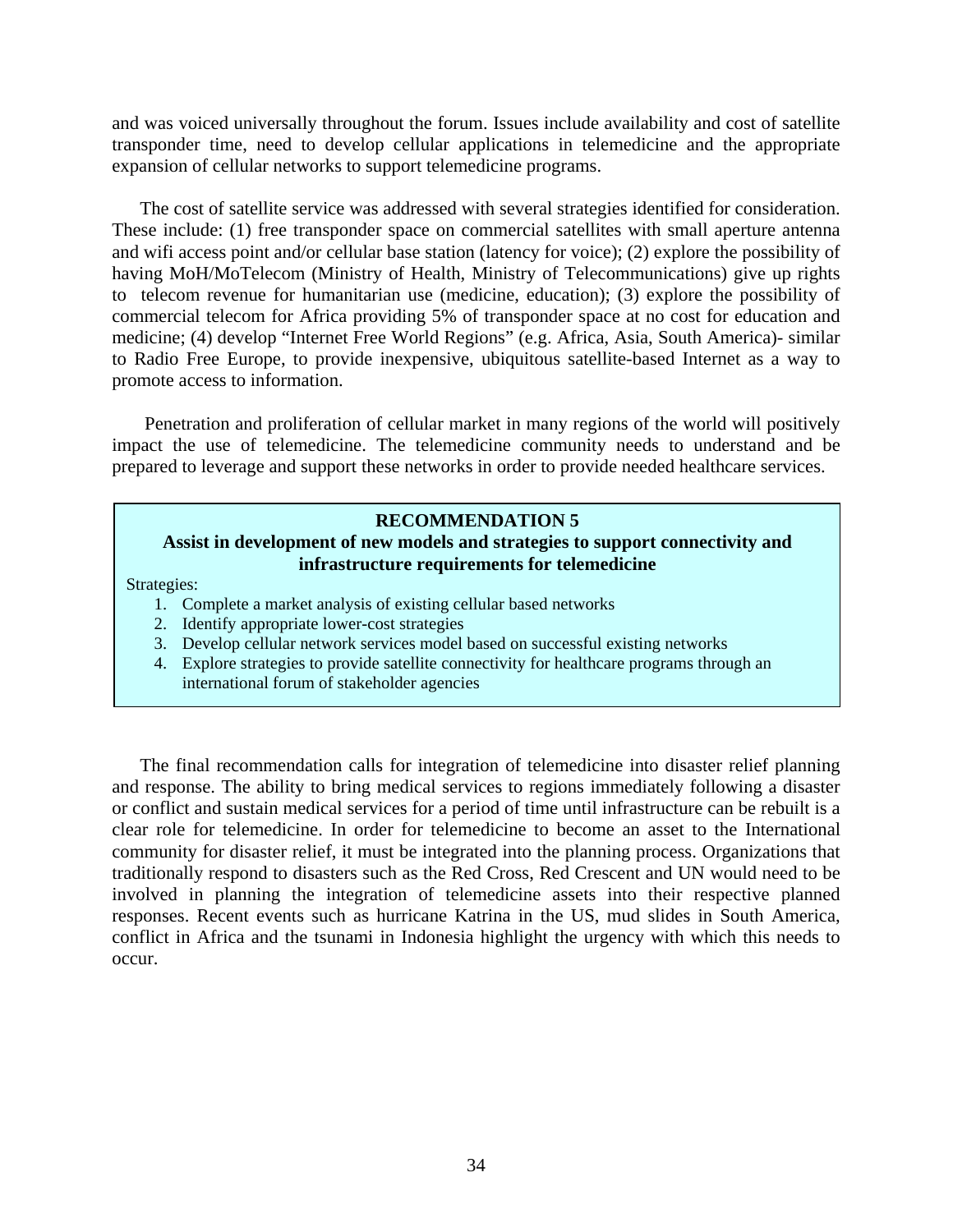and was voiced universally throughout the forum. Issues include availability and cost of satellite transponder time, need to develop cellular applications in telemedicine and the appropriate expansion of cellular networks to support telemedicine programs.

The cost of satellite service was addressed with several strategies identified for consideration. These include: (1) free transponder space on commercial satellites with small aperture antenna and wifi access point and/or cellular base station (latency for voice); (2) explore the possibility of having MoH/MoTelecom (Ministry of Health, Ministry of Telecommunications) give up rights to telecom revenue for humanitarian use (medicine, education); (3) explore the possibility of commercial telecom for Africa providing 5% of transponder space at no cost for education and medicine; (4) develop "Internet Free World Regions" (e.g. Africa, Asia, South America)- similar to Radio Free Europe, to provide inexpensive, ubiquitous satellite-based Internet as a way to promote access to information.

 Penetration and proliferation of cellular market in many regions of the world will positively impact the use of telemedicine. The telemedicine community needs to understand and be prepared to leverage and support these networks in order to provide needed healthcare services.

#### **RECOMMENDATION 5**

#### **Assist in development of new models and strategies to support connectivity and infrastructure requirements for telemedicine**

Strategies:

- 1. Complete a market analysis of existing cellular based networks
- 2. Identify appropriate lower-cost strategies
- 3. Develop cellular network services model based on successful existing networks
- 4. Explore strategies to provide satellite connectivity for healthcare programs through an international forum of stakeholder agencies

The final recommendation calls for integration of telemedicine into disaster relief planning and response. The ability to bring medical services to regions immediately following a disaster or conflict and sustain medical services for a period of time until infrastructure can be rebuilt is a clear role for telemedicine. In order for telemedicine to become an asset to the International community for disaster relief, it must be integrated into the planning process. Organizations that traditionally respond to disasters such as the Red Cross, Red Crescent and UN would need to be involved in planning the integration of telemedicine assets into their respective planned responses. Recent events such as hurricane Katrina in the US, mud slides in South America, conflict in Africa and the tsunami in Indonesia highlight the urgency with which this needs to occur.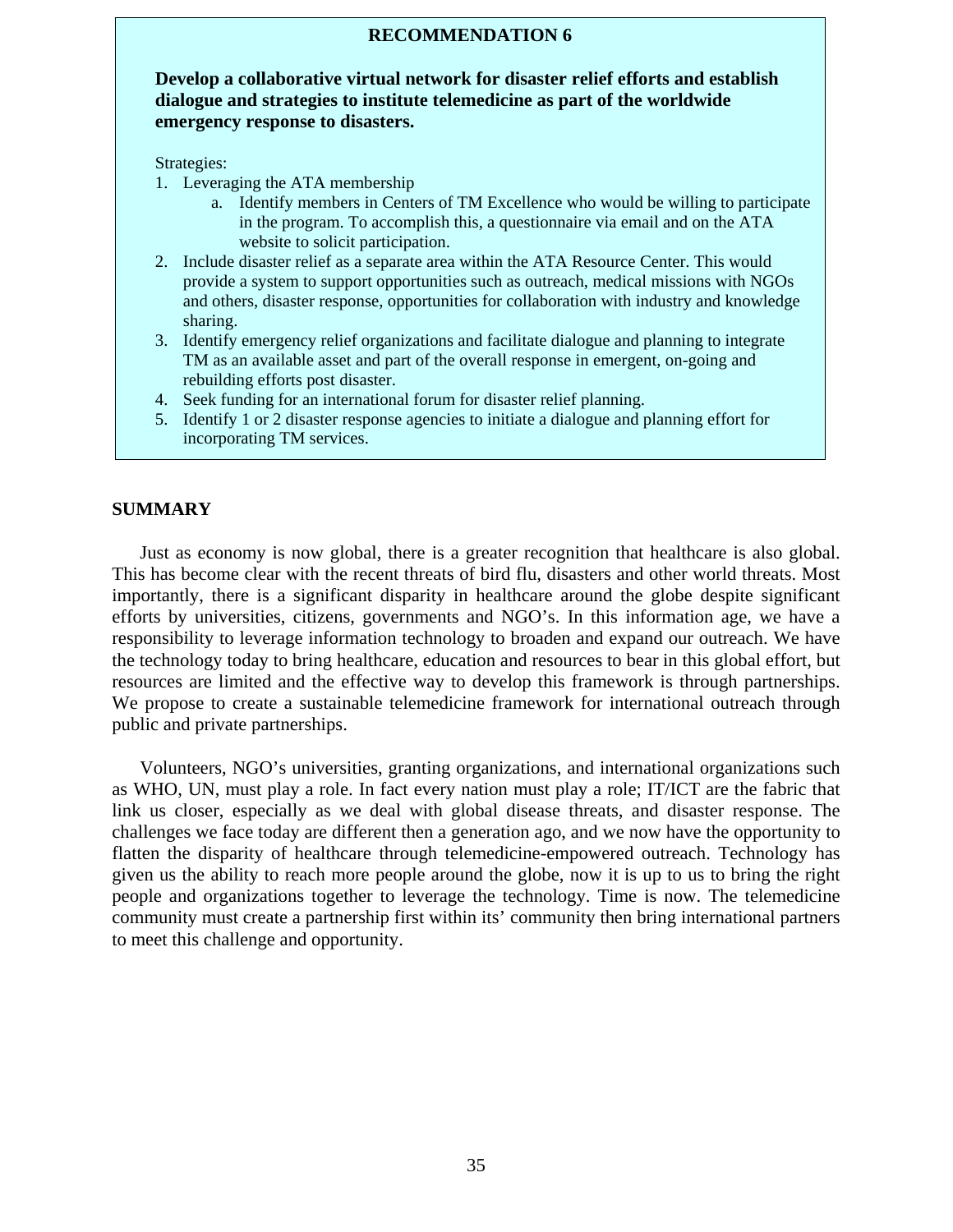#### **RECOMMENDATION 6**

**Develop a collaborative virtual network for disaster relief efforts and establish dialogue and strategies to institute telemedicine as part of the worldwide emergency response to disasters.** 

Strategies:

- 1. Leveraging the ATA membership
	- a. Identify members in Centers of TM Excellence who would be willing to participate in the program. To accomplish this, a questionnaire via email and on the ATA website to solicit participation.
- 2. Include disaster relief as a separate area within the ATA Resource Center. This would provide a system to support opportunities such as outreach, medical missions with NGOs and others, disaster response, opportunities for collaboration with industry and knowledge sharing.
- 3. Identify emergency relief organizations and facilitate dialogue and planning to integrate TM as an available asset and part of the overall response in emergent, on-going and rebuilding efforts post disaster.
- 4. Seek funding for an international forum for disaster relief planning.
- 5. Identify 1 or 2 disaster response agencies to initiate a dialogue and planning effort for incorporating TM services.

#### **SUMMARY**

Just as economy is now global, there is a greater recognition that healthcare is also global. This has become clear with the recent threats of bird flu, disasters and other world threats. Most importantly, there is a significant disparity in healthcare around the globe despite significant efforts by universities, citizens, governments and NGO's. In this information age, we have a responsibility to leverage information technology to broaden and expand our outreach. We have the technology today to bring healthcare, education and resources to bear in this global effort, but resources are limited and the effective way to develop this framework is through partnerships. We propose to create a sustainable telemedicine framework for international outreach through public and private partnerships.

Volunteers, NGO's universities, granting organizations, and international organizations such as WHO, UN, must play a role. In fact every nation must play a role; IT/ICT are the fabric that link us closer, especially as we deal with global disease threats, and disaster response. The challenges we face today are different then a generation ago, and we now have the opportunity to flatten the disparity of healthcare through telemedicine-empowered outreach. Technology has given us the ability to reach more people around the globe, now it is up to us to bring the right people and organizations together to leverage the technology. Time is now. The telemedicine community must create a partnership first within its' community then bring international partners to meet this challenge and opportunity.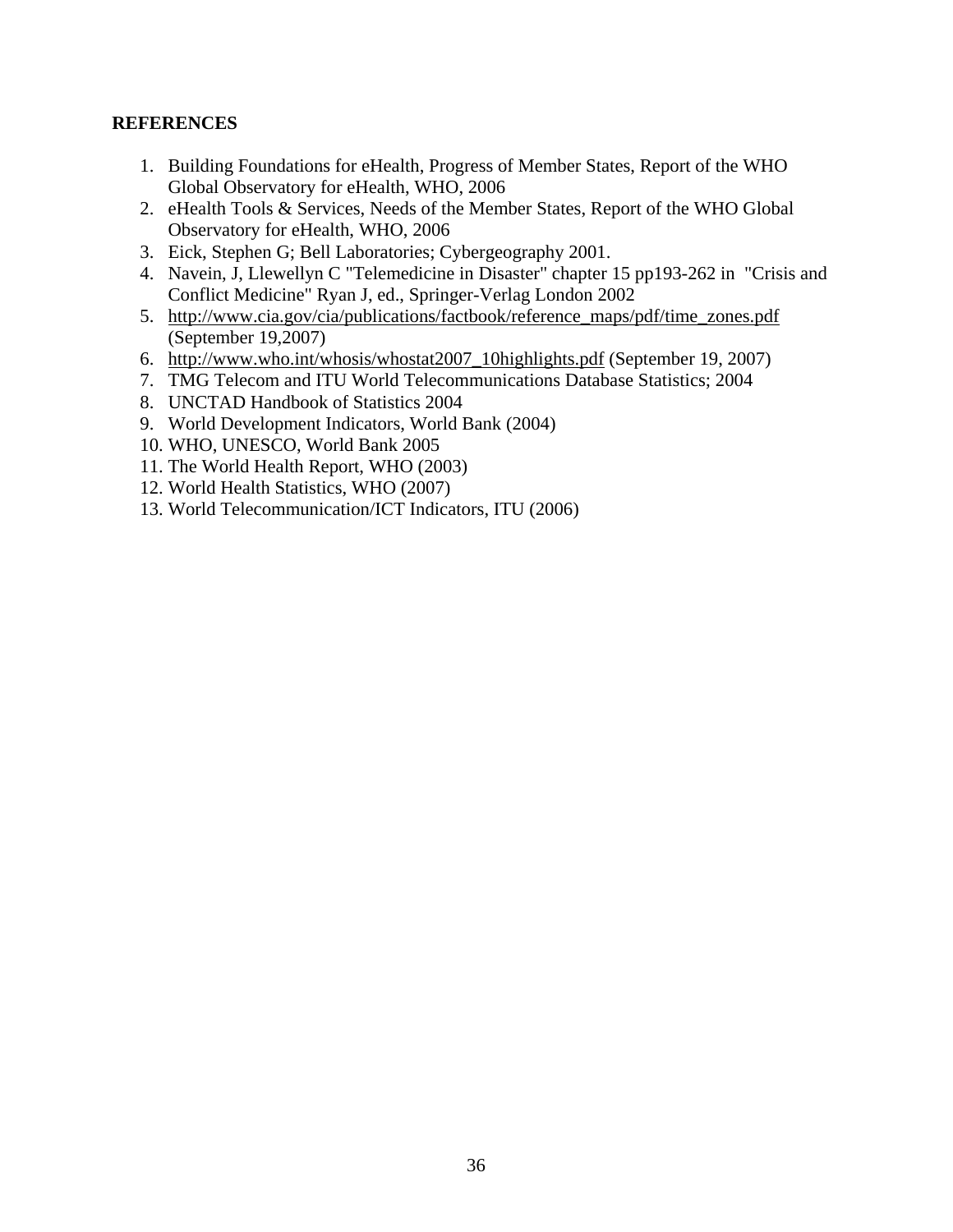#### **REFERENCES**

- 1. Building Foundations for eHealth, Progress of Member States, Report of the WHO Global Observatory for eHealth, WHO, 2006
- 2. eHealth Tools & Services, Needs of the Member States, Report of the WHO Global Observatory for eHealth, WHO, 2006
- 3. Eick, Stephen G; Bell Laboratories; Cybergeography 2001.
- 4. Navein, J, Llewellyn C "Telemedicine in Disaster" chapter 15 pp193-262 in "Crisis and Conflict Medicine" Ryan J, ed., Springer-Verlag London 2002
- 5. [http://www.cia.gov/cia/publications/factbook/reference\\_maps/pdf/time\\_zones.pdf](http://www.cia.gov/cia/publications/factbook/reference_maps/pdf/time_zones.pdf) (September 19,2007)
- 6. [http://www.who.int/whosis/whostat2007\\_10highlights.pdf](http://www.who.int/whosis/whostat2007_10highlights.pdf) (September 19, 2007)
- 7. TMG Telecom and ITU World Telecommunications Database Statistics; 2004
- 8. UNCTAD Handbook of Statistics 2004
- 9. World Development Indicators, World Bank (2004)
- 10. WHO, UNESCO, World Bank 2005
- 11. The World Health Report, WHO (2003)
- 12. World Health Statistics, WHO (2007)
- 13. World Telecommunication/ICT Indicators, ITU (2006)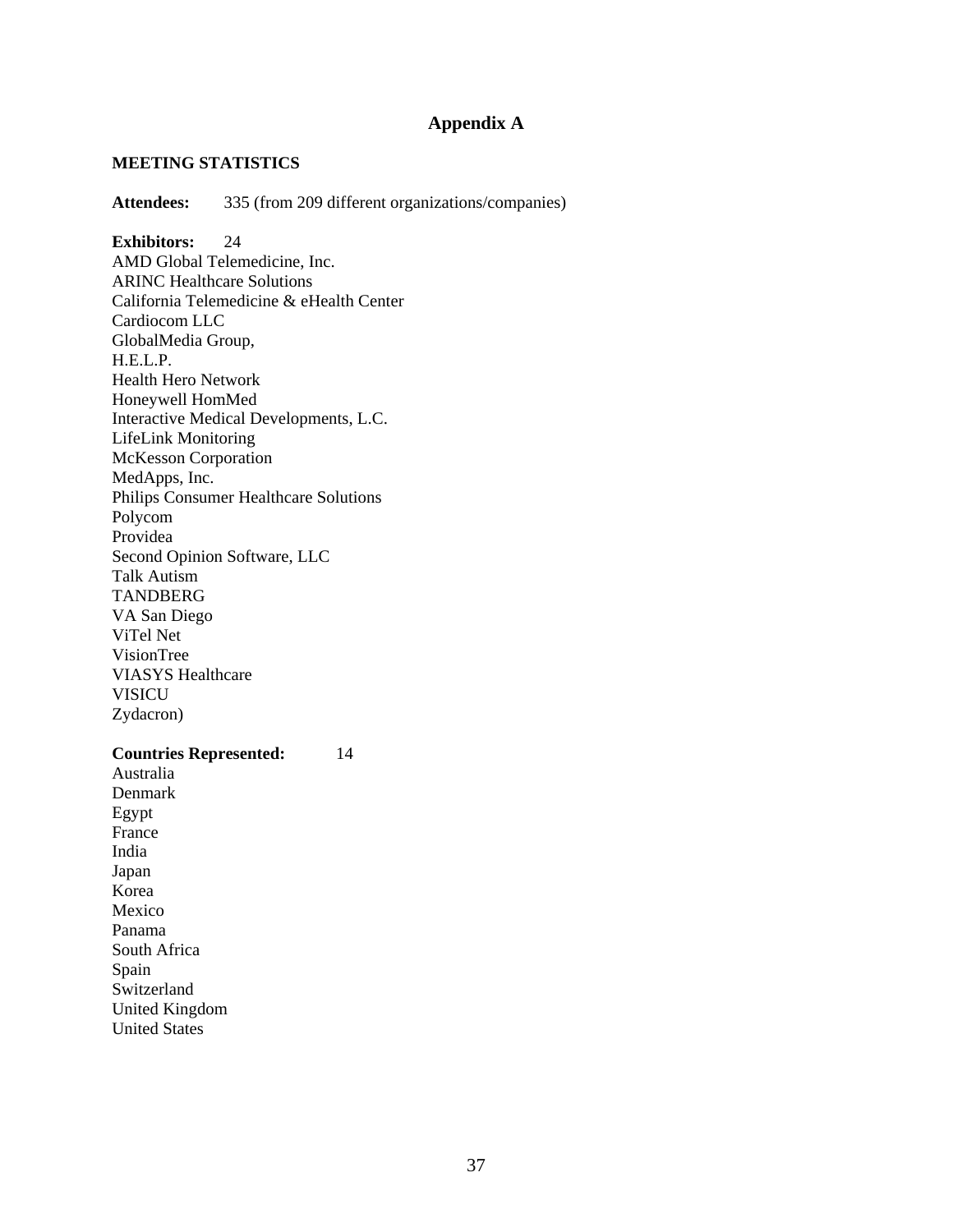### **Appendix A**

#### **MEETING STATISTICS**

**Attendees:** 335 (from 209 different organizations/companies)

**Exhibitors:** 24 AMD Global Telemedicine, Inc. ARINC Healthcare Solutions California Telemedicine & eHealth Center Cardiocom LLC GlobalMedia Group, H.E.L.P. Health Hero Network Honeywell HomMed Interactive Medical Developments, L.C. LifeLink Monitoring McKesson Corporation MedApps, Inc. Philips Consumer Healthcare Solutions Polycom Providea Second Opinion Software, LLC Talk Autism **TANDBERG** VA San Diego ViTel Net VisionTree VIASYS Healthcare **VISICU** Zydacron)

#### **Countries Represented:** 14

Australia Denmark Egypt France India Japan Korea Mexico Panama South Africa Spain Switzerland United Kingdom United States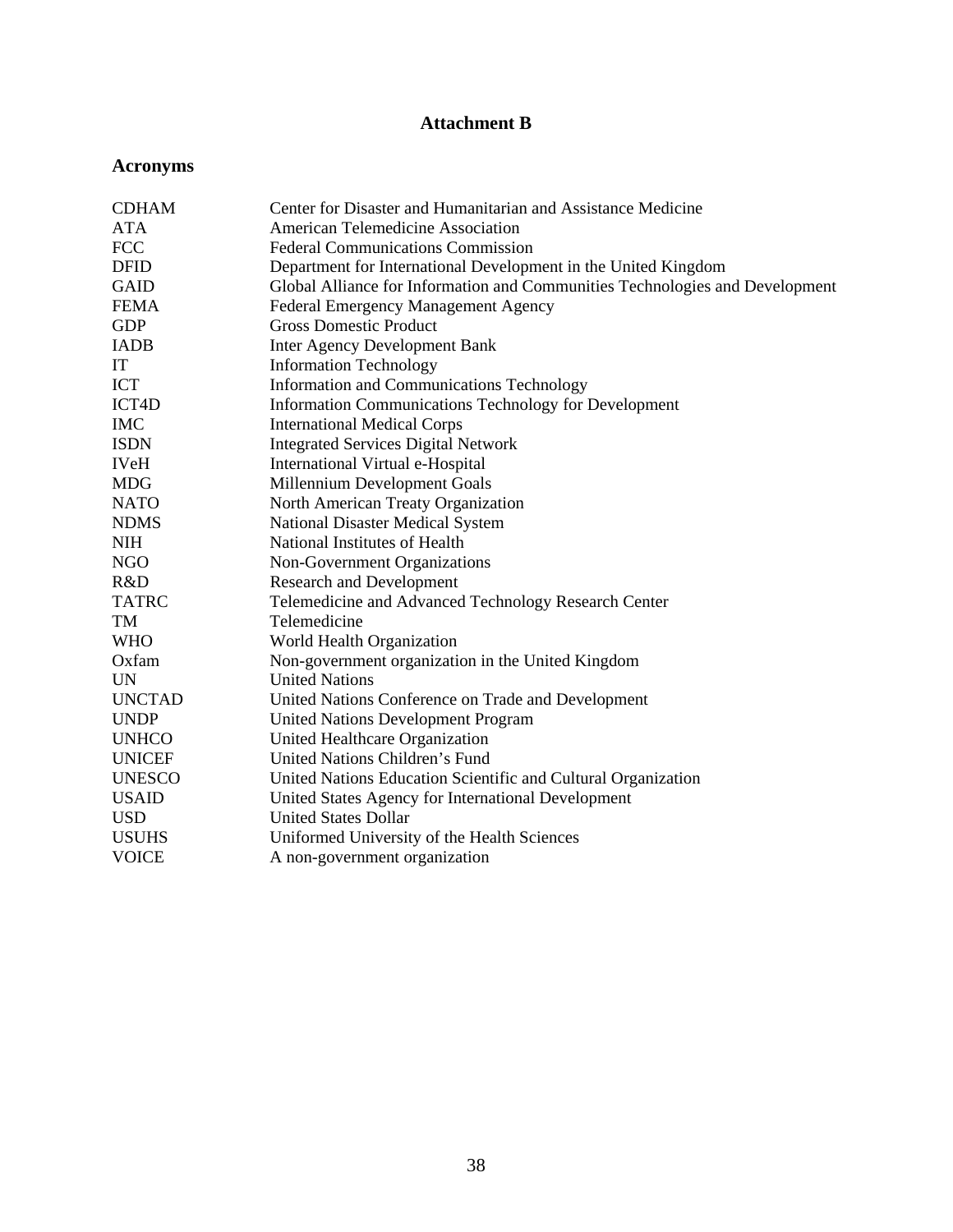# **Attachment B**

# **Acronyms**

| <b>CDHAM</b>  | Center for Disaster and Humanitarian and Assistance Medicine                 |
|---------------|------------------------------------------------------------------------------|
| <b>ATA</b>    | <b>American Telemedicine Association</b>                                     |
| <b>FCC</b>    | <b>Federal Communications Commission</b>                                     |
| <b>DFID</b>   | Department for International Development in the United Kingdom               |
| <b>GAID</b>   | Global Alliance for Information and Communities Technologies and Development |
| <b>FEMA</b>   | Federal Emergency Management Agency                                          |
| <b>GDP</b>    | <b>Gross Domestic Product</b>                                                |
| <b>IADB</b>   | <b>Inter Agency Development Bank</b>                                         |
| IT            | <b>Information Technology</b>                                                |
| <b>ICT</b>    | Information and Communications Technology                                    |
| ICT4D         | <b>Information Communications Technology for Development</b>                 |
| <b>IMC</b>    | <b>International Medical Corps</b>                                           |
| <b>ISDN</b>   | <b>Integrated Services Digital Network</b>                                   |
| <b>IVeH</b>   | International Virtual e-Hospital                                             |
| <b>MDG</b>    | Millennium Development Goals                                                 |
| <b>NATO</b>   | North American Treaty Organization                                           |
| <b>NDMS</b>   | <b>National Disaster Medical System</b>                                      |
| <b>NIH</b>    | National Institutes of Health                                                |
| <b>NGO</b>    | Non-Government Organizations                                                 |
| R&D           | <b>Research and Development</b>                                              |
| <b>TATRC</b>  | Telemedicine and Advanced Technology Research Center                         |
| TM            | Telemedicine                                                                 |
| <b>WHO</b>    | World Health Organization                                                    |
| Oxfam         | Non-government organization in the United Kingdom                            |
| <b>UN</b>     | <b>United Nations</b>                                                        |
| <b>UNCTAD</b> | United Nations Conference on Trade and Development                           |
| <b>UNDP</b>   | <b>United Nations Development Program</b>                                    |
| <b>UNHCO</b>  | United Healthcare Organization                                               |
| <b>UNICEF</b> | United Nations Children's Fund                                               |
| <b>UNESCO</b> | United Nations Education Scientific and Cultural Organization                |
| <b>USAID</b>  | United States Agency for International Development                           |
| <b>USD</b>    | <b>United States Dollar</b>                                                  |
| <b>USUHS</b>  | Uniformed University of the Health Sciences                                  |
| <b>VOICE</b>  | A non-government organization                                                |
|               |                                                                              |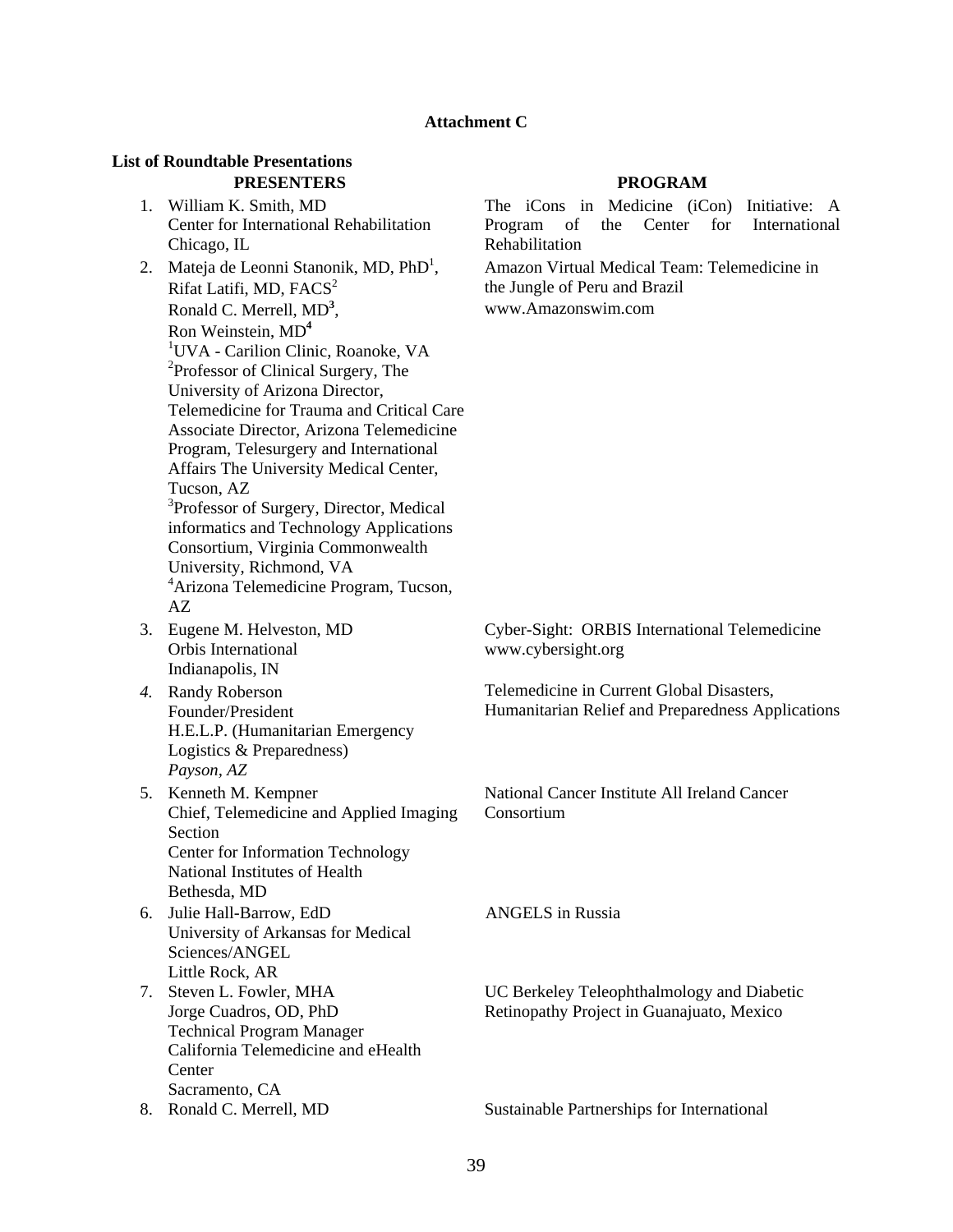#### **Attachment C**

#### **List of Roundtable Presentations PRESENTERS PROGRAM**

- 1. [William K. Smith, MD](http://www.atmeda.org/conf/Mid-Year%202007/Bios/Smith.htm) Center for International Rehabilitation Chicago, IL
- 2. Mateja de Leonni Stanonik, MD, PhD<sup>1</sup>, Rifat Latifi, MD,  $FACS<sup>2</sup>$ [Ronald C. Merrell, MD](http://www.atmeda.org/conf/Mid-Year%202007/Bios/Merrell.htm)**<sup>3</sup>** , [Ron Weinstein, MD](http://www.atmeda.org/conf/Mid-Year%202007/Bios/Weinstein.htm)**<sup>4</sup>** 1 UVA - Carilion Clinic, Roanoke, VA <sup>2</sup>Professor of Clinical Surgery, The University of Arizona Director, Telemedicine for Trauma and Critical Care Associate Director, Arizona Telemedicine Program, Telesurgery and International Affairs The University Medical Center, Tucson, AZ <sup>3</sup>Professor of Surgery, Director, Medical informatics and Technology Applications Consortium, Virginia Commonwealth University, Richmond, VA 4 Arizona Telemedicine Program, Tucson, AZ
- 3. [Eugene M. Helveston, MD](http://www.atmeda.org/conf/Mid-Year%202007/Bios/Helveston.htm) Orbis International Indianapolis, IN
- *4.* [Randy Roberson](http://www.atmeda.org/conf/Mid-Year%202007/Bios/Roberson.htm) Founder/President H.E.L.P. (Humanitarian Emergency Logistics & Preparedness) *Payson, AZ*
- 5. [Kenneth M. Kempner](http://www.atmeda.org/conf/Mid-Year%202007/Bios/Kempner.htm) Chief, Telemedicine and Applied Imaging Section Center for Information Technology National Institutes of Health Bethesda, MD
- 6. [Julie Hall-Barrow, EdD](http://www.atmeda.org/conf/Mid-Year%202007/Bios/hall-barrow.htm)  University of Arkansas for Medical Sciences/ANGEL Little Rock, AR
- 7. Steven L. Fowler, MHA [Jorge Cuadros, OD, PhD](http://www.atmeda.org/conf/Mid-Year%202007/Bios/Cuadros.htm) Technical Program Manager California Telemedicine and eHealth **Center** Sacramento, CA
- 

The iCons in Medicine (iCon) Initiative: A Program of the Center for International Rehabilitation

Amazon Virtual Medical Team: Telemedicine in the Jungle of Peru and Brazil [www.Amazonswim.com](http://www.amazonswim.com/) 

Cyber-Sight: ORBIS International Telemedicine [www.cybersight.org](http://www.cybersight.org/)

Telemedicine in Current Global Disasters, Humanitarian Relief and Preparedness Applications

National Cancer Institute All Ireland Cancer Consortium

ANGELS in Russia

UC Berkeley Teleophthalmology and Diabetic Retinopathy Project in Guanajuato, Mexico

8. [Ronald C. Merrell, MD](http://www.atmeda.org/conf/Mid-Year%202007/Bios/Merrell.htm) Sustainable Partnerships for International